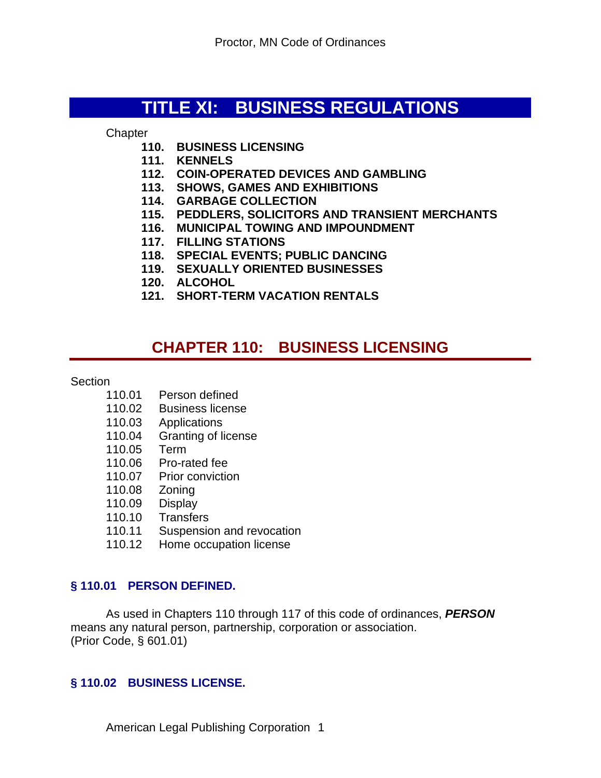# **TITLE XI: BUSINESS REGULATIONS**

**Chapter** 

- **110. BUSINESS LICENSING**
- **111. KENNELS**
- **112. COIN-OPERATED DEVICES AND GAMBLING**
- **113. SHOWS, GAMES AND EXHIBITIONS**
- **114. GARBAGE COLLECTION**
- **115. PEDDLERS, SOLICITORS AND TRANSIENT MERCHANTS**
- **116. MUNICIPAL TOWING AND IMPOUNDMENT**
- **117. FILLING STATIONS**
- **118. SPECIAL EVENTS; PUBLIC DANCING**
- **119. SEXUALLY ORIENTED BUSINESSES**
- **120. ALCOHOL**
- **121. SHORT-TERM VACATION RENTALS**

# **CHAPTER 110: BUSINESS LICENSING**

#### **Section**

- 110.01 Person defined
- 110.02 Business license
- 110.03 Applications
- 110.04 Granting of license
- 110.05 Term
- 110.06 Pro-rated fee
- 110.07 Prior conviction
- 110.08 Zoning
- 110.09 Display
- 110.10 Transfers
- 110.11 Suspension and revocation
- 110.12 Home occupation license

#### **§ 110.01 PERSON DEFINED.**

As used in Chapters 110 through 117 of this code of ordinances, *PERSON* means any natural person, partnership, corporation or association. (Prior Code, § 601.01)

#### **§ 110.02 BUSINESS LICENSE.**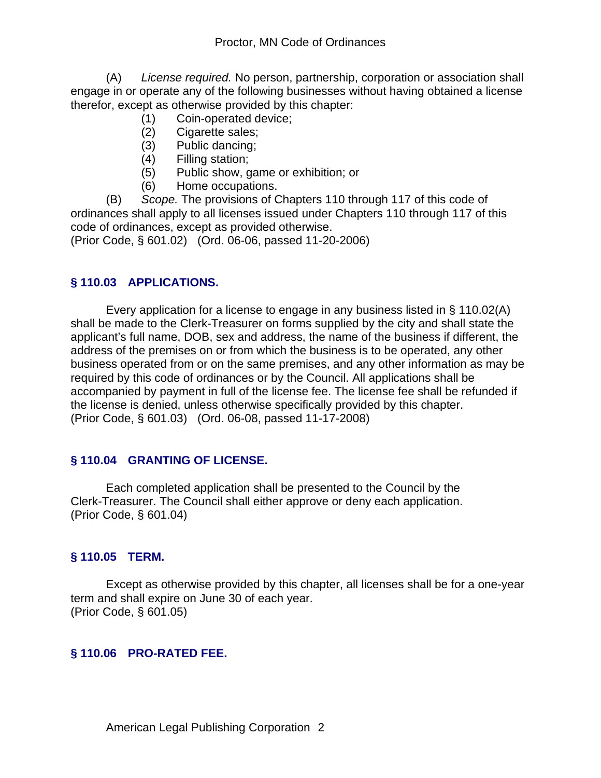(A) *License required.* No person, partnership, corporation or association shall engage in or operate any of the following businesses without having obtained a license therefor, except as otherwise provided by this chapter:

- (1) Coin-operated device;
- Cigarette sales;
- (3) Public dancing;
- (4) Filling station;
- (5) Public show, game or exhibition; or
- (6) Home occupations.

(B) *Scope.* The provisions of Chapters 110 through 117 of this code of ordinances shall apply to all licenses issued under Chapters 110 through 117 of this code of ordinances, except as provided otherwise.

(Prior Code, § 601.02) (Ord. 06-06, passed 11-20-2006)

## **§ 110.03 APPLICATIONS.**

Every application for a license to engage in any business listed in § 110.02(A) shall be made to the Clerk-Treasurer on forms supplied by the city and shall state the applicant's full name, DOB, sex and address, the name of the business if different, the address of the premises on or from which the business is to be operated, any other business operated from or on the same premises, and any other information as may be required by this code of ordinances or by the Council. All applications shall be accompanied by payment in full of the license fee. The license fee shall be refunded if the license is denied, unless otherwise specifically provided by this chapter. (Prior Code, § 601.03) (Ord. 06-08, passed 11-17-2008)

# **§ 110.04 GRANTING OF LICENSE.**

Each completed application shall be presented to the Council by the Clerk-Treasurer. The Council shall either approve or deny each application. (Prior Code, § 601.04)

## **§ 110.05 TERM.**

Except as otherwise provided by this chapter, all licenses shall be for a one-year term and shall expire on June 30 of each year. (Prior Code, § 601.05)

## **§ 110.06 PRO-RATED FEE.**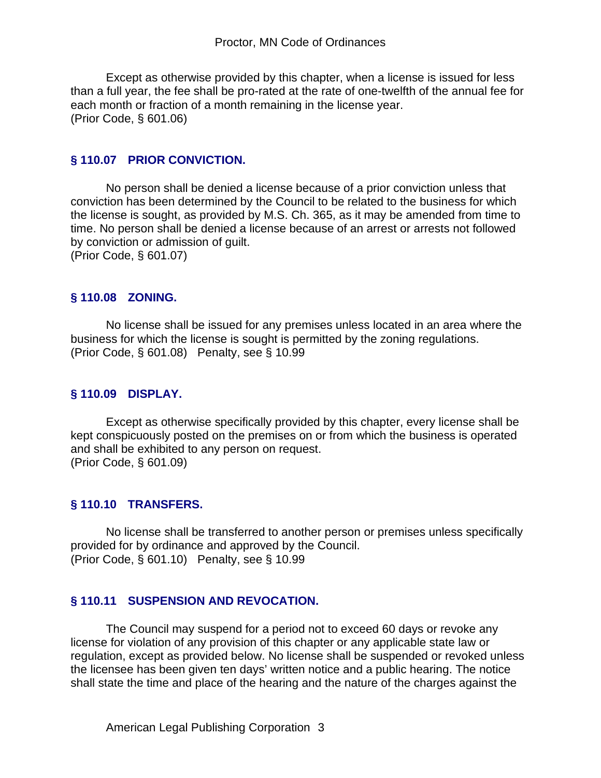Except as otherwise provided by this chapter, when a license is issued for less than a full year, the fee shall be pro-rated at the rate of one-twelfth of the annual fee for each month or fraction of a month remaining in the license year. (Prior Code, § 601.06)

#### **§ 110.07 PRIOR CONVICTION.**

No person shall be denied a license because of a prior conviction unless that conviction has been determined by the Council to be related to the business for which the license is sought, as provided by M.S. Ch. 365, as it may be amended from time to time. No person shall be denied a license because of an arrest or arrests not followed by conviction or admission of guilt. (Prior Code, § 601.07)

#### **§ 110.08 ZONING.**

No license shall be issued for any premises unless located in an area where the business for which the license is sought is permitted by the zoning regulations. (Prior Code, § 601.08) Penalty, see § 10.99

#### **§ 110.09 DISPLAY.**

Except as otherwise specifically provided by this chapter, every license shall be kept conspicuously posted on the premises on or from which the business is operated and shall be exhibited to any person on request. (Prior Code, § 601.09)

#### **§ 110.10 TRANSFERS.**

No license shall be transferred to another person or premises unless specifically provided for by ordinance and approved by the Council. (Prior Code, § 601.10) Penalty, see § 10.99

#### **§ 110.11 SUSPENSION AND REVOCATION.**

The Council may suspend for a period not to exceed 60 days or revoke any license for violation of any provision of this chapter or any applicable state law or regulation, except as provided below. No license shall be suspended or revoked unless the licensee has been given ten days' written notice and a public hearing. The notice shall state the time and place of the hearing and the nature of the charges against the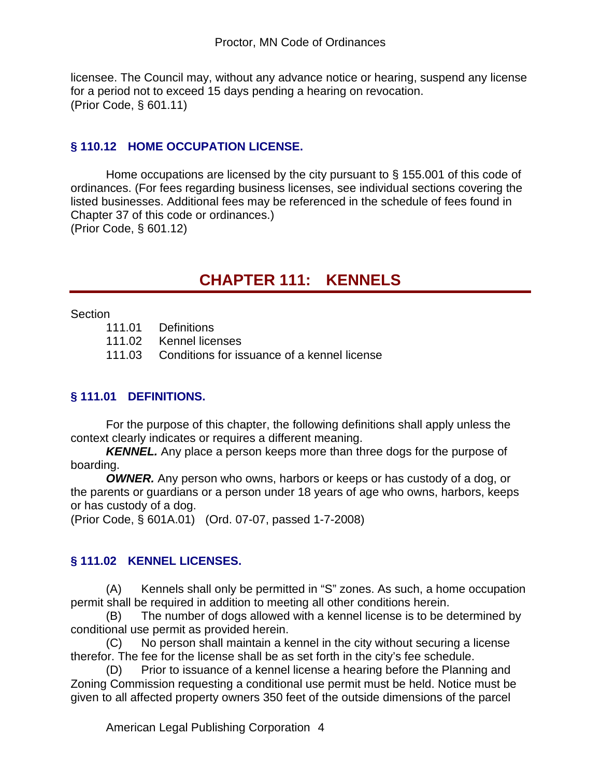licensee. The Council may, without any advance notice or hearing, suspend any license for a period not to exceed 15 days pending a hearing on revocation. (Prior Code, § 601.11)

## **§ 110.12 HOME OCCUPATION LICENSE.**

Home occupations are licensed by the city pursuant to § 155.001 of this code of ordinances. (For fees regarding business licenses, see individual sections covering the listed businesses. Additional fees may be referenced in the schedule of fees found in Chapter 37 of this code or ordinances.)

(Prior Code, § 601.12)

# **CHAPTER 111: KENNELS**

**Section** 

| 111.01 | Definitions      |  |  |
|--------|------------------|--|--|
| 11100  | ممممنا اممرم 1⁄2 |  |  |

111.02 Kennel licenses

111.03 Conditions for issuance of a kennel license

## **§ 111.01 DEFINITIONS.**

For the purpose of this chapter, the following definitions shall apply unless the context clearly indicates or requires a different meaning.

*KENNEL.* Any place a person keeps more than three dogs for the purpose of boarding.

*OWNER.* Any person who owns, harbors or keeps or has custody of a dog, or the parents or guardians or a person under 18 years of age who owns, harbors, keeps or has custody of a dog.

(Prior Code, § 601A.01) (Ord. 07-07, passed 1-7-2008)

## **§ 111.02 KENNEL LICENSES.**

(A) Kennels shall only be permitted in "S" zones. As such, a home occupation permit shall be required in addition to meeting all other conditions herein.

(B) The number of dogs allowed with a kennel license is to be determined by conditional use permit as provided herein.

 (C) No person shall maintain a kennel in the city without securing a license therefor. The fee for the license shall be as set forth in the city's fee schedule.

(D) Prior to issuance of a kennel license a hearing before the Planning and Zoning Commission requesting a conditional use permit must be held. Notice must be given to all affected property owners 350 feet of the outside dimensions of the parcel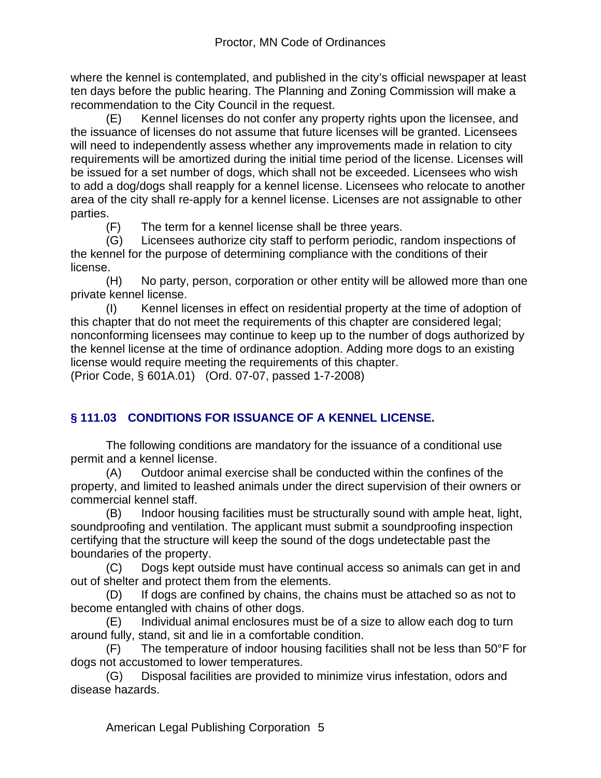where the kennel is contemplated, and published in the city's official newspaper at least ten days before the public hearing. The Planning and Zoning Commission will make a recommendation to the City Council in the request.

(E) Kennel licenses do not confer any property rights upon the licensee, and the issuance of licenses do not assume that future licenses will be granted. Licensees will need to independently assess whether any improvements made in relation to city requirements will be amortized during the initial time period of the license. Licenses will be issued for a set number of dogs, which shall not be exceeded. Licensees who wish to add a dog/dogs shall reapply for a kennel license. Licensees who relocate to another area of the city shall re-apply for a kennel license. Licenses are not assignable to other parties.

(F) The term for a kennel license shall be three years.

(G) Licensees authorize city staff to perform periodic, random inspections of the kennel for the purpose of determining compliance with the conditions of their license.

(H) No party, person, corporation or other entity will be allowed more than one private kennel license.

(I) Kennel licenses in effect on residential property at the time of adoption of this chapter that do not meet the requirements of this chapter are considered legal; nonconforming licensees may continue to keep up to the number of dogs authorized by the kennel license at the time of ordinance adoption. Adding more dogs to an existing license would require meeting the requirements of this chapter.

(Prior Code, § 601A.01) (Ord. 07-07, passed 1-7-2008)

# **§ 111.03 CONDITIONS FOR ISSUANCE OF A KENNEL LICENSE.**

The following conditions are mandatory for the issuance of a conditional use permit and a kennel license.

(A) Outdoor animal exercise shall be conducted within the confines of the property, and limited to leashed animals under the direct supervision of their owners or commercial kennel staff.

(B) Indoor housing facilities must be structurally sound with ample heat, light, soundproofing and ventilation. The applicant must submit a soundproofing inspection certifying that the structure will keep the sound of the dogs undetectable past the boundaries of the property.

(C) Dogs kept outside must have continual access so animals can get in and out of shelter and protect them from the elements.

(D) If dogs are confined by chains, the chains must be attached so as not to become entangled with chains of other dogs.

(E) Individual animal enclosures must be of a size to allow each dog to turn around fully, stand, sit and lie in a comfortable condition.

(F) The temperature of indoor housing facilities shall not be less than 50°F for dogs not accustomed to lower temperatures.

(G) Disposal facilities are provided to minimize virus infestation, odors and disease hazards.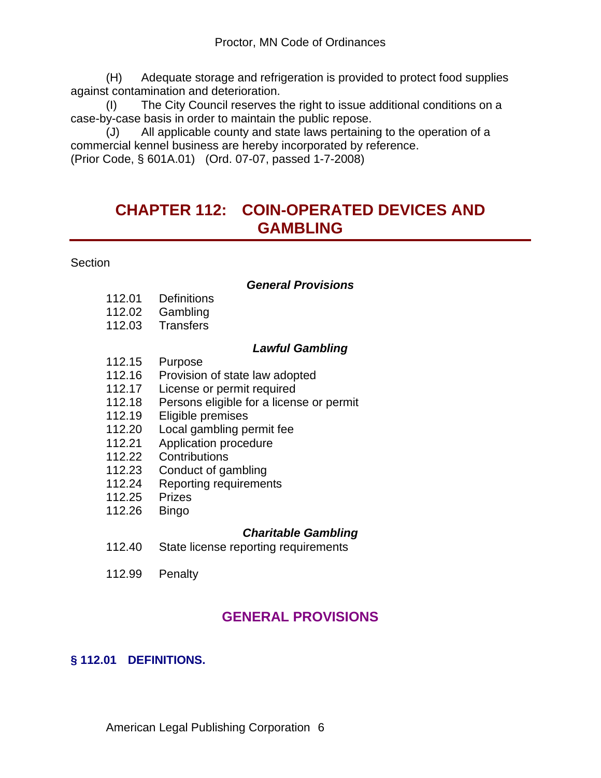(H) Adequate storage and refrigeration is provided to protect food supplies against contamination and deterioration.

(I) The City Council reserves the right to issue additional conditions on a case-by-case basis in order to maintain the public repose.

(J) All applicable county and state laws pertaining to the operation of a commercial kennel business are hereby incorporated by reference. (Prior Code, § 601A.01) (Ord. 07-07, passed 1-7-2008)

# **CHAPTER 112: COIN-OPERATED DEVICES AND GAMBLING**

**Section** 

#### *General Provisions*

- 112.01 Definitions
- 112.02 Gambling
- 112.03 Transfers

#### *Lawful Gambling*

- 112.15 Purpose<br>112.16 Provision
- Provision of state law adopted
- 112.17 License or permit required
- 112.18 Persons eligible for a license or permit
- 112.19 Eligible premises
- 112.20 Local gambling permit fee
- 112.21 Application procedure
- 112.22 Contributions<br>112.23 Conduct of ga
- Conduct of gambling
- 112.24 Reporting requirements
- 112.25 Prizes
- 112.26 Bingo

## *Charitable Gambling*

- 112.40 State license reporting requirements
- 112.99 Penalty

# **GENERAL PROVISIONS**

## **§ 112.01 DEFINITIONS.**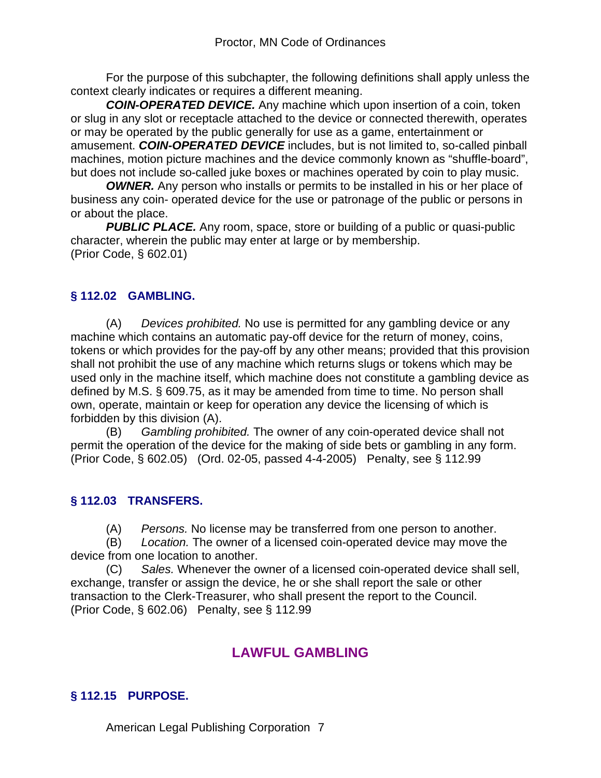For the purpose of this subchapter, the following definitions shall apply unless the context clearly indicates or requires a different meaning.

*COIN-OPERATED DEVICE.* Any machine which upon insertion of a coin, token or slug in any slot or receptacle attached to the device or connected therewith, operates or may be operated by the public generally for use as a game, entertainment or amusement. *COIN-OPERATED DEVICE* includes, but is not limited to, so-called pinball machines, motion picture machines and the device commonly known as "shuffle-board", but does not include so-called juke boxes or machines operated by coin to play music.

*OWNER.* Any person who installs or permits to be installed in his or her place of business any coin- operated device for the use or patronage of the public or persons in or about the place.

**PUBLIC PLACE.** Any room, space, store or building of a public or quasi-public character, wherein the public may enter at large or by membership. (Prior Code, § 602.01)

## **§ 112.02 GAMBLING.**

(A) *Devices prohibited.* No use is permitted for any gambling device or any machine which contains an automatic pay-off device for the return of money, coins, tokens or which provides for the pay-off by any other means; provided that this provision shall not prohibit the use of any machine which returns slugs or tokens which may be used only in the machine itself, which machine does not constitute a gambling device as defined by M.S. § 609.75, as it may be amended from time to time. No person shall own, operate, maintain or keep for operation any device the licensing of which is forbidden by this division (A).

(B) *Gambling prohibited.* The owner of any coin-operated device shall not permit the operation of the device for the making of side bets or gambling in any form. (Prior Code, § 602.05) (Ord. 02-05, passed 4-4-2005) Penalty, see § 112.99

## **§ 112.03 TRANSFERS.**

(A) *Persons.* No license may be transferred from one person to another.

(B) *Location.* The owner of a licensed coin-operated device may move the device from one location to another.

(C) *Sales.* Whenever the owner of a licensed coin-operated device shall sell, exchange, transfer or assign the device, he or she shall report the sale or other transaction to the Clerk-Treasurer, who shall present the report to the Council. (Prior Code, § 602.06) Penalty, see § 112.99

# **LAWFUL GAMBLING**

# **§ 112.15 PURPOSE.**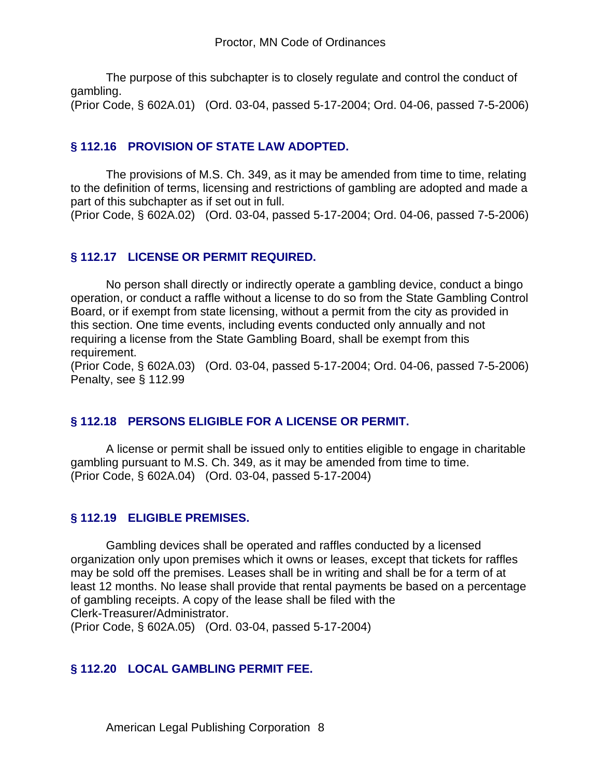The purpose of this subchapter is to closely regulate and control the conduct of gambling.

(Prior Code, § 602A.01) (Ord. 03-04, passed 5-17-2004; Ord. 04-06, passed 7-5-2006)

### **§ 112.16 PROVISION OF STATE LAW ADOPTED.**

The provisions of M.S. Ch. 349, as it may be amended from time to time, relating to the definition of terms, licensing and restrictions of gambling are adopted and made a part of this subchapter as if set out in full.

(Prior Code, § 602A.02) (Ord. 03-04, passed 5-17-2004; Ord. 04-06, passed 7-5-2006)

### **§ 112.17 LICENSE OR PERMIT REQUIRED.**

No person shall directly or indirectly operate a gambling device, conduct a bingo operation, or conduct a raffle without a license to do so from the State Gambling Control Board, or if exempt from state licensing, without a permit from the city as provided in this section. One time events, including events conducted only annually and not requiring a license from the State Gambling Board, shall be exempt from this requirement.

(Prior Code, § 602A.03) (Ord. 03-04, passed 5-17-2004; Ord. 04-06, passed 7-5-2006) Penalty, see § 112.99

#### **§ 112.18 PERSONS ELIGIBLE FOR A LICENSE OR PERMIT.**

A license or permit shall be issued only to entities eligible to engage in charitable gambling pursuant to M.S. Ch. 349, as it may be amended from time to time. (Prior Code, § 602A.04) (Ord. 03-04, passed 5-17-2004)

#### **§ 112.19 ELIGIBLE PREMISES.**

Gambling devices shall be operated and raffles conducted by a licensed organization only upon premises which it owns or leases, except that tickets for raffles may be sold off the premises. Leases shall be in writing and shall be for a term of at least 12 months. No lease shall provide that rental payments be based on a percentage of gambling receipts. A copy of the lease shall be filed with the Clerk-Treasurer/Administrator. (Prior Code, § 602A.05) (Ord. 03-04, passed 5-17-2004)

## **§ 112.20 LOCAL GAMBLING PERMIT FEE.**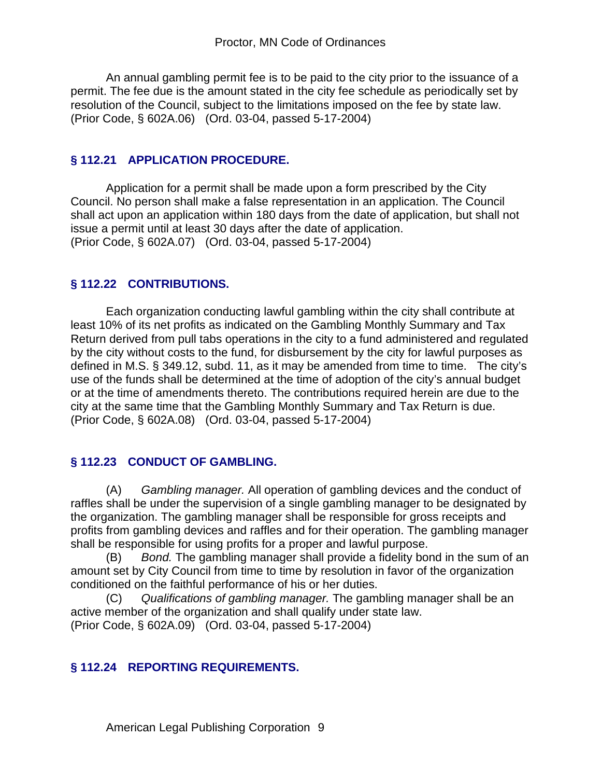An annual gambling permit fee is to be paid to the city prior to the issuance of a permit. The fee due is the amount stated in the city fee schedule as periodically set by resolution of the Council, subject to the limitations imposed on the fee by state law. (Prior Code, § 602A.06) (Ord. 03-04, passed 5-17-2004)

## **§ 112.21 APPLICATION PROCEDURE.**

Application for a permit shall be made upon a form prescribed by the City Council. No person shall make a false representation in an application. The Council shall act upon an application within 180 days from the date of application, but shall not issue a permit until at least 30 days after the date of application. (Prior Code, § 602A.07) (Ord. 03-04, passed 5-17-2004)

### **§ 112.22 CONTRIBUTIONS.**

Each organization conducting lawful gambling within the city shall contribute at least 10% of its net profits as indicated on the Gambling Monthly Summary and Tax Return derived from pull tabs operations in the city to a fund administered and regulated by the city without costs to the fund, for disbursement by the city for lawful purposes as defined in M.S. § 349.12, subd. 11, as it may be amended from time to time. The city's use of the funds shall be determined at the time of adoption of the city's annual budget or at the time of amendments thereto. The contributions required herein are due to the city at the same time that the Gambling Monthly Summary and Tax Return is due. (Prior Code, § 602A.08) (Ord. 03-04, passed 5-17-2004)

## **§ 112.23 CONDUCT OF GAMBLING.**

(A) *Gambling manager.* All operation of gambling devices and the conduct of raffles shall be under the supervision of a single gambling manager to be designated by the organization. The gambling manager shall be responsible for gross receipts and profits from gambling devices and raffles and for their operation. The gambling manager shall be responsible for using profits for a proper and lawful purpose.

(B) *Bond.* The gambling manager shall provide a fidelity bond in the sum of an amount set by City Council from time to time by resolution in favor of the organization conditioned on the faithful performance of his or her duties.

(C) *Qualifications of gambling manager.* The gambling manager shall be an active member of the organization and shall qualify under state law. (Prior Code, § 602A.09) (Ord. 03-04, passed 5-17-2004)

## **§ 112.24 REPORTING REQUIREMENTS.**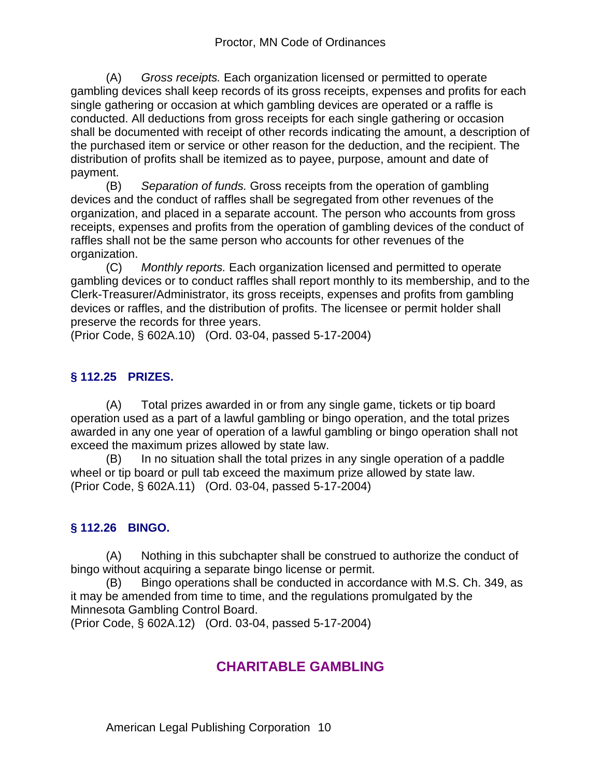(A) *Gross receipts.* Each organization licensed or permitted to operate gambling devices shall keep records of its gross receipts, expenses and profits for each single gathering or occasion at which gambling devices are operated or a raffle is conducted. All deductions from gross receipts for each single gathering or occasion shall be documented with receipt of other records indicating the amount, a description of the purchased item or service or other reason for the deduction, and the recipient. The distribution of profits shall be itemized as to payee, purpose, amount and date of payment.

(B) *Separation of funds.* Gross receipts from the operation of gambling devices and the conduct of raffles shall be segregated from other revenues of the organization, and placed in a separate account. The person who accounts from gross receipts, expenses and profits from the operation of gambling devices of the conduct of raffles shall not be the same person who accounts for other revenues of the organization.

(C) *Monthly reports.* Each organization licensed and permitted to operate gambling devices or to conduct raffles shall report monthly to its membership, and to the Clerk-Treasurer/Administrator, its gross receipts, expenses and profits from gambling devices or raffles, and the distribution of profits. The licensee or permit holder shall preserve the records for three years.

(Prior Code, § 602A.10) (Ord. 03-04, passed 5-17-2004)

# **§ 112.25 PRIZES.**

(A) Total prizes awarded in or from any single game, tickets or tip board operation used as a part of a lawful gambling or bingo operation, and the total prizes awarded in any one year of operation of a lawful gambling or bingo operation shall not exceed the maximum prizes allowed by state law.

(B) In no situation shall the total prizes in any single operation of a paddle wheel or tip board or pull tab exceed the maximum prize allowed by state law. (Prior Code, § 602A.11) (Ord. 03-04, passed 5-17-2004)

# **§ 112.26 BINGO.**

(A) Nothing in this subchapter shall be construed to authorize the conduct of bingo without acquiring a separate bingo license or permit.

(B) Bingo operations shall be conducted in accordance with M.S. Ch. 349, as it may be amended from time to time, and the regulations promulgated by the Minnesota Gambling Control Board.

(Prior Code, § 602A.12) (Ord. 03-04, passed 5-17-2004)

# **CHARITABLE GAMBLING**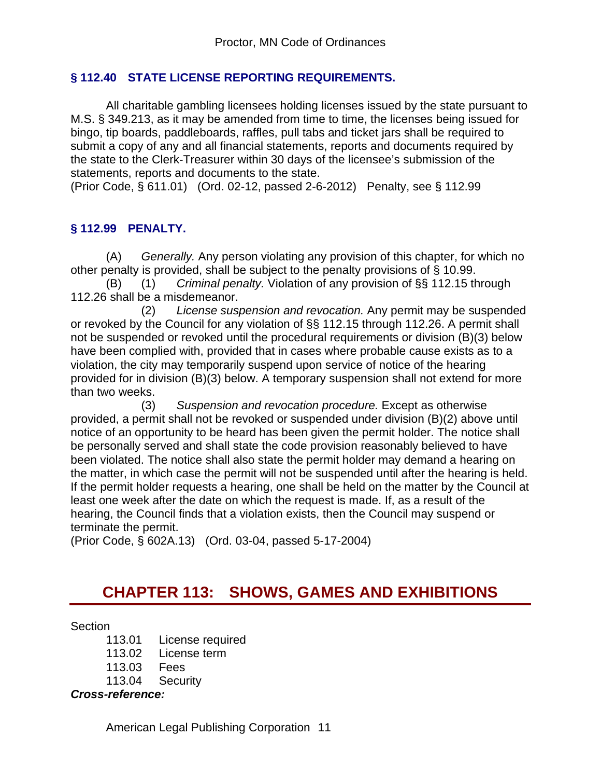## **§ 112.40 STATE LICENSE REPORTING REQUIREMENTS.**

All charitable gambling licensees holding licenses issued by the state pursuant to M.S. § 349.213, as it may be amended from time to time, the licenses being issued for bingo, tip boards, paddleboards, raffles, pull tabs and ticket jars shall be required to submit a copy of any and all financial statements, reports and documents required by the state to the Clerk-Treasurer within 30 days of the licensee's submission of the statements, reports and documents to the state.

(Prior Code, § 611.01) (Ord. 02-12, passed 2-6-2012) Penalty, see § 112.99

# **§ 112.99 PENALTY.**

(A) *Generally.* Any person violating any provision of this chapter, for which no other penalty is provided, shall be subject to the penalty provisions of § 10.99.

(B) (1) *Criminal penalty.* Violation of any provision of §§ 112.15 through 112.26 shall be a misdemeanor.

 (2) *License suspension and revocation.* Any permit may be suspended or revoked by the Council for any violation of §§ 112.15 through 112.26. A permit shall not be suspended or revoked until the procedural requirements or division (B)(3) below have been complied with, provided that in cases where probable cause exists as to a violation, the city may temporarily suspend upon service of notice of the hearing provided for in division (B)(3) below. A temporary suspension shall not extend for more than two weeks.

 (3) *Suspension and revocation procedure.* Except as otherwise provided, a permit shall not be revoked or suspended under division (B)(2) above until notice of an opportunity to be heard has been given the permit holder. The notice shall be personally served and shall state the code provision reasonably believed to have been violated. The notice shall also state the permit holder may demand a hearing on the matter, in which case the permit will not be suspended until after the hearing is held. If the permit holder requests a hearing, one shall be held on the matter by the Council at least one week after the date on which the request is made. If, as a result of the hearing, the Council finds that a violation exists, then the Council may suspend or terminate the permit.

(Prior Code, § 602A.13) (Ord. 03-04, passed 5-17-2004)

# **CHAPTER 113: SHOWS, GAMES AND EXHIBITIONS**

#### **Section**

113.01 License required

113.02 License term

113.03 Fees

113.04 Security

## *Cross-reference:*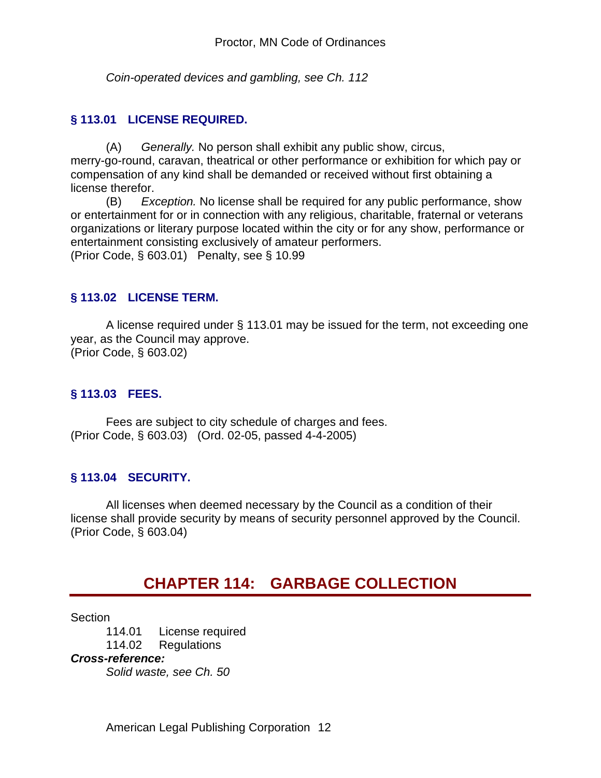*Coin-operated devices and gambling, see Ch. 112*

## **§ 113.01 LICENSE REQUIRED.**

(A) *Generally.* No person shall exhibit any public show, circus, merry-go-round, caravan, theatrical or other performance or exhibition for which pay or compensation of any kind shall be demanded or received without first obtaining a license therefor.

(B) *Exception.* No license shall be required for any public performance, show or entertainment for or in connection with any religious, charitable, fraternal or veterans organizations or literary purpose located within the city or for any show, performance or entertainment consisting exclusively of amateur performers. (Prior Code, § 603.01) Penalty, see § 10.99

### **§ 113.02 LICENSE TERM.**

A license required under § 113.01 may be issued for the term, not exceeding one year, as the Council may approve. (Prior Code, § 603.02)

### **§ 113.03 FEES.**

Fees are subject to city schedule of charges and fees. (Prior Code, § 603.03) (Ord. 02-05, passed 4-4-2005)

#### **§ 113.04 SECURITY.**

All licenses when deemed necessary by the Council as a condition of their license shall provide security by means of security personnel approved by the Council. (Prior Code, § 603.04)

# **CHAPTER 114: GARBAGE COLLECTION**

Section

114.01 License required 114.02 Regulations *Cross-reference: Solid waste, see Ch. 50*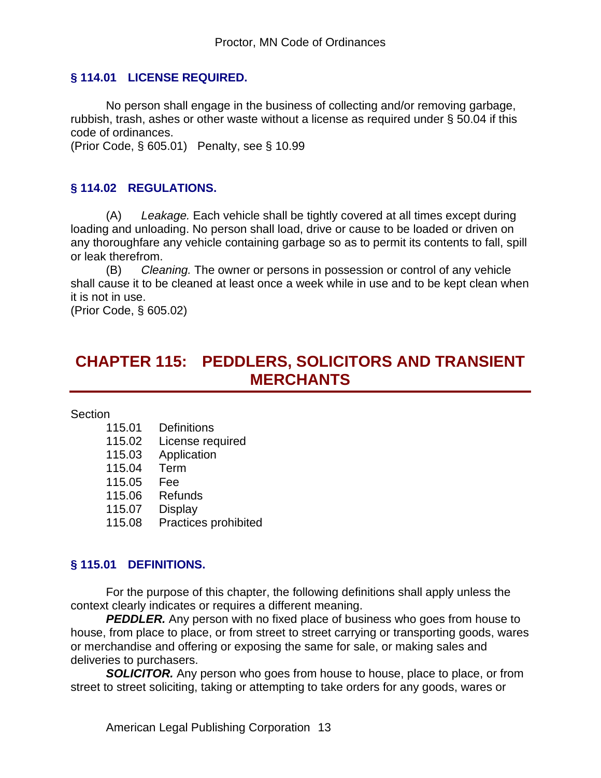### **§ 114.01 LICENSE REQUIRED.**

No person shall engage in the business of collecting and/or removing garbage, rubbish, trash, ashes or other waste without a license as required under § 50.04 if this code of ordinances.

(Prior Code, § 605.01) Penalty, see § 10.99

### **§ 114.02 REGULATIONS.**

(A) *Leakage.* Each vehicle shall be tightly covered at all times except during loading and unloading. No person shall load, drive or cause to be loaded or driven on any thoroughfare any vehicle containing garbage so as to permit its contents to fall, spill or leak therefrom.

(B) *Cleaning.* The owner or persons in possession or control of any vehicle shall cause it to be cleaned at least once a week while in use and to be kept clean when it is not in use.

(Prior Code, § 605.02)

# **CHAPTER 115: PEDDLERS, SOLICITORS AND TRANSIENT MERCHANTS**

Section

- 115.01 Definitions
- 115.02 License required
- 115.03 Application
- 115.04 Term
- 115.05 Fee
- 115.06 Refunds
- 115.07 Display
- 115.08 Practices prohibited

#### **§ 115.01 DEFINITIONS.**

For the purpose of this chapter, the following definitions shall apply unless the context clearly indicates or requires a different meaning.

**PEDDLER.** Any person with no fixed place of business who goes from house to house, from place to place, or from street to street carrying or transporting goods, wares or merchandise and offering or exposing the same for sale, or making sales and deliveries to purchasers.

**SOLICITOR.** Any person who goes from house to house, place to place, or from street to street soliciting, taking or attempting to take orders for any goods, wares or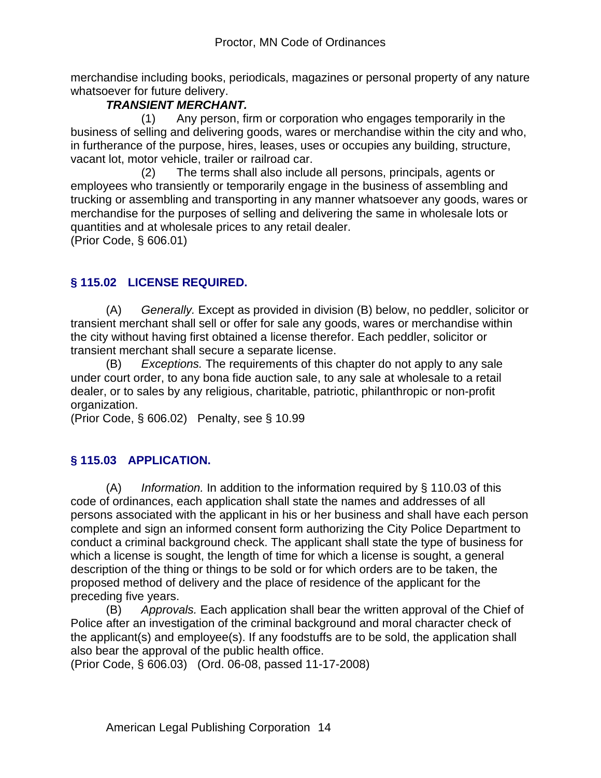merchandise including books, periodicals, magazines or personal property of any nature whatsoever for future delivery.

## *TRANSIENT MERCHANT.*

 (1) Any person, firm or corporation who engages temporarily in the business of selling and delivering goods, wares or merchandise within the city and who, in furtherance of the purpose, hires, leases, uses or occupies any building, structure, vacant lot, motor vehicle, trailer or railroad car.

 (2) The terms shall also include all persons, principals, agents or employees who transiently or temporarily engage in the business of assembling and trucking or assembling and transporting in any manner whatsoever any goods, wares or merchandise for the purposes of selling and delivering the same in wholesale lots or quantities and at wholesale prices to any retail dealer.

(Prior Code, § 606.01)

# **§ 115.02 LICENSE REQUIRED.**

(A) *Generally.* Except as provided in division (B) below, no peddler, solicitor or transient merchant shall sell or offer for sale any goods, wares or merchandise within the city without having first obtained a license therefor. Each peddler, solicitor or transient merchant shall secure a separate license.

(B) *Exceptions.* The requirements of this chapter do not apply to any sale under court order, to any bona fide auction sale, to any sale at wholesale to a retail dealer, or to sales by any religious, charitable, patriotic, philanthropic or non-profit organization.

(Prior Code, § 606.02) Penalty, see § 10.99

# **§ 115.03 APPLICATION.**

(A) *Information.* In addition to the information required by § 110.03 of this code of ordinances, each application shall state the names and addresses of all persons associated with the applicant in his or her business and shall have each person complete and sign an informed consent form authorizing the City Police Department to conduct a criminal background check. The applicant shall state the type of business for which a license is sought, the length of time for which a license is sought, a general description of the thing or things to be sold or for which orders are to be taken, the proposed method of delivery and the place of residence of the applicant for the preceding five years.

(B) *Approvals.* Each application shall bear the written approval of the Chief of Police after an investigation of the criminal background and moral character check of the applicant(s) and employee(s). If any foodstuffs are to be sold, the application shall also bear the approval of the public health office.

(Prior Code, § 606.03) (Ord. 06-08, passed 11-17-2008)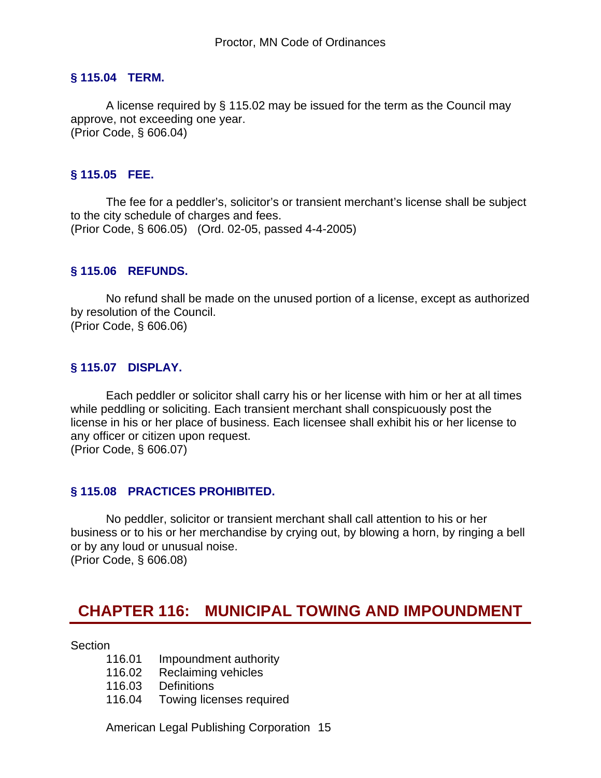#### **§ 115.04 TERM.**

A license required by § 115.02 may be issued for the term as the Council may approve, not exceeding one year. (Prior Code, § 606.04)

#### **§ 115.05 FEE.**

The fee for a peddler's, solicitor's or transient merchant's license shall be subject to the city schedule of charges and fees. (Prior Code, § 606.05) (Ord. 02-05, passed 4-4-2005)

#### **§ 115.06 REFUNDS.**

No refund shall be made on the unused portion of a license, except as authorized by resolution of the Council. (Prior Code, § 606.06)

#### **§ 115.07 DISPLAY.**

Each peddler or solicitor shall carry his or her license with him or her at all times while peddling or soliciting. Each transient merchant shall conspicuously post the license in his or her place of business. Each licensee shall exhibit his or her license to any officer or citizen upon request. (Prior Code, § 606.07)

#### **§ 115.08 PRACTICES PROHIBITED.**

No peddler, solicitor or transient merchant shall call attention to his or her business or to his or her merchandise by crying out, by blowing a horn, by ringing a bell or by any loud or unusual noise. (Prior Code, § 606.08)

# **CHAPTER 116: MUNICIPAL TOWING AND IMPOUNDMENT**

**Section** 

- 116.01 Impoundment authority
- 116.02 Reclaiming vehicles
- 116.03 Definitions
- 116.04 Towing licenses required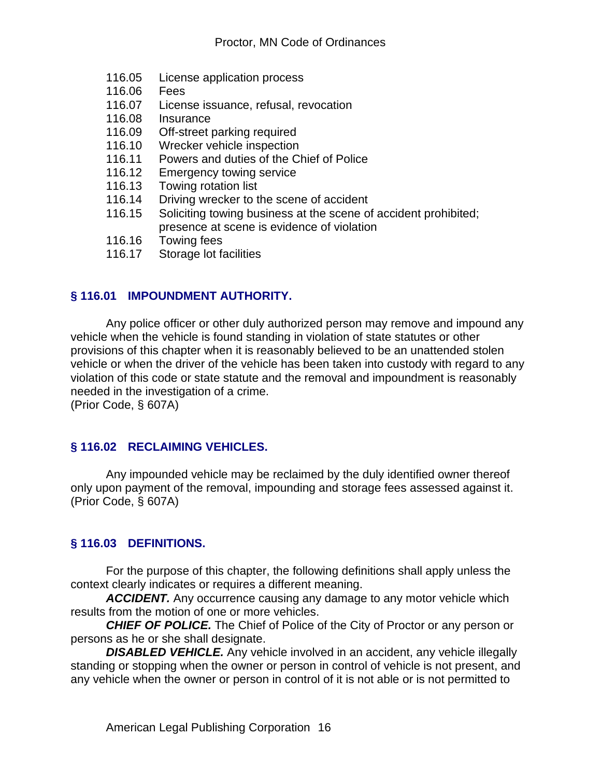- 116.05 License application process
- 116.06 Fees
- 116.07 License issuance, refusal, revocation
- 116.08 Insurance
- 116.09 Off-street parking required
- 116.10 Wrecker vehicle inspection
- 116.11 Powers and duties of the Chief of Police
- 116.12 Emergency towing service
- 116.13 Towing rotation list<br>116.14 Driving wrecker to t
- Driving wrecker to the scene of accident
- 116.15 Soliciting towing business at the scene of accident prohibited; presence at scene is evidence of violation
- 116.16 Towing fees
- 116.17 Storage lot facilities

# **§ 116.01 IMPOUNDMENT AUTHORITY.**

Any police officer or other duly authorized person may remove and impound any vehicle when the vehicle is found standing in violation of state statutes or other provisions of this chapter when it is reasonably believed to be an unattended stolen vehicle or when the driver of the vehicle has been taken into custody with regard to any violation of this code or state statute and the removal and impoundment is reasonably needed in the investigation of a crime.

(Prior Code, § 607A)

## **§ 116.02 RECLAIMING VEHICLES.**

Any impounded vehicle may be reclaimed by the duly identified owner thereof only upon payment of the removal, impounding and storage fees assessed against it. (Prior Code, § 607A)

## **§ 116.03 DEFINITIONS.**

For the purpose of this chapter, the following definitions shall apply unless the context clearly indicates or requires a different meaning.

ACCIDENT. Any occurrence causing any damage to any motor vehicle which results from the motion of one or more vehicles.

*CHIEF OF POLICE.* The Chief of Police of the City of Proctor or any person or persons as he or she shall designate.

**DISABLED VEHICLE.** Any vehicle involved in an accident, any vehicle illegally standing or stopping when the owner or person in control of vehicle is not present, and any vehicle when the owner or person in control of it is not able or is not permitted to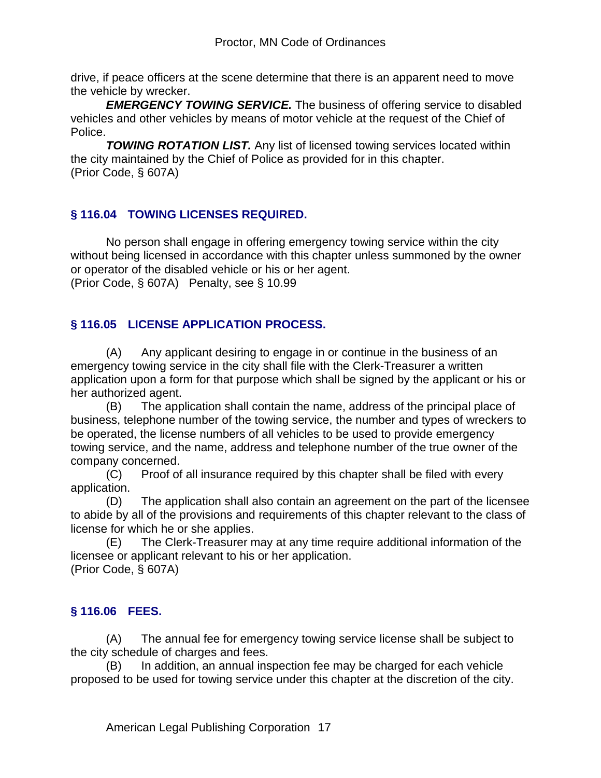drive, if peace officers at the scene determine that there is an apparent need to move the vehicle by wrecker.

**EMERGENCY TOWING SERVICE.** The business of offering service to disabled vehicles and other vehicles by means of motor vehicle at the request of the Chief of Police.

*TOWING ROTATION LIST.* Any list of licensed towing services located within the city maintained by the Chief of Police as provided for in this chapter. (Prior Code, § 607A)

# **§ 116.04 TOWING LICENSES REQUIRED.**

No person shall engage in offering emergency towing service within the city without being licensed in accordance with this chapter unless summoned by the owner or operator of the disabled vehicle or his or her agent. (Prior Code, § 607A) Penalty, see § 10.99

# **§ 116.05 LICENSE APPLICATION PROCESS.**

(A) Any applicant desiring to engage in or continue in the business of an emergency towing service in the city shall file with the Clerk-Treasurer a written application upon a form for that purpose which shall be signed by the applicant or his or her authorized agent.

(B) The application shall contain the name, address of the principal place of business, telephone number of the towing service, the number and types of wreckers to be operated, the license numbers of all vehicles to be used to provide emergency towing service, and the name, address and telephone number of the true owner of the company concerned.

(C) Proof of all insurance required by this chapter shall be filed with every application.

(D) The application shall also contain an agreement on the part of the licensee to abide by all of the provisions and requirements of this chapter relevant to the class of license for which he or she applies.

(E) The Clerk-Treasurer may at any time require additional information of the licensee or applicant relevant to his or her application. (Prior Code, § 607A)

# **§ 116.06 FEES.**

(A) The annual fee for emergency towing service license shall be subject to the city schedule of charges and fees.

(B) In addition, an annual inspection fee may be charged for each vehicle proposed to be used for towing service under this chapter at the discretion of the city.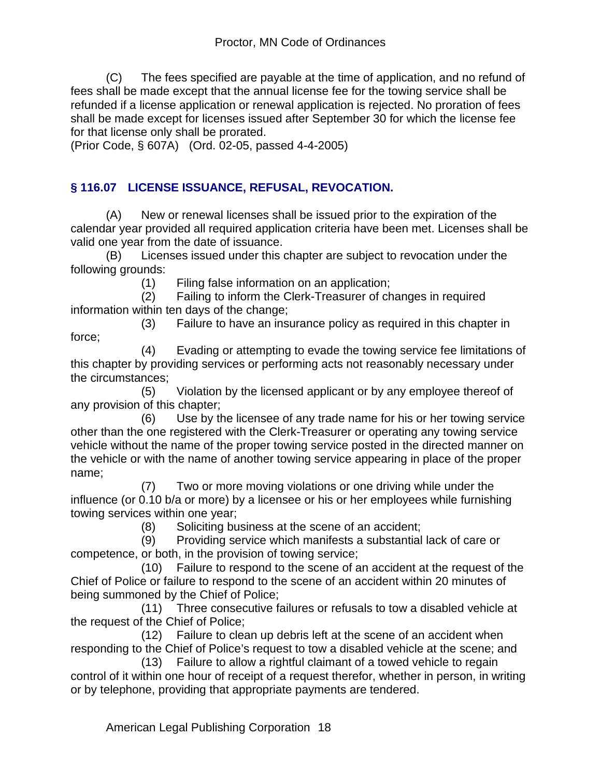(C) The fees specified are payable at the time of application, and no refund of fees shall be made except that the annual license fee for the towing service shall be refunded if a license application or renewal application is rejected. No proration of fees shall be made except for licenses issued after September 30 for which the license fee for that license only shall be prorated.

(Prior Code, § 607A) (Ord. 02-05, passed 4-4-2005)

# **§ 116.07 LICENSE ISSUANCE, REFUSAL, REVOCATION.**

(A) New or renewal licenses shall be issued prior to the expiration of the calendar year provided all required application criteria have been met. Licenses shall be valid one year from the date of issuance.

(B) Licenses issued under this chapter are subject to revocation under the following grounds:

(1) Filing false information on an application;

 (2) Failing to inform the Clerk-Treasurer of changes in required information within ten days of the change;

 (3) Failure to have an insurance policy as required in this chapter in force;

 (4) Evading or attempting to evade the towing service fee limitations of this chapter by providing services or performing acts not reasonably necessary under the circumstances;

 (5) Violation by the licensed applicant or by any employee thereof of any provision of this chapter;

 (6) Use by the licensee of any trade name for his or her towing service other than the one registered with the Clerk-Treasurer or operating any towing service vehicle without the name of the proper towing service posted in the directed manner on the vehicle or with the name of another towing service appearing in place of the proper name;

 (7) Two or more moving violations or one driving while under the influence (or 0.10 b/a or more) by a licensee or his or her employees while furnishing towing services within one year;

(8) Soliciting business at the scene of an accident;

 (9) Providing service which manifests a substantial lack of care or competence, or both, in the provision of towing service;

 (10) Failure to respond to the scene of an accident at the request of the Chief of Police or failure to respond to the scene of an accident within 20 minutes of being summoned by the Chief of Police;

 (11) Three consecutive failures or refusals to tow a disabled vehicle at the request of the Chief of Police;

 (12) Failure to clean up debris left at the scene of an accident when responding to the Chief of Police's request to tow a disabled vehicle at the scene; and

 (13) Failure to allow a rightful claimant of a towed vehicle to regain control of it within one hour of receipt of a request therefor, whether in person, in writing or by telephone, providing that appropriate payments are tendered.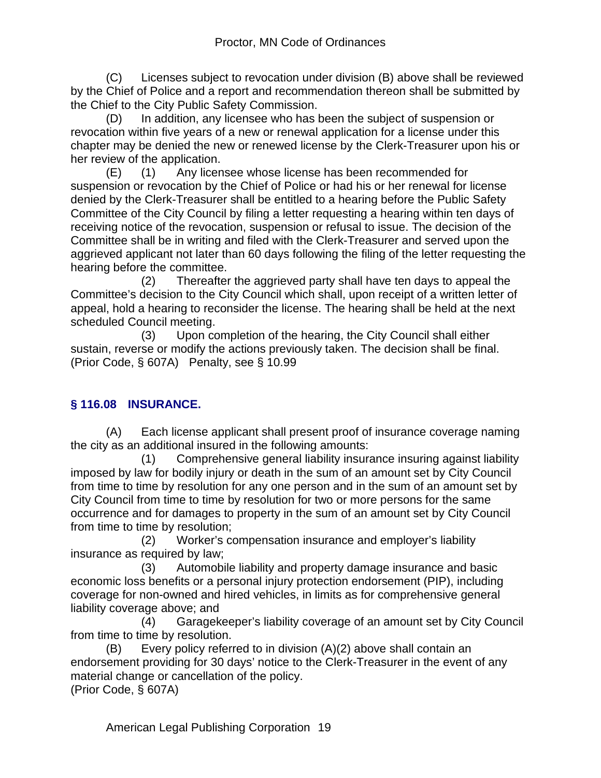(C) Licenses subject to revocation under division (B) above shall be reviewed by the Chief of Police and a report and recommendation thereon shall be submitted by the Chief to the City Public Safety Commission.

(D) In addition, any licensee who has been the subject of suspension or revocation within five years of a new or renewal application for a license under this chapter may be denied the new or renewed license by the Clerk-Treasurer upon his or her review of the application.

(E) (1) Any licensee whose license has been recommended for suspension or revocation by the Chief of Police or had his or her renewal for license denied by the Clerk-Treasurer shall be entitled to a hearing before the Public Safety Committee of the City Council by filing a letter requesting a hearing within ten days of receiving notice of the revocation, suspension or refusal to issue. The decision of the Committee shall be in writing and filed with the Clerk-Treasurer and served upon the aggrieved applicant not later than 60 days following the filing of the letter requesting the hearing before the committee.

 (2) Thereafter the aggrieved party shall have ten days to appeal the Committee's decision to the City Council which shall, upon receipt of a written letter of appeal, hold a hearing to reconsider the license. The hearing shall be held at the next scheduled Council meeting.

 (3) Upon completion of the hearing, the City Council shall either sustain, reverse or modify the actions previously taken. The decision shall be final. (Prior Code, § 607A) Penalty, see § 10.99

# **§ 116.08 INSURANCE.**

(A) Each license applicant shall present proof of insurance coverage naming the city as an additional insured in the following amounts:

 (1) Comprehensive general liability insurance insuring against liability imposed by law for bodily injury or death in the sum of an amount set by City Council from time to time by resolution for any one person and in the sum of an amount set by City Council from time to time by resolution for two or more persons for the same occurrence and for damages to property in the sum of an amount set by City Council from time to time by resolution;

 (2) Worker's compensation insurance and employer's liability insurance as required by law;

 (3) Automobile liability and property damage insurance and basic economic loss benefits or a personal injury protection endorsement (PIP), including coverage for non-owned and hired vehicles, in limits as for comprehensive general liability coverage above; and

 (4) Garagekeeper's liability coverage of an amount set by City Council from time to time by resolution.

(B) Every policy referred to in division (A)(2) above shall contain an endorsement providing for 30 days' notice to the Clerk-Treasurer in the event of any material change or cancellation of the policy. (Prior Code, § 607A)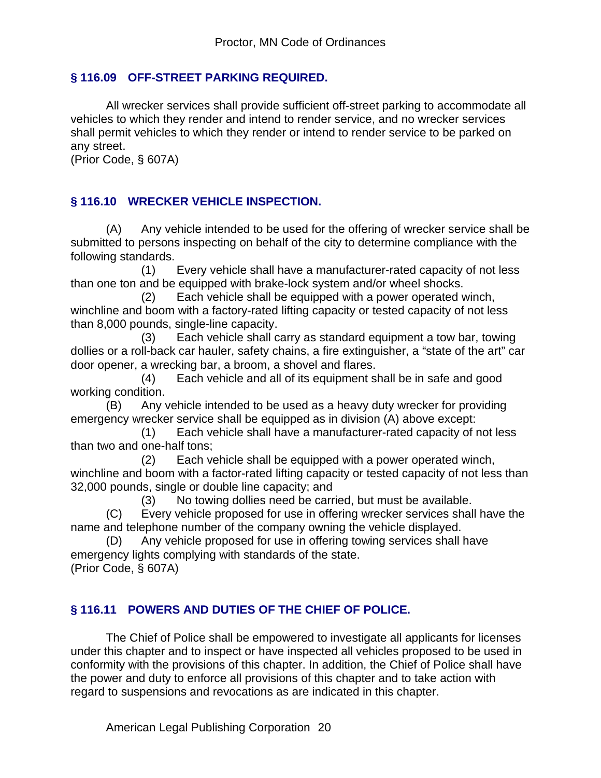## **§ 116.09 OFF-STREET PARKING REQUIRED.**

All wrecker services shall provide sufficient off-street parking to accommodate all vehicles to which they render and intend to render service, and no wrecker services shall permit vehicles to which they render or intend to render service to be parked on any street.

(Prior Code, § 607A)

## **§ 116.10 WRECKER VEHICLE INSPECTION.**

(A) Any vehicle intended to be used for the offering of wrecker service shall be submitted to persons inspecting on behalf of the city to determine compliance with the following standards.

 (1) Every vehicle shall have a manufacturer-rated capacity of not less than one ton and be equipped with brake-lock system and/or wheel shocks.

 (2) Each vehicle shall be equipped with a power operated winch, winchline and boom with a factory-rated lifting capacity or tested capacity of not less than 8,000 pounds, single-line capacity.

 (3) Each vehicle shall carry as standard equipment a tow bar, towing dollies or a roll-back car hauler, safety chains, a fire extinguisher, a "state of the art" car door opener, a wrecking bar, a broom, a shovel and flares.

 (4) Each vehicle and all of its equipment shall be in safe and good working condition.

(B) Any vehicle intended to be used as a heavy duty wrecker for providing emergency wrecker service shall be equipped as in division (A) above except:

 (1) Each vehicle shall have a manufacturer-rated capacity of not less than two and one-half tons;

 (2) Each vehicle shall be equipped with a power operated winch, winchline and boom with a factor-rated lifting capacity or tested capacity of not less than 32,000 pounds, single or double line capacity; and

(3) No towing dollies need be carried, but must be available.

(C) Every vehicle proposed for use in offering wrecker services shall have the name and telephone number of the company owning the vehicle displayed.

(D) Any vehicle proposed for use in offering towing services shall have emergency lights complying with standards of the state. (Prior Code, § 607A)

# **§ 116.11 POWERS AND DUTIES OF THE CHIEF OF POLICE.**

The Chief of Police shall be empowered to investigate all applicants for licenses under this chapter and to inspect or have inspected all vehicles proposed to be used in conformity with the provisions of this chapter. In addition, the Chief of Police shall have the power and duty to enforce all provisions of this chapter and to take action with regard to suspensions and revocations as are indicated in this chapter.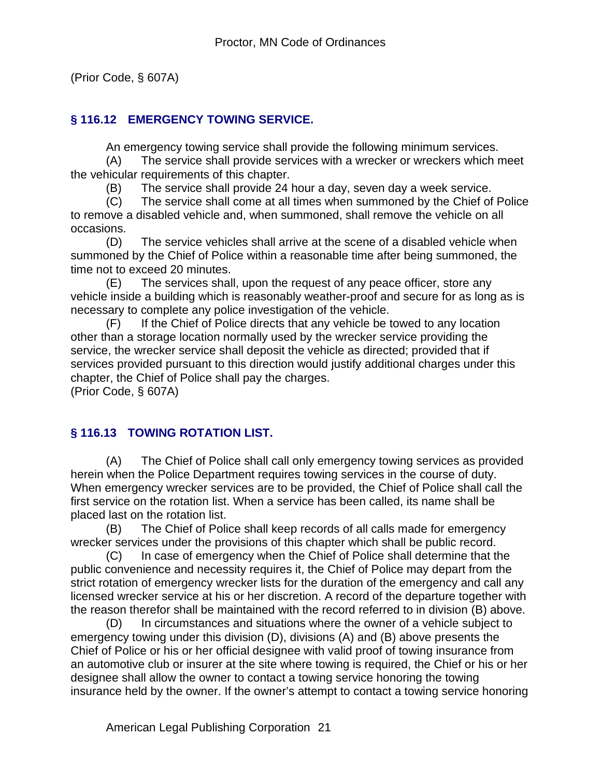(Prior Code, § 607A)

## **§ 116.12 EMERGENCY TOWING SERVICE.**

An emergency towing service shall provide the following minimum services.

(A) The service shall provide services with a wrecker or wreckers which meet the vehicular requirements of this chapter.

(B) The service shall provide 24 hour a day, seven day a week service.

(C) The service shall come at all times when summoned by the Chief of Police to remove a disabled vehicle and, when summoned, shall remove the vehicle on all occasions.

(D) The service vehicles shall arrive at the scene of a disabled vehicle when summoned by the Chief of Police within a reasonable time after being summoned, the time not to exceed 20 minutes.

(E) The services shall, upon the request of any peace officer, store any vehicle inside a building which is reasonably weather-proof and secure for as long as is necessary to complete any police investigation of the vehicle.

(F) If the Chief of Police directs that any vehicle be towed to any location other than a storage location normally used by the wrecker service providing the service, the wrecker service shall deposit the vehicle as directed; provided that if services provided pursuant to this direction would justify additional charges under this chapter, the Chief of Police shall pay the charges.

(Prior Code, § 607A)

# **§ 116.13 TOWING ROTATION LIST.**

(A) The Chief of Police shall call only emergency towing services as provided herein when the Police Department requires towing services in the course of duty. When emergency wrecker services are to be provided, the Chief of Police shall call the first service on the rotation list. When a service has been called, its name shall be placed last on the rotation list.

(B) The Chief of Police shall keep records of all calls made for emergency wrecker services under the provisions of this chapter which shall be public record.

(C) In case of emergency when the Chief of Police shall determine that the public convenience and necessity requires it, the Chief of Police may depart from the strict rotation of emergency wrecker lists for the duration of the emergency and call any licensed wrecker service at his or her discretion. A record of the departure together with the reason therefor shall be maintained with the record referred to in division (B) above.

(D) In circumstances and situations where the owner of a vehicle subject to emergency towing under this division (D), divisions (A) and (B) above presents the Chief of Police or his or her official designee with valid proof of towing insurance from an automotive club or insurer at the site where towing is required, the Chief or his or her designee shall allow the owner to contact a towing service honoring the towing insurance held by the owner. If the owner's attempt to contact a towing service honoring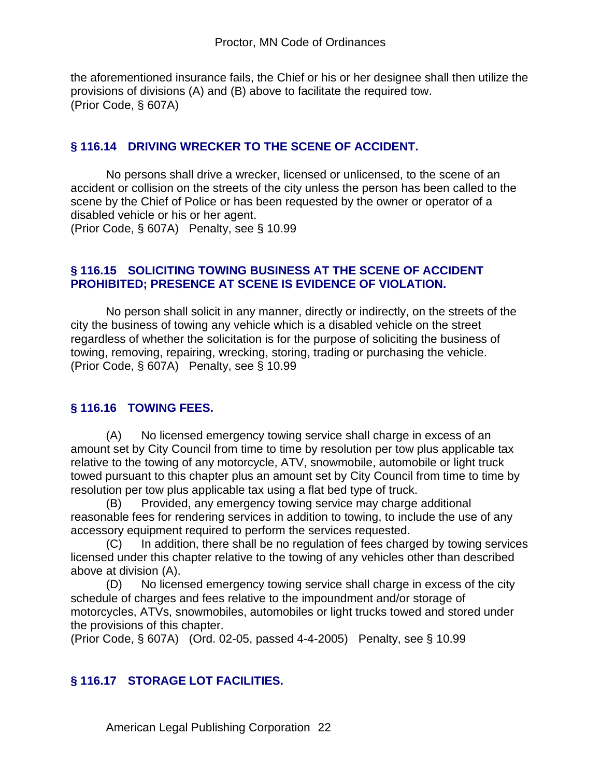the aforementioned insurance fails, the Chief or his or her designee shall then utilize the provisions of divisions (A) and (B) above to facilitate the required tow. (Prior Code, § 607A)

### **§ 116.14 DRIVING WRECKER TO THE SCENE OF ACCIDENT.**

No persons shall drive a wrecker, licensed or unlicensed, to the scene of an accident or collision on the streets of the city unless the person has been called to the scene by the Chief of Police or has been requested by the owner or operator of a disabled vehicle or his or her agent.

(Prior Code, § 607A) Penalty, see § 10.99

### **§ 116.15 SOLICITING TOWING BUSINESS AT THE SCENE OF ACCIDENT PROHIBITED; PRESENCE AT SCENE IS EVIDENCE OF VIOLATION.**

No person shall solicit in any manner, directly or indirectly, on the streets of the city the business of towing any vehicle which is a disabled vehicle on the street regardless of whether the solicitation is for the purpose of soliciting the business of towing, removing, repairing, wrecking, storing, trading or purchasing the vehicle. (Prior Code, § 607A) Penalty, see § 10.99

## **§ 116.16 TOWING FEES.**

(A) No licensed emergency towing service shall charge in excess of an amount set by City Council from time to time by resolution per tow plus applicable tax relative to the towing of any motorcycle, ATV, snowmobile, automobile or light truck towed pursuant to this chapter plus an amount set by City Council from time to time by resolution per tow plus applicable tax using a flat bed type of truck.

(B) Provided, any emergency towing service may charge additional reasonable fees for rendering services in addition to towing, to include the use of any accessory equipment required to perform the services requested.

(C) In addition, there shall be no regulation of fees charged by towing services licensed under this chapter relative to the towing of any vehicles other than described above at division (A).

(D) No licensed emergency towing service shall charge in excess of the city schedule of charges and fees relative to the impoundment and/or storage of motorcycles, ATVs, snowmobiles, automobiles or light trucks towed and stored under the provisions of this chapter.

(Prior Code, § 607A) (Ord. 02-05, passed 4-4-2005) Penalty, see § 10.99

## **§ 116.17 STORAGE LOT FACILITIES.**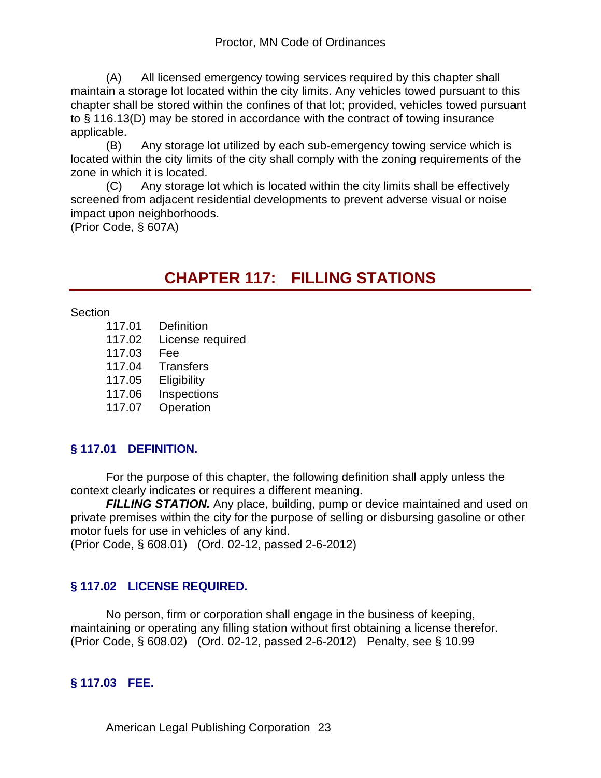(A) All licensed emergency towing services required by this chapter shall maintain a storage lot located within the city limits. Any vehicles towed pursuant to this chapter shall be stored within the confines of that lot; provided, vehicles towed pursuant to § 116.13(D) may be stored in accordance with the contract of towing insurance applicable.

(B) Any storage lot utilized by each sub-emergency towing service which is located within the city limits of the city shall comply with the zoning requirements of the zone in which it is located.

(C) Any storage lot which is located within the city limits shall be effectively screened from adjacent residential developments to prevent adverse visual or noise impact upon neighborhoods.

(Prior Code, § 607A)

# **CHAPTER 117: FILLING STATIONS**

**Section** 

- 117.01 Definition
- 117.02 License required
- 117.03 Fee
- 117.04 Transfers
- 117.05 Eligibility
- 117.06 Inspections
- 117.07 Operation

# **§ 117.01 DEFINITION.**

For the purpose of this chapter, the following definition shall apply unless the context clearly indicates or requires a different meaning.

**FILLING STATION.** Any place, building, pump or device maintained and used on private premises within the city for the purpose of selling or disbursing gasoline or other motor fuels for use in vehicles of any kind.

(Prior Code, § 608.01) (Ord. 02-12, passed 2-6-2012)

# **§ 117.02 LICENSE REQUIRED.**

No person, firm or corporation shall engage in the business of keeping, maintaining or operating any filling station without first obtaining a license therefor. (Prior Code, § 608.02) (Ord. 02-12, passed 2-6-2012) Penalty, see § 10.99

# **§ 117.03 FEE.**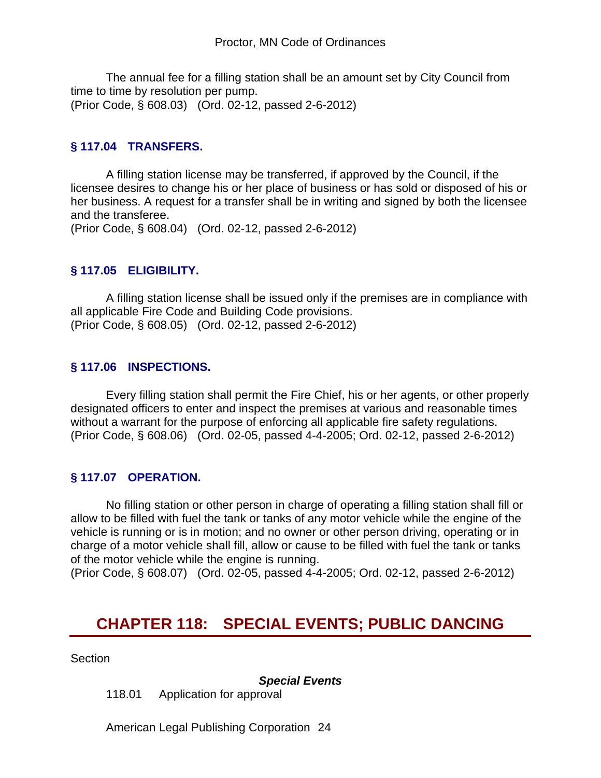The annual fee for a filling station shall be an amount set by City Council from time to time by resolution per pump. (Prior Code, § 608.03) (Ord. 02-12, passed 2-6-2012)

## **§ 117.04 TRANSFERS.**

A filling station license may be transferred, if approved by the Council, if the licensee desires to change his or her place of business or has sold or disposed of his or her business. A request for a transfer shall be in writing and signed by both the licensee and the transferee.

(Prior Code, § 608.04) (Ord. 02-12, passed 2-6-2012)

## **§ 117.05 ELIGIBILITY.**

A filling station license shall be issued only if the premises are in compliance with all applicable Fire Code and Building Code provisions. (Prior Code, § 608.05) (Ord. 02-12, passed 2-6-2012)

## **§ 117.06 INSPECTIONS.**

Every filling station shall permit the Fire Chief, his or her agents, or other properly designated officers to enter and inspect the premises at various and reasonable times without a warrant for the purpose of enforcing all applicable fire safety regulations. (Prior Code, § 608.06) (Ord. 02-05, passed 4-4-2005; Ord. 02-12, passed 2-6-2012)

## **§ 117.07 OPERATION.**

No filling station or other person in charge of operating a filling station shall fill or allow to be filled with fuel the tank or tanks of any motor vehicle while the engine of the vehicle is running or is in motion; and no owner or other person driving, operating or in charge of a motor vehicle shall fill, allow or cause to be filled with fuel the tank or tanks of the motor vehicle while the engine is running.

(Prior Code, § 608.07) (Ord. 02-05, passed 4-4-2005; Ord. 02-12, passed 2-6-2012)

# **CHAPTER 118: SPECIAL EVENTS; PUBLIC DANCING**

Section

*Special Events*

118.01 Application for approval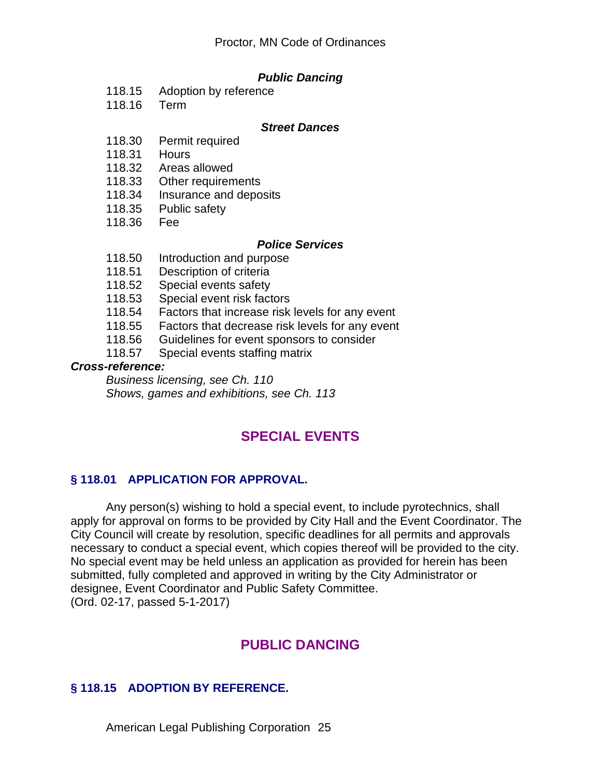### *Public Dancing*

- 118.15 Adoption by reference
- 118.16 Term

#### *Street Dances*

- 118.30 Permit required
- 118.31 Hours
- 118.32 Areas allowed<br>118.33 Other requirem
- 118.33 Other requirements<br>118.34 Insurance and depo
- Insurance and deposits
- 118.35 Public safety
- 118.36 Fee

#### *Police Services*

- 118.50 Introduction and purpose
- 118.51 Description of criteria<br>118.52 Special events safety
- Special events safety
- 118.53 Special event risk factors
- 118.54 Factors that increase risk levels for any event
- 118.55 Factors that decrease risk levels for any event
- 118.56 Guidelines for event sponsors to consider
- 118.57 Special events staffing matrix

#### *Cross-reference:*

*Business licensing, see Ch. 110 Shows, games and exhibitions, see Ch. 113*

# **SPECIAL EVENTS**

## **§ 118.01 APPLICATION FOR APPROVAL.**

Any person(s) wishing to hold a special event, to include pyrotechnics, shall apply for approval on forms to be provided by City Hall and the Event Coordinator. The City Council will create by resolution, specific deadlines for all permits and approvals necessary to conduct a special event, which copies thereof will be provided to the city. No special event may be held unless an application as provided for herein has been submitted, fully completed and approved in writing by the City Administrator or designee, Event Coordinator and Public Safety Committee. (Ord. 02-17, passed 5-1-2017)

# **PUBLIC DANCING**

## **§ 118.15 ADOPTION BY REFERENCE.**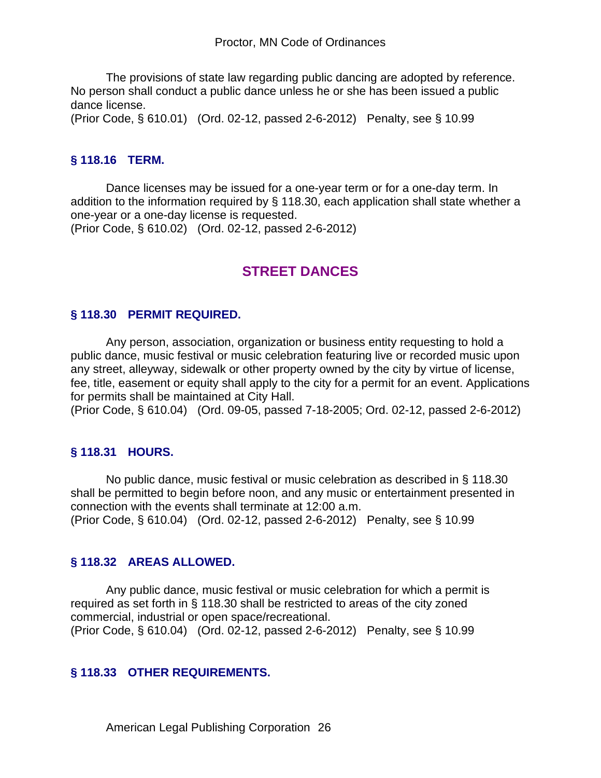The provisions of state law regarding public dancing are adopted by reference. No person shall conduct a public dance unless he or she has been issued a public dance license.

(Prior Code, § 610.01) (Ord. 02-12, passed 2-6-2012) Penalty, see § 10.99

### **§ 118.16 TERM.**

Dance licenses may be issued for a one-year term or for a one-day term. In addition to the information required by § 118.30, each application shall state whether a one-year or a one-day license is requested.

(Prior Code, § 610.02) (Ord. 02-12, passed 2-6-2012)

# **STREET DANCES**

#### **§ 118.30 PERMIT REQUIRED.**

Any person, association, organization or business entity requesting to hold a public dance, music festival or music celebration featuring live or recorded music upon any street, alleyway, sidewalk or other property owned by the city by virtue of license, fee, title, easement or equity shall apply to the city for a permit for an event. Applications for permits shall be maintained at City Hall.

(Prior Code, § 610.04) (Ord. 09-05, passed 7-18-2005; Ord. 02-12, passed 2-6-2012)

#### **§ 118.31 HOURS.**

No public dance, music festival or music celebration as described in § 118.30 shall be permitted to begin before noon, and any music or entertainment presented in connection with the events shall terminate at 12:00 a.m. (Prior Code, § 610.04) (Ord. 02-12, passed 2-6-2012) Penalty, see § 10.99

#### **§ 118.32 AREAS ALLOWED.**

Any public dance, music festival or music celebration for which a permit is required as set forth in § 118.30 shall be restricted to areas of the city zoned commercial, industrial or open space/recreational. (Prior Code, § 610.04) (Ord. 02-12, passed 2-6-2012) Penalty, see § 10.99

#### **§ 118.33 OTHER REQUIREMENTS.**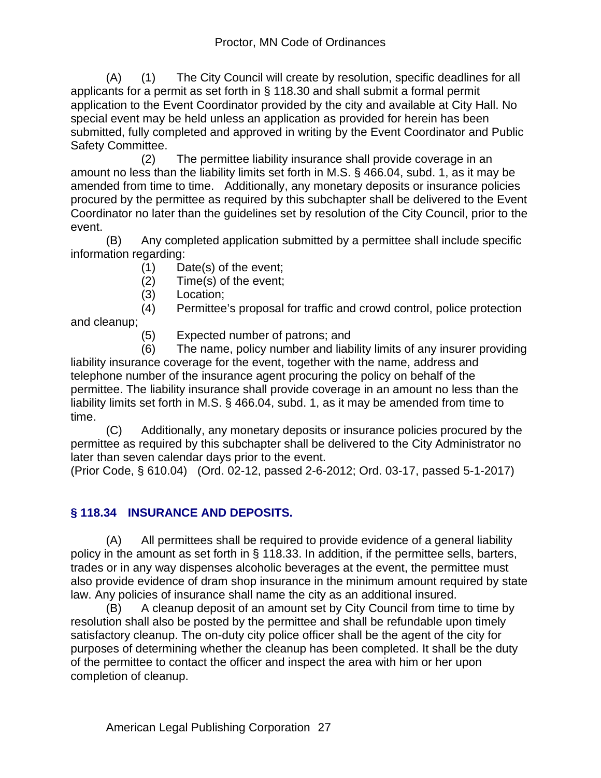(A) (1) The City Council will create by resolution, specific deadlines for all applicants for a permit as set forth in § 118.30 and shall submit a formal permit application to the Event Coordinator provided by the city and available at City Hall. No special event may be held unless an application as provided for herein has been submitted, fully completed and approved in writing by the Event Coordinator and Public Safety Committee.

 (2) The permittee liability insurance shall provide coverage in an amount no less than the liability limits set forth in M.S. § 466.04, subd. 1, as it may be amended from time to time. Additionally, any monetary deposits or insurance policies procured by the permittee as required by this subchapter shall be delivered to the Event Coordinator no later than the guidelines set by resolution of the City Council, prior to the event.

(B) Any completed application submitted by a permittee shall include specific information regarding:

- (1) Date(s) of the event;
- (2) Time(s) of the event;
- (3) Location;

(4) Permittee's proposal for traffic and crowd control, police protection

and cleanup;

(5) Expected number of patrons; and

 (6) The name, policy number and liability limits of any insurer providing liability insurance coverage for the event, together with the name, address and telephone number of the insurance agent procuring the policy on behalf of the permittee. The liability insurance shall provide coverage in an amount no less than the liability limits set forth in M.S. § 466.04, subd. 1, as it may be amended from time to time.

(C) Additionally, any monetary deposits or insurance policies procured by the permittee as required by this subchapter shall be delivered to the City Administrator no later than seven calendar days prior to the event.

(Prior Code, § 610.04) (Ord. 02-12, passed 2-6-2012; Ord. 03-17, passed 5-1-2017)

# **§ 118.34 INSURANCE AND DEPOSITS.**

(A) All permittees shall be required to provide evidence of a general liability policy in the amount as set forth in § 118.33. In addition, if the permittee sells, barters, trades or in any way dispenses alcoholic beverages at the event, the permittee must also provide evidence of dram shop insurance in the minimum amount required by state law. Any policies of insurance shall name the city as an additional insured.

(B) A cleanup deposit of an amount set by City Council from time to time by resolution shall also be posted by the permittee and shall be refundable upon timely satisfactory cleanup. The on-duty city police officer shall be the agent of the city for purposes of determining whether the cleanup has been completed. It shall be the duty of the permittee to contact the officer and inspect the area with him or her upon completion of cleanup.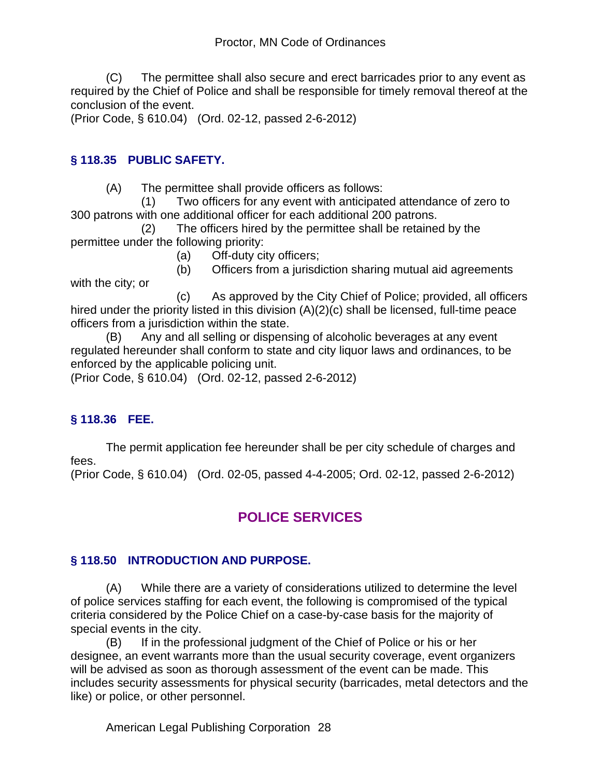(C) The permittee shall also secure and erect barricades prior to any event as required by the Chief of Police and shall be responsible for timely removal thereof at the conclusion of the event.

(Prior Code, § 610.04) (Ord. 02-12, passed 2-6-2012)

## **§ 118.35 PUBLIC SAFETY.**

(A) The permittee shall provide officers as follows:

 (1) Two officers for any event with anticipated attendance of zero to 300 patrons with one additional officer for each additional 200 patrons.

 (2) The officers hired by the permittee shall be retained by the permittee under the following priority:

(a) Off-duty city officers;

 (b) Officers from a jurisdiction sharing mutual aid agreements with the city; or

 (c) As approved by the City Chief of Police; provided, all officers hired under the priority listed in this division (A)(2)(c) shall be licensed, full-time peace officers from a jurisdiction within the state.

(B) Any and all selling or dispensing of alcoholic beverages at any event regulated hereunder shall conform to state and city liquor laws and ordinances, to be enforced by the applicable policing unit.

(Prior Code, § 610.04) (Ord. 02-12, passed 2-6-2012)

# **§ 118.36 FEE.**

The permit application fee hereunder shall be per city schedule of charges and fees. (Prior Code, § 610.04) (Ord. 02-05, passed 4-4-2005; Ord. 02-12, passed 2-6-2012)

# **POLICE SERVICES**

# **§ 118.50 INTRODUCTION AND PURPOSE.**

(A) While there are a variety of considerations utilized to determine the level of police services staffing for each event, the following is compromised of the typical criteria considered by the Police Chief on a case-by-case basis for the majority of special events in the city.

(B) If in the professional judgment of the Chief of Police or his or her designee, an event warrants more than the usual security coverage, event organizers will be advised as soon as thorough assessment of the event can be made. This includes security assessments for physical security (barricades, metal detectors and the like) or police, or other personnel.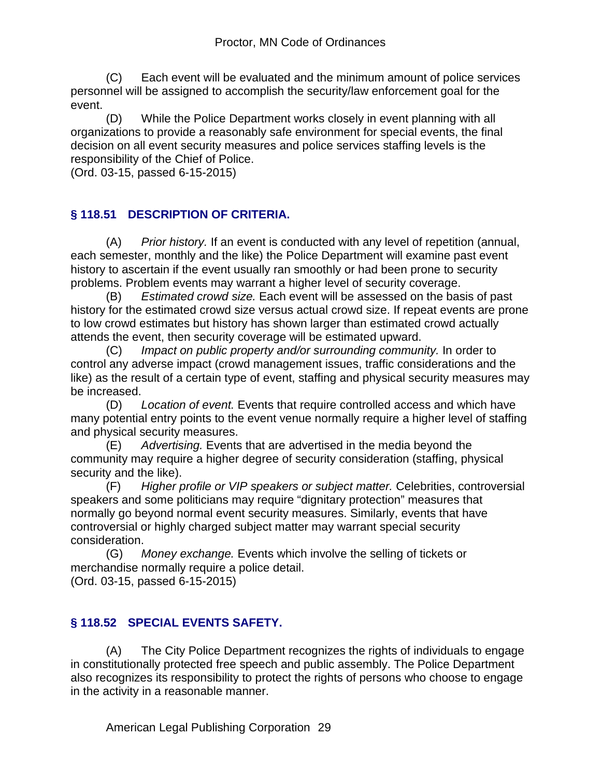(C) Each event will be evaluated and the minimum amount of police services personnel will be assigned to accomplish the security/law enforcement goal for the event.

(D) While the Police Department works closely in event planning with all organizations to provide a reasonably safe environment for special events, the final decision on all event security measures and police services staffing levels is the responsibility of the Chief of Police.

(Ord. 03-15, passed 6-15-2015)

# **§ 118.51 DESCRIPTION OF CRITERIA.**

(A) *Prior history.* If an event is conducted with any level of repetition (annual, each semester, monthly and the like) the Police Department will examine past event history to ascertain if the event usually ran smoothly or had been prone to security problems. Problem events may warrant a higher level of security coverage.

(B) *Estimated crowd size.* Each event will be assessed on the basis of past history for the estimated crowd size versus actual crowd size. If repeat events are prone to low crowd estimates but history has shown larger than estimated crowd actually attends the event, then security coverage will be estimated upward.

(C) *Impact on public property and/or surrounding community.* In order to control any adverse impact (crowd management issues, traffic considerations and the like) as the result of a certain type of event, staffing and physical security measures may be increased.

(D) *Location of event.* Events that require controlled access and which have many potential entry points to the event venue normally require a higher level of staffing and physical security measures.

(E) *Advertising.* Events that are advertised in the media beyond the community may require a higher degree of security consideration (staffing, physical security and the like).

(F) *Higher profile or VIP speakers or subject matter.* Celebrities, controversial speakers and some politicians may require "dignitary protection" measures that normally go beyond normal event security measures. Similarly, events that have controversial or highly charged subject matter may warrant special security consideration.

(G) *Money exchange.* Events which involve the selling of tickets or merchandise normally require a police detail.

(Ord. 03-15, passed 6-15-2015)

# **§ 118.52 SPECIAL EVENTS SAFETY.**

(A) The City Police Department recognizes the rights of individuals to engage in constitutionally protected free speech and public assembly. The Police Department also recognizes its responsibility to protect the rights of persons who choose to engage in the activity in a reasonable manner.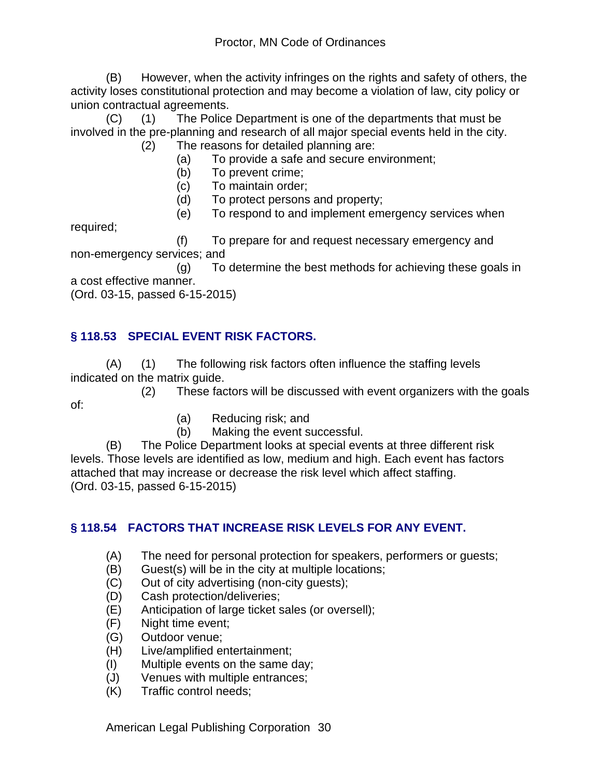(B) However, when the activity infringes on the rights and safety of others, the activity loses constitutional protection and may become a violation of law, city policy or union contractual agreements.

(C) (1) The Police Department is one of the departments that must be involved in the pre-planning and research of all major special events held in the city. (2) The reasons for detailed planning are:

- (a) To provide a safe and secure environment;
- (b) To prevent crime;
- (c) To maintain order;
- (d) To protect persons and property;
- (e) To respond to and implement emergency services when

required;

 (f) To prepare for and request necessary emergency and non-emergency services; and

 (g) To determine the best methods for achieving these goals in a cost effective manner.

(Ord. 03-15, passed 6-15-2015)

# **§ 118.53 SPECIAL EVENT RISK FACTORS.**

(A) (1) The following risk factors often influence the staffing levels indicated on the matrix guide.

 (2) These factors will be discussed with event organizers with the goals of:

- (a) Reducing risk; and
- (b) Making the event successful.

(B) The Police Department looks at special events at three different risk levels. Those levels are identified as low, medium and high. Each event has factors attached that may increase or decrease the risk level which affect staffing. (Ord. 03-15, passed 6-15-2015)

## **§ 118.54 FACTORS THAT INCREASE RISK LEVELS FOR ANY EVENT.**

- (A) The need for personal protection for speakers, performers or guests;
- (B) Guest(s) will be in the city at multiple locations;
- (C) Out of city advertising (non-city guests);
- (D) Cash protection/deliveries;
- (E) Anticipation of large ticket sales (or oversell);
- (F) Night time event;
- (G) Outdoor venue;
- (H) Live/amplified entertainment;
- (I) Multiple events on the same day;
- (J) Venues with multiple entrances;
- (K) Traffic control needs;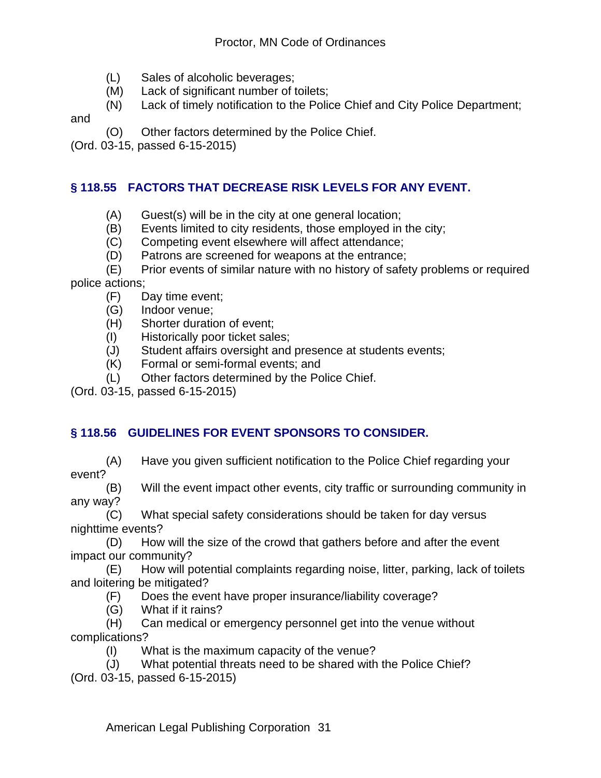- (L) Sales of alcoholic beverages;
- (M) Lack of significant number of toilets;
- (N) Lack of timely notification to the Police Chief and City Police Department;

and

(O) Other factors determined by the Police Chief.

(Ord. 03-15, passed 6-15-2015)

## **§ 118.55 FACTORS THAT DECREASE RISK LEVELS FOR ANY EVENT.**

- (A) Guest(s) will be in the city at one general location;
- (B) Events limited to city residents, those employed in the city;
- (C) Competing event elsewhere will affect attendance;
- (D) Patrons are screened for weapons at the entrance;
- (E) Prior events of similar nature with no history of safety problems or required police actions;
	- (F) Day time event;
	- (G) Indoor venue;
	- (H) Shorter duration of event;
	- (I) Historically poor ticket sales;
	- (J) Student affairs oversight and presence at students events;
	- (K) Formal or semi-formal events; and
	- (L) Other factors determined by the Police Chief.
- (Ord. 03-15, passed 6-15-2015)

# **§ 118.56 GUIDELINES FOR EVENT SPONSORS TO CONSIDER.**

(A) Have you given sufficient notification to the Police Chief regarding your event?

(B) Will the event impact other events, city traffic or surrounding community in any way?

(C) What special safety considerations should be taken for day versus nighttime events?

(D) How will the size of the crowd that gathers before and after the event impact our community?

(E) How will potential complaints regarding noise, litter, parking, lack of toilets and loitering be mitigated?

- (F) Does the event have proper insurance/liability coverage?
- (G) What if it rains?

(H) Can medical or emergency personnel get into the venue without complications?

- (I) What is the maximum capacity of the venue?
- (J) What potential threats need to be shared with the Police Chief?

(Ord. 03-15, passed 6-15-2015)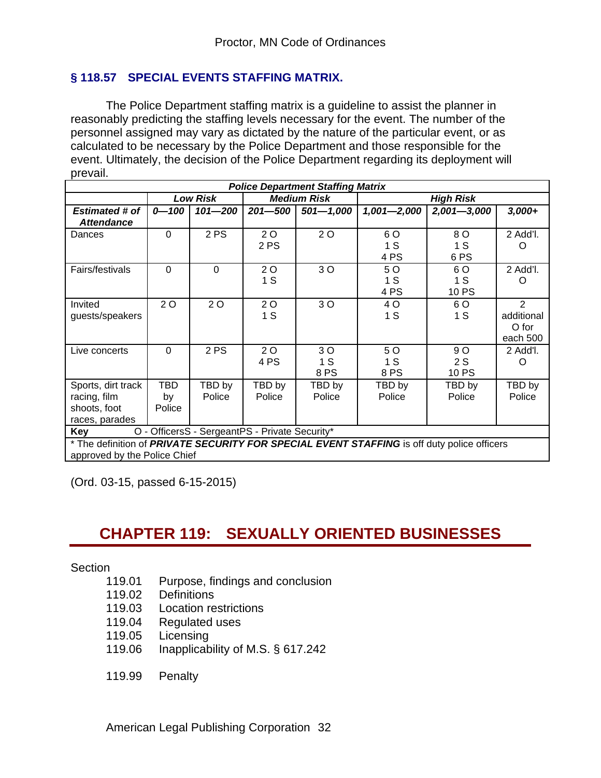## **§ 118.57 SPECIAL EVENTS STAFFING MATRIX.**

The Police Department staffing matrix is a guideline to assist the planner in reasonably predicting the staffing levels necessary for the event. The number of the personnel assigned may vary as dictated by the nature of the particular event, or as calculated to be necessary by the Police Department and those responsible for the event. Ultimately, the decision of the Police Department regarding its deployment will prevail.

| <b>Police Department Staffing Matrix</b>                                                    |          |                 |                    |               |                  |                 |            |  |  |
|---------------------------------------------------------------------------------------------|----------|-----------------|--------------------|---------------|------------------|-----------------|------------|--|--|
|                                                                                             |          | <b>Low Risk</b> | <b>Medium Risk</b> |               | <b>High Risk</b> |                 |            |  |  |
| <b>Estimated # of</b>                                                                       | 0-100    | $101 - 200$     | $201 - 500$        | $501 - 1,000$ | $1,001 - 2,000$  | $2,001 - 3,000$ | $3,000+$   |  |  |
| <b>Attendance</b>                                                                           |          |                 |                    |               |                  |                 |            |  |  |
| Dances                                                                                      | $\Omega$ | 2PS             | 2 O                | 2 O           | 6 O              | 8 O             | 2 Add'l.   |  |  |
|                                                                                             |          |                 | 2 PS               |               | 1 S              | 1 S             | O          |  |  |
|                                                                                             |          |                 |                    |               | 4 PS             | 6 PS            |            |  |  |
| Fairs/festivals                                                                             | $\Omega$ | $\Omega$        | 2 O                | 30            | 5 O              | 6 O             | 2 Add'l.   |  |  |
|                                                                                             |          |                 | 1S                 |               | 1S               | 1S              | O          |  |  |
|                                                                                             |          |                 |                    |               | 4 PS             | 10 PS           |            |  |  |
| Invited                                                                                     | 20       | 2 O             | 20                 | 3 O           | 4 O              | 6 O             | 2          |  |  |
| guests/speakers                                                                             |          |                 | 1S                 |               | 1S               | 1S              | additional |  |  |
|                                                                                             |          |                 |                    |               |                  |                 | O for      |  |  |
|                                                                                             |          |                 |                    |               |                  |                 | each 500   |  |  |
| Live concerts                                                                               | $\Omega$ | 2PS             | 20                 | 3 O           | 5 O              | 9 O             | 2 Add'l.   |  |  |
|                                                                                             |          |                 | 4 PS               | 1S            | 1S               | 2S              | O          |  |  |
|                                                                                             |          |                 |                    | 8PS           | 8 PS             | 10 PS           |            |  |  |
| Sports, dirt track                                                                          | TBD      | TBD by          | TBD by             | TBD by        | TBD by           | TBD by          | TBD by     |  |  |
| racing, film                                                                                | by       | Police          | Police             | Police        | Police           | Police          | Police     |  |  |
| shoots, foot                                                                                | Police   |                 |                    |               |                  |                 |            |  |  |
| races, parades                                                                              |          |                 |                    |               |                  |                 |            |  |  |
| O - OfficersS - SergeantPS - Private Security*<br>Key                                       |          |                 |                    |               |                  |                 |            |  |  |
| * The definition of PRIVATE SECURITY FOR SPECIAL EVENT STAFFING is off duty police officers |          |                 |                    |               |                  |                 |            |  |  |

approved by the Police Chief

(Ord. 03-15, passed 6-15-2015)

# **CHAPTER 119: SEXUALLY ORIENTED BUSINESSES**

**Section** 

- 119.01 Purpose, findings and conclusion
- 119.02 Definitions
- 119.03 Location restrictions
- 119.04 Regulated uses
- 119.05 Licensing
- 119.06 Inapplicability of M.S. § 617.242
- 119.99 Penalty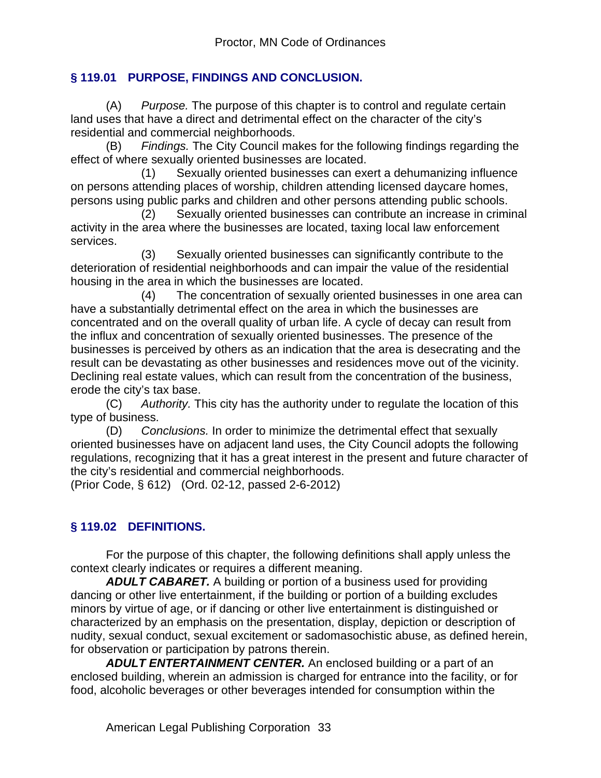## **§ 119.01 PURPOSE, FINDINGS AND CONCLUSION.**

(A) *Purpose.* The purpose of this chapter is to control and regulate certain land uses that have a direct and detrimental effect on the character of the city's residential and commercial neighborhoods.

(B) *Findings.* The City Council makes for the following findings regarding the effect of where sexually oriented businesses are located.

 (1) Sexually oriented businesses can exert a dehumanizing influence on persons attending places of worship, children attending licensed daycare homes, persons using public parks and children and other persons attending public schools.

 (2) Sexually oriented businesses can contribute an increase in criminal activity in the area where the businesses are located, taxing local law enforcement services.

 (3) Sexually oriented businesses can significantly contribute to the deterioration of residential neighborhoods and can impair the value of the residential housing in the area in which the businesses are located.

 (4) The concentration of sexually oriented businesses in one area can have a substantially detrimental effect on the area in which the businesses are concentrated and on the overall quality of urban life. A cycle of decay can result from the influx and concentration of sexually oriented businesses. The presence of the businesses is perceived by others as an indication that the area is desecrating and the result can be devastating as other businesses and residences move out of the vicinity. Declining real estate values, which can result from the concentration of the business, erode the city's tax base.

(C) *Authority.* This city has the authority under to regulate the location of this type of business.

(D) *Conclusions.* In order to minimize the detrimental effect that sexually oriented businesses have on adjacent land uses, the City Council adopts the following regulations, recognizing that it has a great interest in the present and future character of the city's residential and commercial neighborhoods.

(Prior Code, § 612) (Ord. 02-12, passed 2-6-2012)

# **§ 119.02 DEFINITIONS.**

For the purpose of this chapter, the following definitions shall apply unless the context clearly indicates or requires a different meaning.

*ADULT CABARET.* A building or portion of a business used for providing dancing or other live entertainment, if the building or portion of a building excludes minors by virtue of age, or if dancing or other live entertainment is distinguished or characterized by an emphasis on the presentation, display, depiction or description of nudity, sexual conduct, sexual excitement or sadomasochistic abuse, as defined herein, for observation or participation by patrons therein.

*ADULT ENTERTAINMENT CENTER.* An enclosed building or a part of an enclosed building, wherein an admission is charged for entrance into the facility, or for food, alcoholic beverages or other beverages intended for consumption within the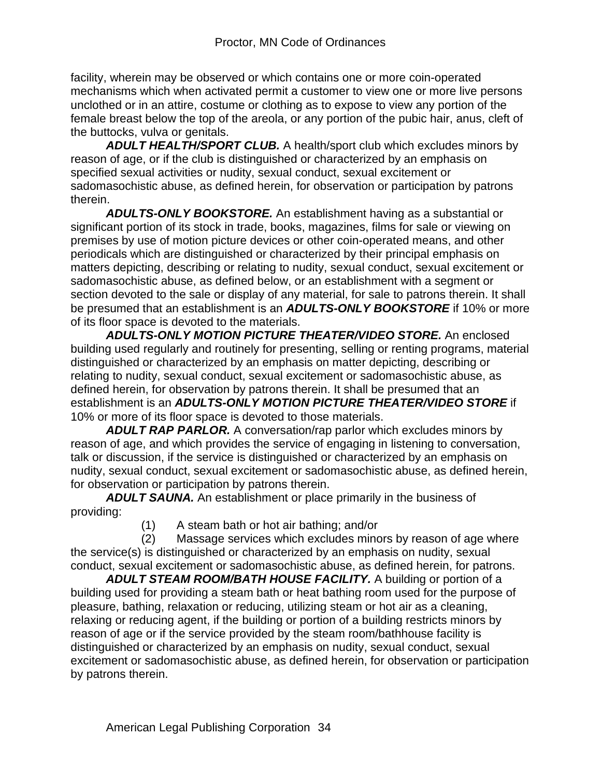facility, wherein may be observed or which contains one or more coin-operated mechanisms which when activated permit a customer to view one or more live persons unclothed or in an attire, costume or clothing as to expose to view any portion of the female breast below the top of the areola, or any portion of the pubic hair, anus, cleft of the buttocks, vulva or genitals.

*ADULT HEALTH/SPORT CLUB.* A health/sport club which excludes minors by reason of age, or if the club is distinguished or characterized by an emphasis on specified sexual activities or nudity, sexual conduct, sexual excitement or sadomasochistic abuse, as defined herein, for observation or participation by patrons therein.

*ADULTS-ONLY BOOKSTORE.* An establishment having as a substantial or significant portion of its stock in trade, books, magazines, films for sale or viewing on premises by use of motion picture devices or other coin-operated means, and other periodicals which are distinguished or characterized by their principal emphasis on matters depicting, describing or relating to nudity, sexual conduct, sexual excitement or sadomasochistic abuse, as defined below, or an establishment with a segment or section devoted to the sale or display of any material, for sale to patrons therein. It shall be presumed that an establishment is an *ADULTS-ONLY BOOKSTORE* if 10% or more of its floor space is devoted to the materials.

*ADULTS-ONLY MOTION PICTURE THEATER/VIDEO STORE.* An enclosed building used regularly and routinely for presenting, selling or renting programs, material distinguished or characterized by an emphasis on matter depicting, describing or relating to nudity, sexual conduct, sexual excitement or sadomasochistic abuse, as defined herein, for observation by patrons therein. It shall be presumed that an establishment is an *ADULTS-ONLY MOTION PICTURE THEATER/VIDEO STORE* if 10% or more of its floor space is devoted to those materials.

*ADULT RAP PARLOR.* A conversation/rap parlor which excludes minors by reason of age, and which provides the service of engaging in listening to conversation, talk or discussion, if the service is distinguished or characterized by an emphasis on nudity, sexual conduct, sexual excitement or sadomasochistic abuse, as defined herein, for observation or participation by patrons therein.

*ADULT SAUNA.* An establishment or place primarily in the business of providing:

(1) A steam bath or hot air bathing; and/or

 (2) Massage services which excludes minors by reason of age where the service(s) is distinguished or characterized by an emphasis on nudity, sexual conduct, sexual excitement or sadomasochistic abuse, as defined herein, for patrons.

*ADULT STEAM ROOM/BATH HOUSE FACILITY.* A building or portion of a building used for providing a steam bath or heat bathing room used for the purpose of pleasure, bathing, relaxation or reducing, utilizing steam or hot air as a cleaning, relaxing or reducing agent, if the building or portion of a building restricts minors by reason of age or if the service provided by the steam room/bathhouse facility is distinguished or characterized by an emphasis on nudity, sexual conduct, sexual excitement or sadomasochistic abuse, as defined herein, for observation or participation by patrons therein.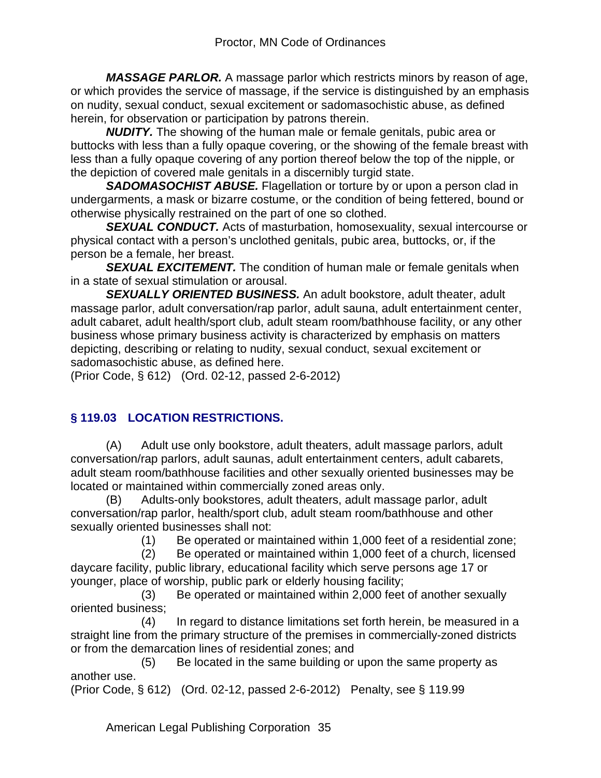*MASSAGE PARLOR.* A massage parlor which restricts minors by reason of age, or which provides the service of massage, if the service is distinguished by an emphasis on nudity, sexual conduct, sexual excitement or sadomasochistic abuse, as defined herein, for observation or participation by patrons therein.

*NUDITY.* The showing of the human male or female genitals, pubic area or buttocks with less than a fully opaque covering, or the showing of the female breast with less than a fully opaque covering of any portion thereof below the top of the nipple, or the depiction of covered male genitals in a discernibly turgid state.

*SADOMASOCHIST ABUSE.* Flagellation or torture by or upon a person clad in undergarments, a mask or bizarre costume, or the condition of being fettered, bound or otherwise physically restrained on the part of one so clothed.

**SEXUAL CONDUCT.** Acts of masturbation, homosexuality, sexual intercourse or physical contact with a person's unclothed genitals, pubic area, buttocks, or, if the person be a female, her breast.

*SEXUAL EXCITEMENT.* The condition of human male or female genitals when in a state of sexual stimulation or arousal.

*SEXUALLY ORIENTED BUSINESS.* An adult bookstore, adult theater, adult massage parlor, adult conversation/rap parlor, adult sauna, adult entertainment center, adult cabaret, adult health/sport club, adult steam room/bathhouse facility, or any other business whose primary business activity is characterized by emphasis on matters depicting, describing or relating to nudity, sexual conduct, sexual excitement or sadomasochistic abuse, as defined here.

(Prior Code, § 612) (Ord. 02-12, passed 2-6-2012)

# **§ 119.03 LOCATION RESTRICTIONS.**

(A) Adult use only bookstore, adult theaters, adult massage parlors, adult conversation/rap parlors, adult saunas, adult entertainment centers, adult cabarets, adult steam room/bathhouse facilities and other sexually oriented businesses may be located or maintained within commercially zoned areas only.

(B) Adults-only bookstores, adult theaters, adult massage parlor, adult conversation/rap parlor, health/sport club, adult steam room/bathhouse and other sexually oriented businesses shall not:

(1) Be operated or maintained within 1,000 feet of a residential zone;

 (2) Be operated or maintained within 1,000 feet of a church, licensed daycare facility, public library, educational facility which serve persons age 17 or younger, place of worship, public park or elderly housing facility;

 (3) Be operated or maintained within 2,000 feet of another sexually oriented business;

 (4) In regard to distance limitations set forth herein, be measured in a straight line from the primary structure of the premises in commercially-zoned districts or from the demarcation lines of residential zones; and

 (5) Be located in the same building or upon the same property as another use.

(Prior Code, § 612) (Ord. 02-12, passed 2-6-2012) Penalty, see § 119.99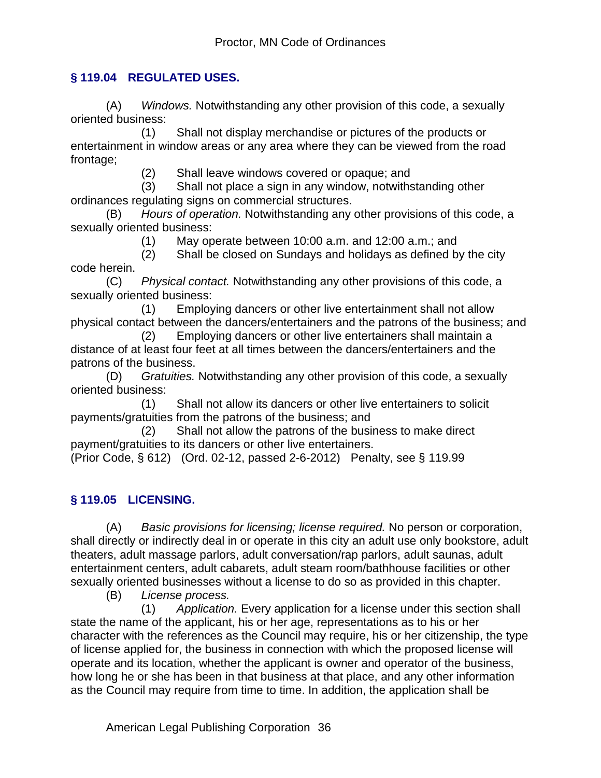## **§ 119.04 REGULATED USES.**

(A) *Windows.* Notwithstanding any other provision of this code, a sexually oriented business:

 (1) Shall not display merchandise or pictures of the products or entertainment in window areas or any area where they can be viewed from the road frontage;

(2) Shall leave windows covered or opaque; and

 (3) Shall not place a sign in any window, notwithstanding other ordinances regulating signs on commercial structures.

(B) *Hours of operation.* Notwithstanding any other provisions of this code, a sexually oriented business:

(1) May operate between 10:00 a.m. and 12:00 a.m.; and

 (2) Shall be closed on Sundays and holidays as defined by the city code herein.

(C) *Physical contact.* Notwithstanding any other provisions of this code, a sexually oriented business:

 (1) Employing dancers or other live entertainment shall not allow physical contact between the dancers/entertainers and the patrons of the business; and

 (2) Employing dancers or other live entertainers shall maintain a distance of at least four feet at all times between the dancers/entertainers and the patrons of the business.

(D) *Gratuities.* Notwithstanding any other provision of this code, a sexually oriented business:

 (1) Shall not allow its dancers or other live entertainers to solicit payments/gratuities from the patrons of the business; and

 (2) Shall not allow the patrons of the business to make direct payment/gratuities to its dancers or other live entertainers.

(Prior Code, § 612) (Ord. 02-12, passed 2-6-2012) Penalty, see § 119.99

# **§ 119.05 LICENSING.**

(A) *Basic provisions for licensing; license required.* No person or corporation, shall directly or indirectly deal in or operate in this city an adult use only bookstore, adult theaters, adult massage parlors, adult conversation/rap parlors, adult saunas, adult entertainment centers, adult cabarets, adult steam room/bathhouse facilities or other sexually oriented businesses without a license to do so as provided in this chapter.

(B) *License process.*

 (1) *Application.* Every application for a license under this section shall state the name of the applicant, his or her age, representations as to his or her character with the references as the Council may require, his or her citizenship, the type of license applied for, the business in connection with which the proposed license will operate and its location, whether the applicant is owner and operator of the business, how long he or she has been in that business at that place, and any other information as the Council may require from time to time. In addition, the application shall be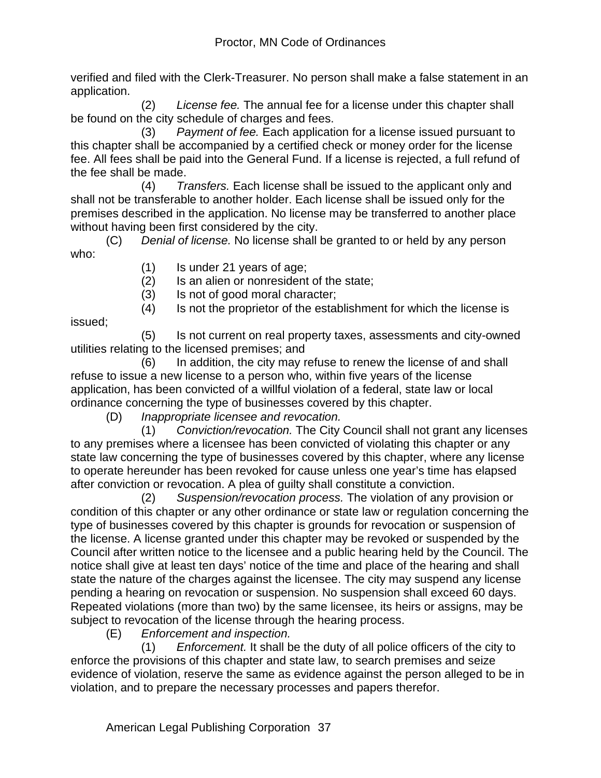verified and filed with the Clerk-Treasurer. No person shall make a false statement in an application.

 (2) *License fee.* The annual fee for a license under this chapter shall be found on the city schedule of charges and fees.

 (3) *Payment of fee.* Each application for a license issued pursuant to this chapter shall be accompanied by a certified check or money order for the license fee. All fees shall be paid into the General Fund. If a license is rejected, a full refund of the fee shall be made.

 (4) *Transfers.* Each license shall be issued to the applicant only and shall not be transferable to another holder. Each license shall be issued only for the premises described in the application. No license may be transferred to another place without having been first considered by the city.

(C) *Denial of license.* No license shall be granted to or held by any person who:

- (1) Is under 21 years of age;
- (2) Is an alien or nonresident of the state;
- (3) Is not of good moral character;

(4) Is not the proprietor of the establishment for which the license is

issued;

 (5) Is not current on real property taxes, assessments and city-owned utilities relating to the licensed premises; and

 (6) In addition, the city may refuse to renew the license of and shall refuse to issue a new license to a person who, within five years of the license application, has been convicted of a willful violation of a federal, state law or local ordinance concerning the type of businesses covered by this chapter.

(D) *Inappropriate licensee and revocation.*

 (1) *Conviction/revocation.* The City Council shall not grant any licenses to any premises where a licensee has been convicted of violating this chapter or any state law concerning the type of businesses covered by this chapter, where any license to operate hereunder has been revoked for cause unless one year's time has elapsed after conviction or revocation. A plea of guilty shall constitute a conviction.

 (2) *Suspension/revocation process.* The violation of any provision or condition of this chapter or any other ordinance or state law or regulation concerning the type of businesses covered by this chapter is grounds for revocation or suspension of the license. A license granted under this chapter may be revoked or suspended by the Council after written notice to the licensee and a public hearing held by the Council. The notice shall give at least ten days' notice of the time and place of the hearing and shall state the nature of the charges against the licensee. The city may suspend any license pending a hearing on revocation or suspension. No suspension shall exceed 60 days. Repeated violations (more than two) by the same licensee, its heirs or assigns, may be subject to revocation of the license through the hearing process.

(E) *Enforcement and inspection.*

 (1) *Enforcement.* It shall be the duty of all police officers of the city to enforce the provisions of this chapter and state law, to search premises and seize evidence of violation, reserve the same as evidence against the person alleged to be in violation, and to prepare the necessary processes and papers therefor.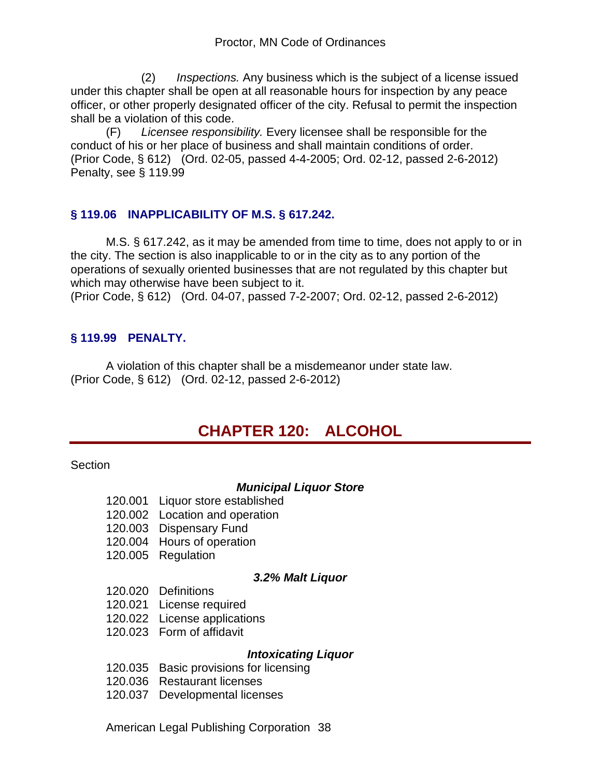(2) *Inspections.* Any business which is the subject of a license issued under this chapter shall be open at all reasonable hours for inspection by any peace officer, or other properly designated officer of the city. Refusal to permit the inspection shall be a violation of this code.

(F) *Licensee responsibility.* Every licensee shall be responsible for the conduct of his or her place of business and shall maintain conditions of order. (Prior Code, § 612) (Ord. 02-05, passed 4-4-2005; Ord. 02-12, passed 2-6-2012) Penalty, see § 119.99

## **§ 119.06 INAPPLICABILITY OF M.S. § 617.242.**

M.S. § 617.242, as it may be amended from time to time, does not apply to or in the city. The section is also inapplicable to or in the city as to any portion of the operations of sexually oriented businesses that are not regulated by this chapter but which may otherwise have been subject to it.

(Prior Code, § 612) (Ord. 04-07, passed 7-2-2007; Ord. 02-12, passed 2-6-2012)

## **§ 119.99 PENALTY.**

A violation of this chapter shall be a misdemeanor under state law. (Prior Code, § 612) (Ord. 02-12, passed 2-6-2012)

# **CHAPTER 120: ALCOHOL**

**Section** 

#### *Municipal Liquor Store*

- 120.001 Liquor store established
- 120.002 Location and operation
- 120.003 Dispensary Fund
- 120.004 Hours of operation
- 120.005 Regulation

#### *3.2% Malt Liquor*

- 120.020 Definitions
- 120.021 License required
- 120.022 License applications
- 120.023 Form of affidavit

#### *Intoxicating Liquor*

- 120.035 Basic provisions for licensing
- 120.036 Restaurant licenses
- 120.037 Developmental licenses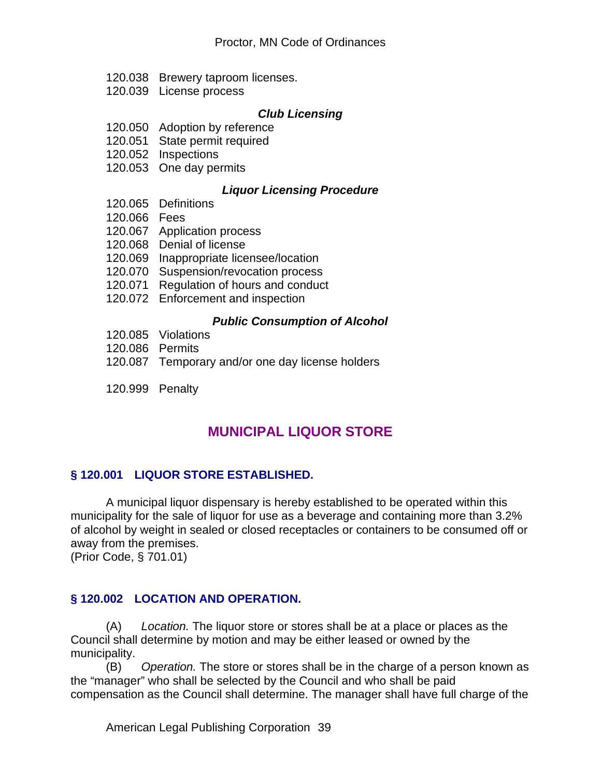- 120.038 Brewery taproom licenses.
- 120.039 License process

#### *Club Licensing*

- 120.050 Adoption by reference
- 120.051 State permit required
- 120.052 Inspections
- 120.053 One day permits

#### *Liquor Licensing Procedure*

- 120.065 Definitions
- 120.066 Fees
- 120.067 Application process
- 120.068 Denial of license
- 120.069 Inappropriate licensee/location
- 120.070 Suspension/revocation process
- 120.071 Regulation of hours and conduct
- 120.072 Enforcement and inspection

#### *Public Consumption of Alcohol*

- 120.085 Violations
- 120.086 Permits
- 120.087 Temporary and/or one day license holders
- 120.999 Penalty

# **MUNICIPAL LIQUOR STORE**

#### **§ 120.001 LIQUOR STORE ESTABLISHED.**

A municipal liquor dispensary is hereby established to be operated within this municipality for the sale of liquor for use as a beverage and containing more than 3.2% of alcohol by weight in sealed or closed receptacles or containers to be consumed off or away from the premises.

(Prior Code, § 701.01)

#### **§ 120.002 LOCATION AND OPERATION.**

(A) *Location.* The liquor store or stores shall be at a place or places as the Council shall determine by motion and may be either leased or owned by the municipality.

(B) *Operation.* The store or stores shall be in the charge of a person known as the "manager" who shall be selected by the Council and who shall be paid compensation as the Council shall determine. The manager shall have full charge of the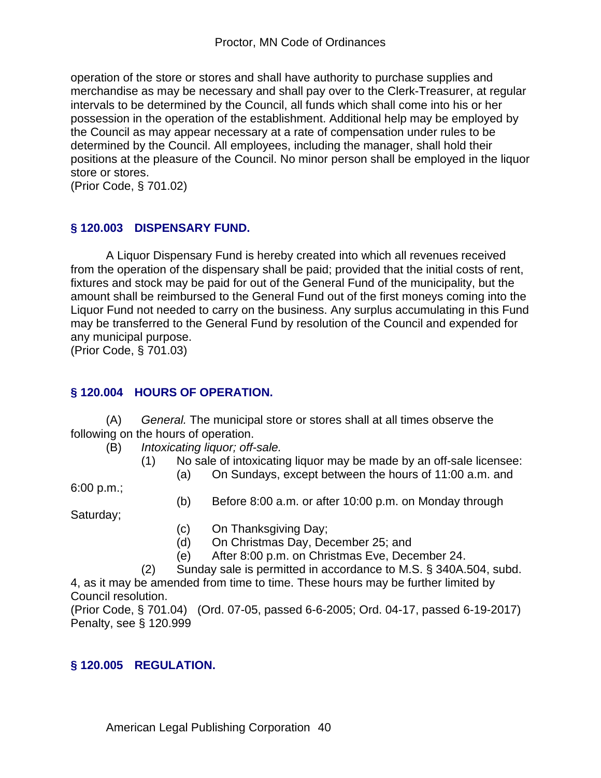operation of the store or stores and shall have authority to purchase supplies and merchandise as may be necessary and shall pay over to the Clerk-Treasurer, at regular intervals to be determined by the Council, all funds which shall come into his or her possession in the operation of the establishment. Additional help may be employed by the Council as may appear necessary at a rate of compensation under rules to be determined by the Council. All employees, including the manager, shall hold their positions at the pleasure of the Council. No minor person shall be employed in the liquor store or stores.

(Prior Code, § 701.02)

## **§ 120.003 DISPENSARY FUND.**

A Liquor Dispensary Fund is hereby created into which all revenues received from the operation of the dispensary shall be paid; provided that the initial costs of rent, fixtures and stock may be paid for out of the General Fund of the municipality, but the amount shall be reimbursed to the General Fund out of the first moneys coming into the Liquor Fund not needed to carry on the business. Any surplus accumulating in this Fund may be transferred to the General Fund by resolution of the Council and expended for any municipal purpose.

(Prior Code, § 701.03)

## **§ 120.004 HOURS OF OPERATION.**

(A) *General.* The municipal store or stores shall at all times observe the following on the hours of operation.

- (B) *Intoxicating liquor; off-sale.*
	- (1) No sale of intoxicating liquor may be made by an off-sale licensee:
		- (a) On Sundays, except between the hours of 11:00 a.m. and

6:00 p.m.;

(b) Before 8:00 a.m. or after 10:00 p.m. on Monday through

Saturday;

- (c) On Thanksgiving Day;
- (d) On Christmas Day, December 25; and
- (e) After 8:00 p.m. on Christmas Eve, December 24.
- (2) Sunday sale is permitted in accordance to M.S. § 340A.504, subd.

4, as it may be amended from time to time. These hours may be further limited by Council resolution.

(Prior Code, § 701.04) (Ord. 07-05, passed 6-6-2005; Ord. 04-17, passed 6-19-2017) Penalty, see § 120.999

## **§ 120.005 REGULATION.**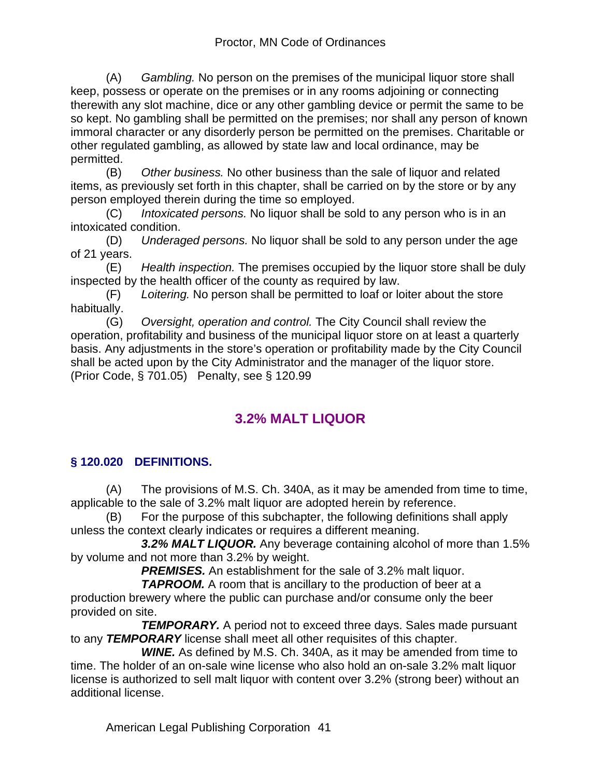(A) *Gambling.* No person on the premises of the municipal liquor store shall keep, possess or operate on the premises or in any rooms adjoining or connecting therewith any slot machine, dice or any other gambling device or permit the same to be so kept. No gambling shall be permitted on the premises; nor shall any person of known immoral character or any disorderly person be permitted on the premises. Charitable or other regulated gambling, as allowed by state law and local ordinance, may be permitted.

(B) *Other business.* No other business than the sale of liquor and related items, as previously set forth in this chapter, shall be carried on by the store or by any person employed therein during the time so employed.

(C) *Intoxicated persons.* No liquor shall be sold to any person who is in an intoxicated condition.

(D) *Underaged persons.* No liquor shall be sold to any person under the age of 21 years.

(E) *Health inspection.* The premises occupied by the liquor store shall be duly inspected by the health officer of the county as required by law.

(F) *Loitering.* No person shall be permitted to loaf or loiter about the store habitually.

(G) *Oversight, operation and control.* The City Council shall review the operation, profitability and business of the municipal liquor store on at least a quarterly basis. Any adjustments in the store's operation or profitability made by the City Council shall be acted upon by the City Administrator and the manager of the liquor store. (Prior Code, § 701.05) Penalty, see § 120.99

# **3.2% MALT LIQUOR**

# **§ 120.020 DEFINITIONS.**

(A) The provisions of M.S. Ch. 340A, as it may be amended from time to time, applicable to the sale of 3.2% malt liquor are adopted herein by reference.

(B) For the purpose of this subchapter, the following definitions shall apply unless the context clearly indicates or requires a different meaning.

 *3.2% MALT LIQUOR.* Any beverage containing alcohol of more than 1.5% by volume and not more than 3.2% by weight.

**PREMISES.** An establishment for the sale of 3.2% malt liquor.

**TAPROOM.** A room that is ancillary to the production of beer at a production brewery where the public can purchase and/or consume only the beer provided on site.

 *TEMPORARY.* A period not to exceed three days. Sales made pursuant to any *TEMPORARY* license shall meet all other requisites of this chapter.

 *WINE.* As defined by M.S. Ch. 340A, as it may be amended from time to time. The holder of an on-sale wine license who also hold an on-sale 3.2% malt liquor license is authorized to sell malt liquor with content over 3.2% (strong beer) without an additional license.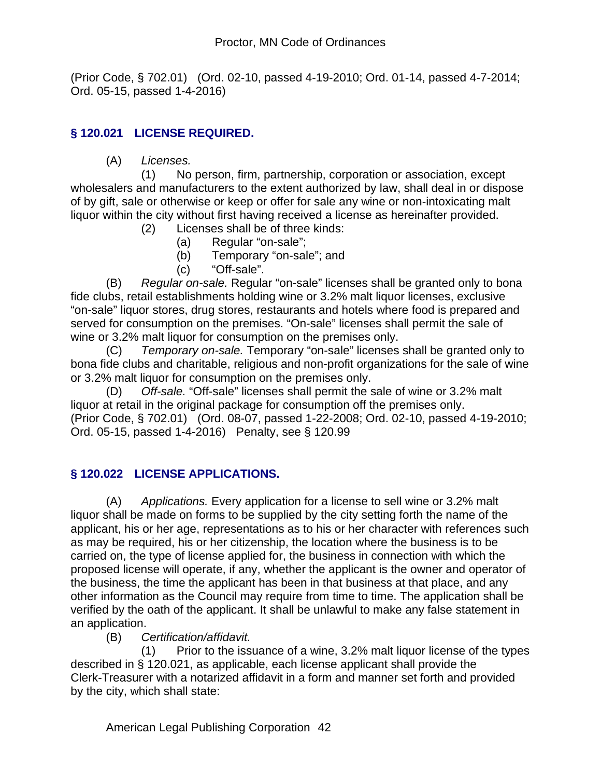(Prior Code, § 702.01) (Ord. 02-10, passed 4-19-2010; Ord. 01-14, passed 4-7-2014; Ord. 05-15, passed 1-4-2016)

# **§ 120.021 LICENSE REQUIRED.**

(A) *Licenses.*

 (1) No person, firm, partnership, corporation or association, except wholesalers and manufacturers to the extent authorized by law, shall deal in or dispose of by gift, sale or otherwise or keep or offer for sale any wine or non-intoxicating malt liquor within the city without first having received a license as hereinafter provided.

- (2) Licenses shall be of three kinds:
	- (a) Regular "on-sale";
	- (b) Temporary "on-sale"; and
	- (c) "Off-sale".

(B) *Regular on-sale.* Regular "on-sale" licenses shall be granted only to bona fide clubs, retail establishments holding wine or 3.2% malt liquor licenses, exclusive "on-sale" liquor stores, drug stores, restaurants and hotels where food is prepared and served for consumption on the premises. "On-sale" licenses shall permit the sale of wine or 3.2% malt liquor for consumption on the premises only.

(C) *Temporary on-sale.* Temporary "on-sale" licenses shall be granted only to bona fide clubs and charitable, religious and non-profit organizations for the sale of wine or 3.2% malt liquor for consumption on the premises only.

(D) *Off-sale.* "Off-sale" licenses shall permit the sale of wine or 3.2% malt liquor at retail in the original package for consumption off the premises only. (Prior Code, § 702.01) (Ord. 08-07, passed 1-22-2008; Ord. 02-10, passed 4-19-2010; Ord. 05-15, passed 1-4-2016) Penalty, see § 120.99

# **§ 120.022 LICENSE APPLICATIONS.**

(A) *Applications.* Every application for a license to sell wine or 3.2% malt liquor shall be made on forms to be supplied by the city setting forth the name of the applicant, his or her age, representations as to his or her character with references such as may be required, his or her citizenship, the location where the business is to be carried on, the type of license applied for, the business in connection with which the proposed license will operate, if any, whether the applicant is the owner and operator of the business, the time the applicant has been in that business at that place, and any other information as the Council may require from time to time. The application shall be verified by the oath of the applicant. It shall be unlawful to make any false statement in an application.

## (B) *Certification/affidavit.*

 (1) Prior to the issuance of a wine, 3.2% malt liquor license of the types described in § 120.021, as applicable, each license applicant shall provide the Clerk-Treasurer with a notarized affidavit in a form and manner set forth and provided by the city, which shall state: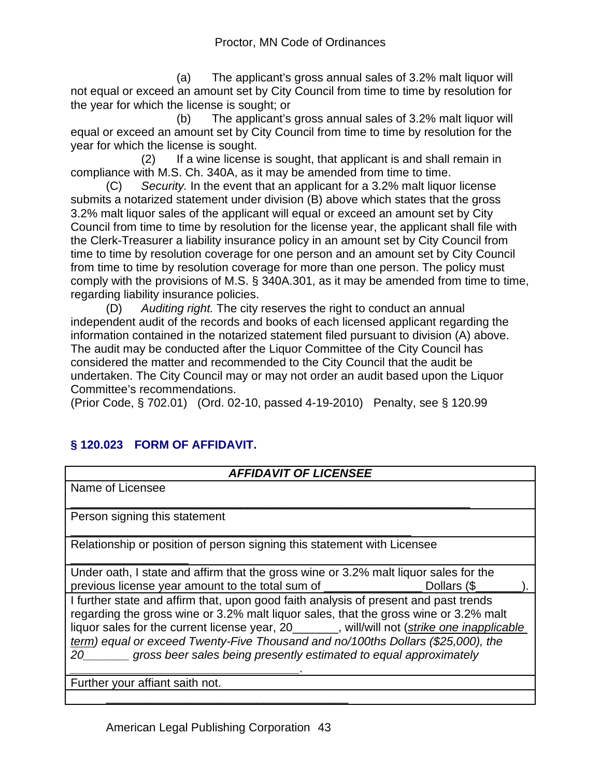(a) The applicant's gross annual sales of 3.2% malt liquor will not equal or exceed an amount set by City Council from time to time by resolution for the year for which the license is sought; or

 (b) The applicant's gross annual sales of 3.2% malt liquor will equal or exceed an amount set by City Council from time to time by resolution for the year for which the license is sought.

 (2) If a wine license is sought, that applicant is and shall remain in compliance with M.S. Ch. 340A, as it may be amended from time to time.

(C) *Security.* In the event that an applicant for a 3.2% malt liquor license submits a notarized statement under division (B) above which states that the gross 3.2% malt liquor sales of the applicant will equal or exceed an amount set by City Council from time to time by resolution for the license year, the applicant shall file with the Clerk-Treasurer a liability insurance policy in an amount set by City Council from time to time by resolution coverage for one person and an amount set by City Council from time to time by resolution coverage for more than one person. The policy must comply with the provisions of M.S. § 340A.301, as it may be amended from time to time, regarding liability insurance policies.

(D) *Auditing right.* The city reserves the right to conduct an annual independent audit of the records and books of each licensed applicant regarding the information contained in the notarized statement filed pursuant to division (A) above. The audit may be conducted after the Liquor Committee of the City Council has considered the matter and recommended to the City Council that the audit be undertaken. The City Council may or may not order an audit based upon the Liquor Committee's recommendations.

(Prior Code, § 702.01) (Ord. 02-10, passed 4-19-2010) Penalty, see § 120.99

# **§ 120.023 FORM OF AFFIDAVIT.**

| <b>AFFIDAVIT OF LICENSEE</b>                                                                                                                                                                                                                                                                                                                                                                                                               |  |  |  |  |
|--------------------------------------------------------------------------------------------------------------------------------------------------------------------------------------------------------------------------------------------------------------------------------------------------------------------------------------------------------------------------------------------------------------------------------------------|--|--|--|--|
| Name of Licensee                                                                                                                                                                                                                                                                                                                                                                                                                           |  |  |  |  |
| Person signing this statement                                                                                                                                                                                                                                                                                                                                                                                                              |  |  |  |  |
| Relationship or position of person signing this statement with Licensee                                                                                                                                                                                                                                                                                                                                                                    |  |  |  |  |
| Under oath, I state and affirm that the gross wine or 3.2% malt liquor sales for the                                                                                                                                                                                                                                                                                                                                                       |  |  |  |  |
| previous license year amount to the total sum of<br>Dollars (\$                                                                                                                                                                                                                                                                                                                                                                            |  |  |  |  |
| I further state and affirm that, upon good faith analysis of present and past trends<br>regarding the gross wine or 3.2% malt liquor sales, that the gross wine or 3.2% malt<br>liquor sales for the current license year, 20______, will/will not (strike one inapplicable<br>term) equal or exceed Twenty-Five Thousand and no/100ths Dollars (\$25,000), the<br>gross beer sales being presently estimated to equal approximately<br>20 |  |  |  |  |
| Further your affiant saith not.                                                                                                                                                                                                                                                                                                                                                                                                            |  |  |  |  |

\_\_\_\_\_\_\_\_\_\_\_\_\_\_\_\_\_\_\_\_\_\_\_\_\_\_\_\_\_\_\_\_\_\_\_\_\_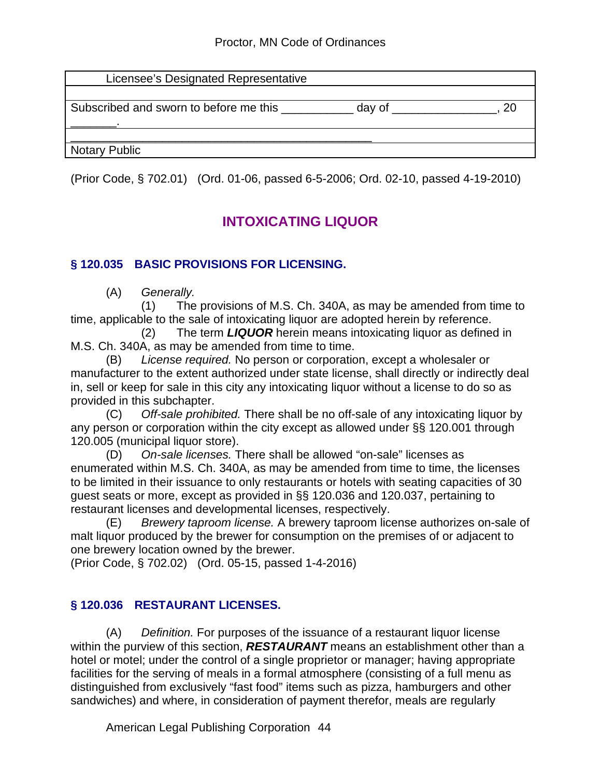| Licensee's Designated Representative   |        |  |
|----------------------------------------|--------|--|
| Subscribed and sworn to before me this | day of |  |
| Notary Public                          |        |  |

(Prior Code, § 702.01) (Ord. 01-06, passed 6-5-2006; Ord. 02-10, passed 4-19-2010)

# **INTOXICATING LIQUOR**

# **§ 120.035 BASIC PROVISIONS FOR LICENSING.**

(A) *Generally.*

 (1) The provisions of M.S. Ch. 340A, as may be amended from time to time, applicable to the sale of intoxicating liquor are adopted herein by reference.

 (2) The term *LIQUOR* herein means intoxicating liquor as defined in M.S. Ch. 340A, as may be amended from time to time.

(B) *License required.* No person or corporation, except a wholesaler or manufacturer to the extent authorized under state license, shall directly or indirectly deal in, sell or keep for sale in this city any intoxicating liquor without a license to do so as provided in this subchapter.

(C) *Off-sale prohibited.* There shall be no off-sale of any intoxicating liquor by any person or corporation within the city except as allowed under §§ 120.001 through 120.005 (municipal liquor store).

(D) *On-sale licenses.* There shall be allowed "on-sale" licenses as enumerated within M.S. Ch. 340A, as may be amended from time to time, the licenses to be limited in their issuance to only restaurants or hotels with seating capacities of 30 guest seats or more, except as provided in §§ 120.036 and 120.037, pertaining to restaurant licenses and developmental licenses, respectively.

(E) *Brewery taproom license.* A brewery taproom license authorizes on-sale of malt liquor produced by the brewer for consumption on the premises of or adjacent to one brewery location owned by the brewer.

(Prior Code, § 702.02) (Ord. 05-15, passed 1-4-2016)

# **§ 120.036 RESTAURANT LICENSES.**

(A) *Definition.* For purposes of the issuance of a restaurant liquor license within the purview of this section, *RESTAURANT* means an establishment other than a hotel or motel; under the control of a single proprietor or manager; having appropriate facilities for the serving of meals in a formal atmosphere (consisting of a full menu as distinguished from exclusively "fast food" items such as pizza, hamburgers and other sandwiches) and where, in consideration of payment therefor, meals are regularly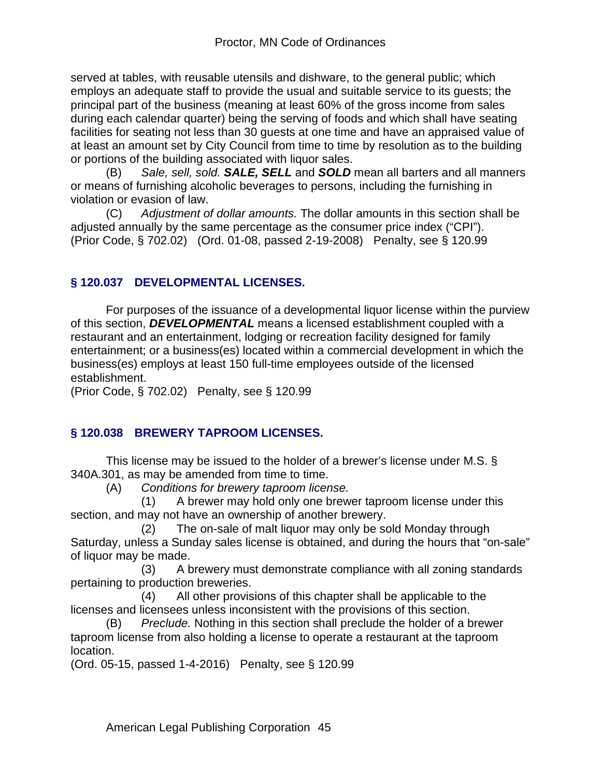served at tables, with reusable utensils and dishware, to the general public; which employs an adequate staff to provide the usual and suitable service to its guests; the principal part of the business (meaning at least 60% of the gross income from sales during each calendar quarter) being the serving of foods and which shall have seating facilities for seating not less than 30 guests at one time and have an appraised value of at least an amount set by City Council from time to time by resolution as to the building or portions of the building associated with liquor sales.

(B) *Sale, sell, sold. SALE, SELL* and *SOLD* mean all barters and all manners or means of furnishing alcoholic beverages to persons, including the furnishing in violation or evasion of law.

(C) *Adjustment of dollar amounts.* The dollar amounts in this section shall be adjusted annually by the same percentage as the consumer price index ("CPI"). (Prior Code, § 702.02) (Ord. 01-08, passed 2-19-2008) Penalty, see § 120.99

# **§ 120.037 DEVELOPMENTAL LICENSES.**

For purposes of the issuance of a developmental liquor license within the purview of this section, *DEVELOPMENTAL* means a licensed establishment coupled with a restaurant and an entertainment, lodging or recreation facility designed for family entertainment; or a business(es) located within a commercial development in which the business(es) employs at least 150 full-time employees outside of the licensed establishment.

(Prior Code, § 702.02) Penalty, see § 120.99

# **§ 120.038 BREWERY TAPROOM LICENSES.**

This license may be issued to the holder of a brewer's license under M.S. § 340A.301, as may be amended from time to time.

(A) *Conditions for brewery taproom license.*

 (1) A brewer may hold only one brewer taproom license under this section, and may not have an ownership of another brewery.

 (2) The on-sale of malt liquor may only be sold Monday through Saturday, unless a Sunday sales license is obtained, and during the hours that "on-sale" of liquor may be made.

 (3) A brewery must demonstrate compliance with all zoning standards pertaining to production breweries.

 (4) All other provisions of this chapter shall be applicable to the licenses and licensees unless inconsistent with the provisions of this section.

(B) *Preclude.* Nothing in this section shall preclude the holder of a brewer taproom license from also holding a license to operate a restaurant at the taproom location.

(Ord. 05-15, passed 1-4-2016) Penalty, see § 120.99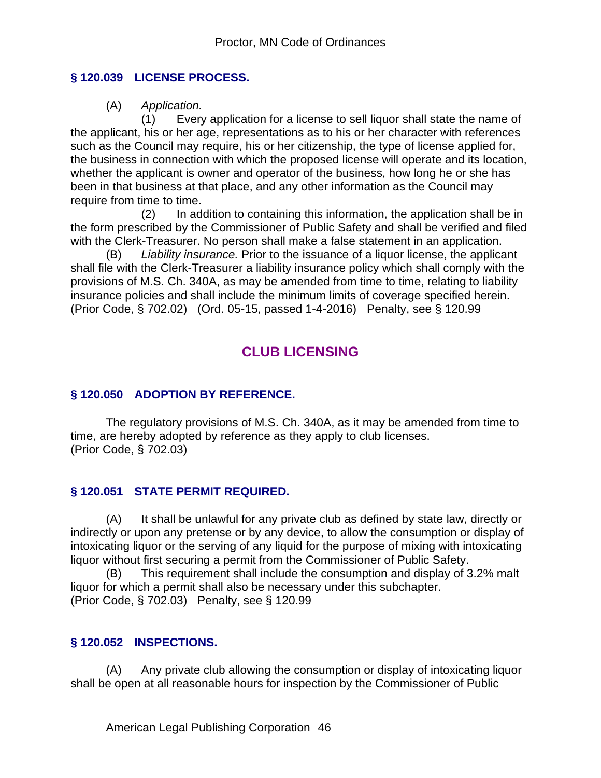### **§ 120.039 LICENSE PROCESS.**

(A) *Application.*

 (1) Every application for a license to sell liquor shall state the name of the applicant, his or her age, representations as to his or her character with references such as the Council may require, his or her citizenship, the type of license applied for, the business in connection with which the proposed license will operate and its location, whether the applicant is owner and operator of the business, how long he or she has been in that business at that place, and any other information as the Council may require from time to time.

 (2) In addition to containing this information, the application shall be in the form prescribed by the Commissioner of Public Safety and shall be verified and filed with the Clerk-Treasurer. No person shall make a false statement in an application.

(B) *Liability insurance.* Prior to the issuance of a liquor license, the applicant shall file with the Clerk-Treasurer a liability insurance policy which shall comply with the provisions of M.S. Ch. 340A, as may be amended from time to time, relating to liability insurance policies and shall include the minimum limits of coverage specified herein. (Prior Code, § 702.02) (Ord. 05-15, passed 1-4-2016) Penalty, see § 120.99

# **CLUB LICENSING**

### **§ 120.050 ADOPTION BY REFERENCE.**

The regulatory provisions of M.S. Ch. 340A, as it may be amended from time to time, are hereby adopted by reference as they apply to club licenses. (Prior Code, § 702.03)

## **§ 120.051 STATE PERMIT REQUIRED.**

(A) It shall be unlawful for any private club as defined by state law, directly or indirectly or upon any pretense or by any device, to allow the consumption or display of intoxicating liquor or the serving of any liquid for the purpose of mixing with intoxicating liquor without first securing a permit from the Commissioner of Public Safety.

(B) This requirement shall include the consumption and display of 3.2% malt liquor for which a permit shall also be necessary under this subchapter. (Prior Code, § 702.03) Penalty, see § 120.99

#### **§ 120.052 INSPECTIONS.**

(A) Any private club allowing the consumption or display of intoxicating liquor shall be open at all reasonable hours for inspection by the Commissioner of Public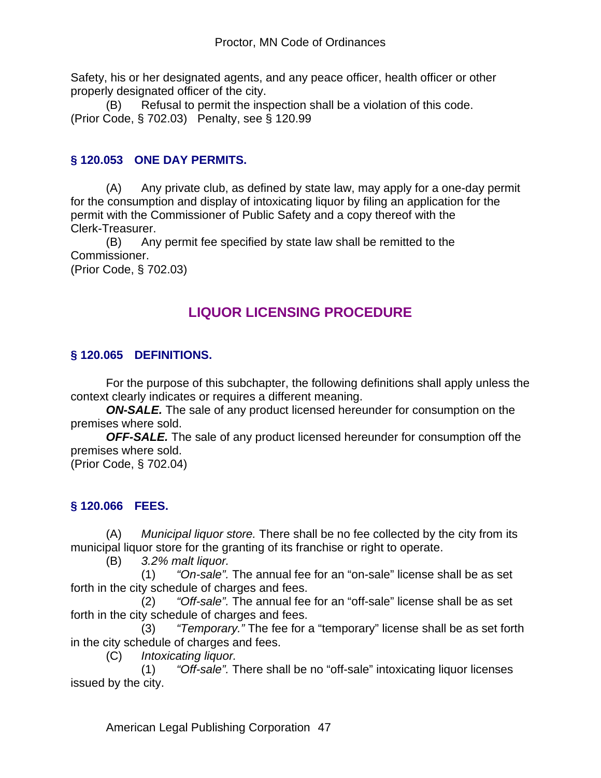Safety, his or her designated agents, and any peace officer, health officer or other properly designated officer of the city.

(B) Refusal to permit the inspection shall be a violation of this code. (Prior Code, § 702.03) Penalty, see § 120.99

# **§ 120.053 ONE DAY PERMITS.**

(A) Any private club, as defined by state law, may apply for a one-day permit for the consumption and display of intoxicating liquor by filing an application for the permit with the Commissioner of Public Safety and a copy thereof with the Clerk-Treasurer.

(B) Any permit fee specified by state law shall be remitted to the Commissioner.

(Prior Code, § 702.03)

# **LIQUOR LICENSING PROCEDURE**

# **§ 120.065 DEFINITIONS.**

For the purpose of this subchapter, the following definitions shall apply unless the context clearly indicates or requires a different meaning.

*ON-SALE.* The sale of any product licensed hereunder for consumption on the premises where sold.

*OFF-SALE.* The sale of any product licensed hereunder for consumption off the premises where sold.

(Prior Code, § 702.04)

# **§ 120.066 FEES.**

(A) *Municipal liquor store.* There shall be no fee collected by the city from its municipal liquor store for the granting of its franchise or right to operate.

(B) *3.2% malt liquor.*

 (1) *"On-sale".* The annual fee for an "on-sale" license shall be as set forth in the city schedule of charges and fees.

 (2) *"Off-sale".* The annual fee for an "off-sale" license shall be as set forth in the city schedule of charges and fees.

 (3) *"Temporary."* The fee for a "temporary" license shall be as set forth in the city schedule of charges and fees.

(C) *Intoxicating liquor.*

 (1) *"Off-sale".* There shall be no "off-sale" intoxicating liquor licenses issued by the city.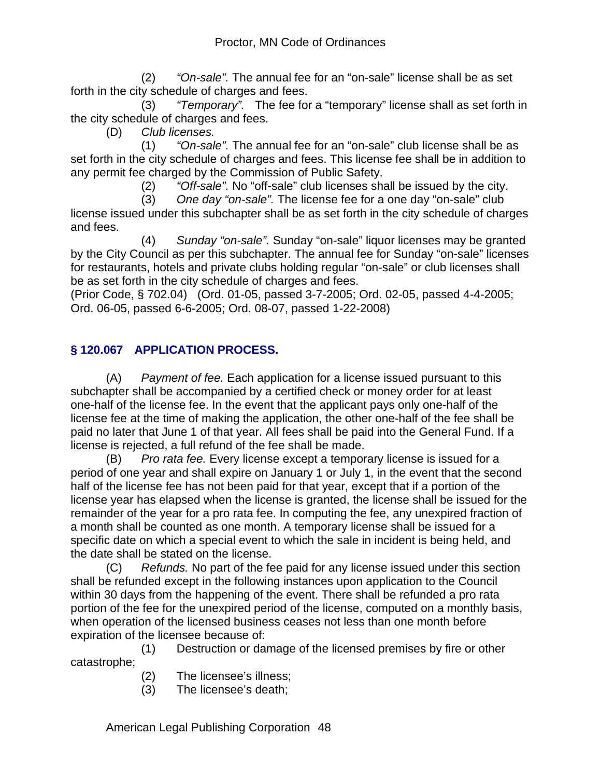(2) *"On-sale".* The annual fee for an "on-sale" license shall be as set forth in the city schedule of charges and fees.

 (3) *"Temporary".* The fee for a "temporary" license shall as set forth in the city schedule of charges and fees.

(D) *Club licenses.*

 (1) *"On-sale".* The annual fee for an "on-sale" club license shall be as set forth in the city schedule of charges and fees. This license fee shall be in addition to any permit fee charged by the Commission of Public Safety.

(2) *"Off-sale".* No "off-sale" club licenses shall be issued by the city.

 (3) *One day "on-sale".* The license fee for a one day "on-sale" club license issued under this subchapter shall be as set forth in the city schedule of charges and fees.

 (4) *Sunday "on-sale".* Sunday "on-sale" liquor licenses may be granted by the City Council as per this subchapter. The annual fee for Sunday "on-sale" licenses for restaurants, hotels and private clubs holding regular "on-sale" or club licenses shall be as set forth in the city schedule of charges and fees.

(Prior Code, § 702.04) (Ord. 01-05, passed 3-7-2005; Ord. 02-05, passed 4-4-2005; Ord. 06-05, passed 6-6-2005; Ord. 08-07, passed 1-22-2008)

# **§ 120.067 APPLICATION PROCESS.**

(A) *Payment of fee.* Each application for a license issued pursuant to this subchapter shall be accompanied by a certified check or money order for at least one-half of the license fee. In the event that the applicant pays only one-half of the license fee at the time of making the application, the other one-half of the fee shall be paid no later that June 1 of that year. All fees shall be paid into the General Fund. If a license is rejected, a full refund of the fee shall be made.

(B) *Pro rata fee.* Every license except a temporary license is issued for a period of one year and shall expire on January 1 or July 1, in the event that the second half of the license fee has not been paid for that year, except that if a portion of the license year has elapsed when the license is granted, the license shall be issued for the remainder of the year for a pro rata fee. In computing the fee, any unexpired fraction of a month shall be counted as one month. A temporary license shall be issued for a specific date on which a special event to which the sale in incident is being held, and the date shall be stated on the license.

(C) *Refunds.* No part of the fee paid for any license issued under this section shall be refunded except in the following instances upon application to the Council within 30 days from the happening of the event. There shall be refunded a pro rata portion of the fee for the unexpired period of the license, computed on a monthly basis, when operation of the licensed business ceases not less than one month before expiration of the licensee because of:

 (1) Destruction or damage of the licensed premises by fire or other catastrophe;

- (2) The licensee's illness;
- (3) The licensee's death;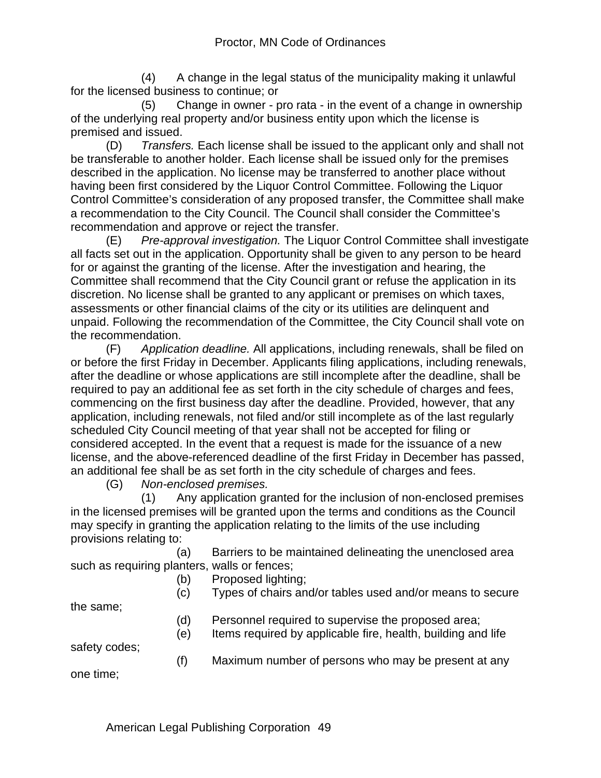(4) A change in the legal status of the municipality making it unlawful for the licensed business to continue; or

 (5) Change in owner - pro rata - in the event of a change in ownership of the underlying real property and/or business entity upon which the license is premised and issued.

(D) *Transfers.* Each license shall be issued to the applicant only and shall not be transferable to another holder. Each license shall be issued only for the premises described in the application. No license may be transferred to another place without having been first considered by the Liquor Control Committee. Following the Liquor Control Committee's consideration of any proposed transfer, the Committee shall make a recommendation to the City Council. The Council shall consider the Committee's recommendation and approve or reject the transfer.

(E) *Pre-approval investigation.* The Liquor Control Committee shall investigate all facts set out in the application. Opportunity shall be given to any person to be heard for or against the granting of the license. After the investigation and hearing, the Committee shall recommend that the City Council grant or refuse the application in its discretion. No license shall be granted to any applicant or premises on which taxes, assessments or other financial claims of the city or its utilities are delinquent and unpaid. Following the recommendation of the Committee, the City Council shall vote on the recommendation.

(F) *Application deadline.* All applications, including renewals, shall be filed on or before the first Friday in December. Applicants filing applications, including renewals, after the deadline or whose applications are still incomplete after the deadline, shall be required to pay an additional fee as set forth in the city schedule of charges and fees, commencing on the first business day after the deadline. Provided, however, that any application, including renewals, not filed and/or still incomplete as of the last regularly scheduled City Council meeting of that year shall not be accepted for filing or considered accepted. In the event that a request is made for the issuance of a new license, and the above-referenced deadline of the first Friday in December has passed, an additional fee shall be as set forth in the city schedule of charges and fees.

(G) *Non-enclosed premises.*

 (1) Any application granted for the inclusion of non-enclosed premises in the licensed premises will be granted upon the terms and conditions as the Council may specify in granting the application relating to the limits of the use including provisions relating to:

 (a) Barriers to be maintained delineating the unenclosed area such as requiring planters, walls or fences;

(b) Proposed lighting;

(c) Types of chairs and/or tables used and/or means to secure

the same;

(d) Personnel required to supervise the proposed area;

(e) Items required by applicable fire, health, building and life

safety codes;

(f) Maximum number of persons who may be present at any

one time;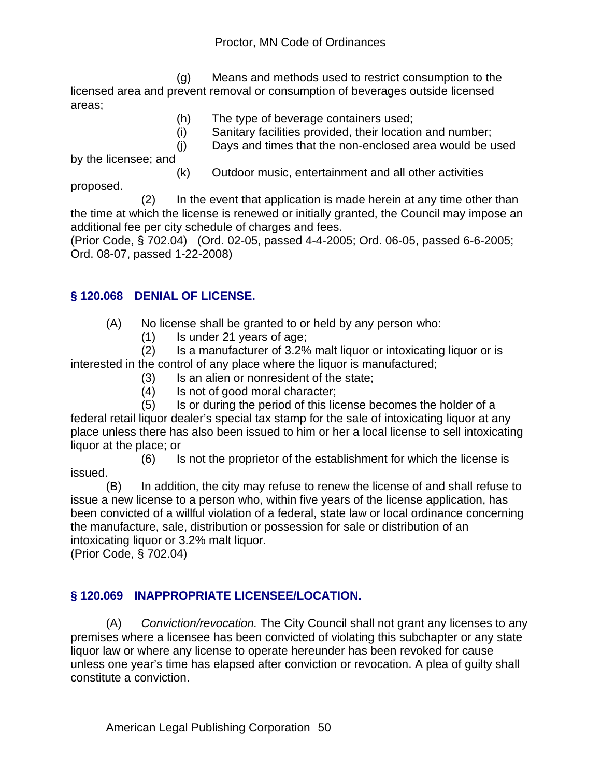(g) Means and methods used to restrict consumption to the licensed area and prevent removal or consumption of beverages outside licensed areas;

- (h) The type of beverage containers used;
- (i) Sanitary facilities provided, their location and number;
- (j) Days and times that the non-enclosed area would be used

by the licensee; and

proposed.

(k) Outdoor music, entertainment and all other activities

 (2) In the event that application is made herein at any time other than the time at which the license is renewed or initially granted, the Council may impose an additional fee per city schedule of charges and fees.

(Prior Code, § 702.04) (Ord. 02-05, passed 4-4-2005; Ord. 06-05, passed 6-6-2005; Ord. 08-07, passed 1-22-2008)

## **§ 120.068 DENIAL OF LICENSE.**

- (A) No license shall be granted to or held by any person who:
	- (1) Is under 21 years of age;

 (2) Is a manufacturer of 3.2% malt liquor or intoxicating liquor or is interested in the control of any place where the liquor is manufactured;

- (3) Is an alien or nonresident of the state;
- (4) Is not of good moral character;

 (5) Is or during the period of this license becomes the holder of a federal retail liquor dealer's special tax stamp for the sale of intoxicating liquor at any place unless there has also been issued to him or her a local license to sell intoxicating liquor at the place; or

 (6) Is not the proprietor of the establishment for which the license is issued.

(B) In addition, the city may refuse to renew the license of and shall refuse to issue a new license to a person who, within five years of the license application, has been convicted of a willful violation of a federal, state law or local ordinance concerning the manufacture, sale, distribution or possession for sale or distribution of an intoxicating liquor or 3.2% malt liquor.

(Prior Code, § 702.04)

# **§ 120.069 INAPPROPRIATE LICENSEE/LOCATION.**

(A) *Conviction/revocation.* The City Council shall not grant any licenses to any premises where a licensee has been convicted of violating this subchapter or any state liquor law or where any license to operate hereunder has been revoked for cause unless one year's time has elapsed after conviction or revocation. A plea of guilty shall constitute a conviction.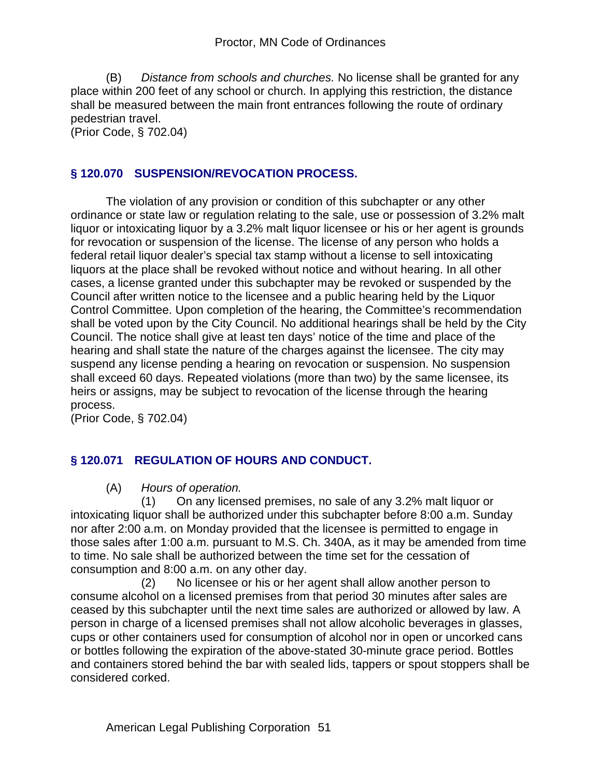(B) *Distance from schools and churches.* No license shall be granted for any place within 200 feet of any school or church. In applying this restriction, the distance shall be measured between the main front entrances following the route of ordinary pedestrian travel.

(Prior Code, § 702.04)

## **§ 120.070 SUSPENSION/REVOCATION PROCESS.**

The violation of any provision or condition of this subchapter or any other ordinance or state law or regulation relating to the sale, use or possession of 3.2% malt liquor or intoxicating liquor by a 3.2% malt liquor licensee or his or her agent is grounds for revocation or suspension of the license. The license of any person who holds a federal retail liquor dealer's special tax stamp without a license to sell intoxicating liquors at the place shall be revoked without notice and without hearing. In all other cases, a license granted under this subchapter may be revoked or suspended by the Council after written notice to the licensee and a public hearing held by the Liquor Control Committee. Upon completion of the hearing, the Committee's recommendation shall be voted upon by the City Council. No additional hearings shall be held by the City Council. The notice shall give at least ten days' notice of the time and place of the hearing and shall state the nature of the charges against the licensee. The city may suspend any license pending a hearing on revocation or suspension. No suspension shall exceed 60 days. Repeated violations (more than two) by the same licensee, its heirs or assigns, may be subject to revocation of the license through the hearing process.

(Prior Code, § 702.04)

# **§ 120.071 REGULATION OF HOURS AND CONDUCT.**

(A) *Hours of operation.*

 (1) On any licensed premises, no sale of any 3.2% malt liquor or intoxicating liquor shall be authorized under this subchapter before 8:00 a.m. Sunday nor after 2:00 a.m. on Monday provided that the licensee is permitted to engage in those sales after 1:00 a.m. pursuant to M.S. Ch. 340A, as it may be amended from time to time. No sale shall be authorized between the time set for the cessation of consumption and 8:00 a.m. on any other day.

 (2) No licensee or his or her agent shall allow another person to consume alcohol on a licensed premises from that period 30 minutes after sales are ceased by this subchapter until the next time sales are authorized or allowed by law. A person in charge of a licensed premises shall not allow alcoholic beverages in glasses, cups or other containers used for consumption of alcohol nor in open or uncorked cans or bottles following the expiration of the above-stated 30-minute grace period. Bottles and containers stored behind the bar with sealed lids, tappers or spout stoppers shall be considered corked.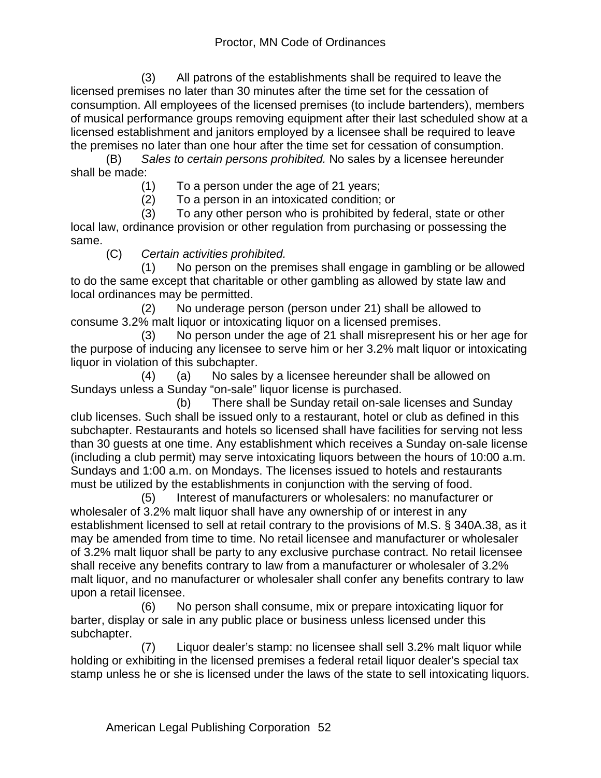(3) All patrons of the establishments shall be required to leave the licensed premises no later than 30 minutes after the time set for the cessation of consumption. All employees of the licensed premises (to include bartenders), members of musical performance groups removing equipment after their last scheduled show at a licensed establishment and janitors employed by a licensee shall be required to leave the premises no later than one hour after the time set for cessation of consumption.

(B) *Sales to certain persons prohibited.* No sales by a licensee hereunder shall be made:

(1) To a person under the age of 21 years;

(2) To a person in an intoxicated condition; or

 (3) To any other person who is prohibited by federal, state or other local law, ordinance provision or other regulation from purchasing or possessing the same.

(C) *Certain activities prohibited.*

 (1) No person on the premises shall engage in gambling or be allowed to do the same except that charitable or other gambling as allowed by state law and local ordinances may be permitted.

 (2) No underage person (person under 21) shall be allowed to consume 3.2% malt liquor or intoxicating liquor on a licensed premises.

 (3) No person under the age of 21 shall misrepresent his or her age for the purpose of inducing any licensee to serve him or her 3.2% malt liquor or intoxicating liquor in violation of this subchapter.

 (4) (a) No sales by a licensee hereunder shall be allowed on Sundays unless a Sunday "on-sale" liquor license is purchased.

 (b) There shall be Sunday retail on-sale licenses and Sunday club licenses. Such shall be issued only to a restaurant, hotel or club as defined in this subchapter. Restaurants and hotels so licensed shall have facilities for serving not less than 30 guests at one time. Any establishment which receives a Sunday on-sale license (including a club permit) may serve intoxicating liquors between the hours of 10:00 a.m. Sundays and 1:00 a.m. on Mondays. The licenses issued to hotels and restaurants must be utilized by the establishments in conjunction with the serving of food.

 (5) Interest of manufacturers or wholesalers: no manufacturer or wholesaler of 3.2% malt liquor shall have any ownership of or interest in any establishment licensed to sell at retail contrary to the provisions of M.S. § 340A.38, as it may be amended from time to time. No retail licensee and manufacturer or wholesaler of 3.2% malt liquor shall be party to any exclusive purchase contract. No retail licensee shall receive any benefits contrary to law from a manufacturer or wholesaler of 3.2% malt liquor, and no manufacturer or wholesaler shall confer any benefits contrary to law upon a retail licensee.

 (6) No person shall consume, mix or prepare intoxicating liquor for barter, display or sale in any public place or business unless licensed under this subchapter.

 (7) Liquor dealer's stamp: no licensee shall sell 3.2% malt liquor while holding or exhibiting in the licensed premises a federal retail liquor dealer's special tax stamp unless he or she is licensed under the laws of the state to sell intoxicating liquors.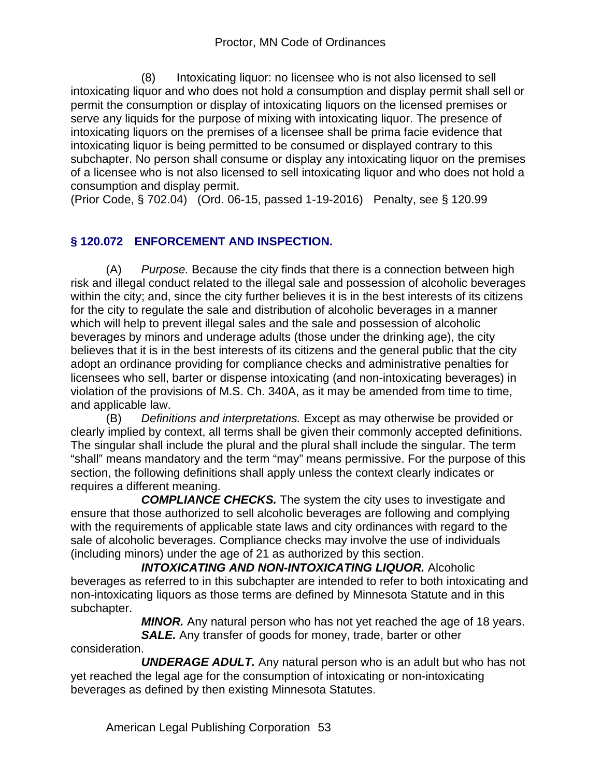(8) Intoxicating liquor: no licensee who is not also licensed to sell intoxicating liquor and who does not hold a consumption and display permit shall sell or permit the consumption or display of intoxicating liquors on the licensed premises or serve any liquids for the purpose of mixing with intoxicating liquor. The presence of intoxicating liquors on the premises of a licensee shall be prima facie evidence that intoxicating liquor is being permitted to be consumed or displayed contrary to this subchapter. No person shall consume or display any intoxicating liquor on the premises of a licensee who is not also licensed to sell intoxicating liquor and who does not hold a consumption and display permit.

(Prior Code, § 702.04) (Ord. 06-15, passed 1-19-2016) Penalty, see § 120.99

# **§ 120.072 ENFORCEMENT AND INSPECTION.**

(A) *Purpose.* Because the city finds that there is a connection between high risk and illegal conduct related to the illegal sale and possession of alcoholic beverages within the city; and, since the city further believes it is in the best interests of its citizens for the city to regulate the sale and distribution of alcoholic beverages in a manner which will help to prevent illegal sales and the sale and possession of alcoholic beverages by minors and underage adults (those under the drinking age), the city believes that it is in the best interests of its citizens and the general public that the city adopt an ordinance providing for compliance checks and administrative penalties for licensees who sell, barter or dispense intoxicating (and non-intoxicating beverages) in violation of the provisions of M.S. Ch. 340A, as it may be amended from time to time, and applicable law.

(B) *Definitions and interpretations.* Except as may otherwise be provided or clearly implied by context, all terms shall be given their commonly accepted definitions. The singular shall include the plural and the plural shall include the singular. The term "shall" means mandatory and the term "may" means permissive. For the purpose of this section, the following definitions shall apply unless the context clearly indicates or requires a different meaning.

 *COMPLIANCE CHECKS.* The system the city uses to investigate and ensure that those authorized to sell alcoholic beverages are following and complying with the requirements of applicable state laws and city ordinances with regard to the sale of alcoholic beverages. Compliance checks may involve the use of individuals (including minors) under the age of 21 as authorized by this section.

 *INTOXICATING AND NON-INTOXICATING LIQUOR.* Alcoholic beverages as referred to in this subchapter are intended to refer to both intoxicating and non-intoxicating liquors as those terms are defined by Minnesota Statute and in this subchapter.

 *MINOR.* Any natural person who has not yet reached the age of 18 years. *SALE.* Any transfer of goods for money, trade, barter or other

consideration.

 *UNDERAGE ADULT.* Any natural person who is an adult but who has not yet reached the legal age for the consumption of intoxicating or non-intoxicating beverages as defined by then existing Minnesota Statutes.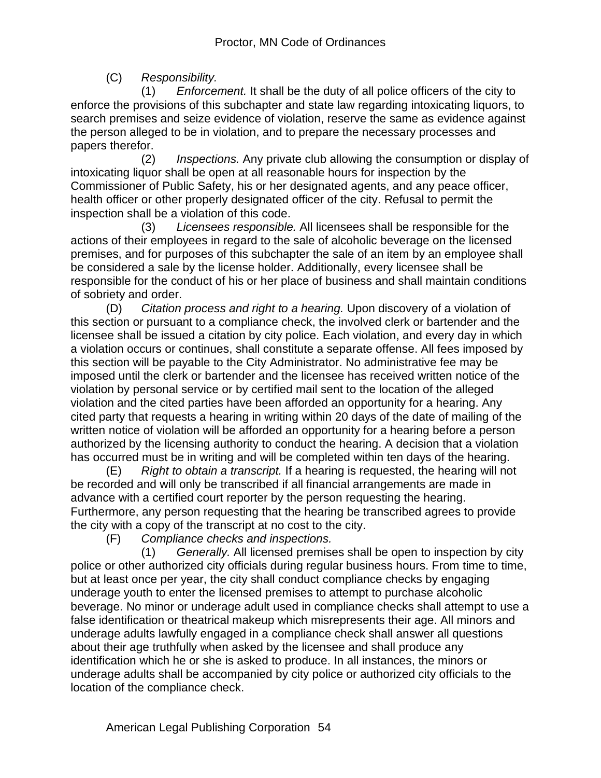(C) *Responsibility.*

 (1) *Enforcement.* It shall be the duty of all police officers of the city to enforce the provisions of this subchapter and state law regarding intoxicating liquors, to search premises and seize evidence of violation, reserve the same as evidence against the person alleged to be in violation, and to prepare the necessary processes and papers therefor.

 (2) *Inspections.* Any private club allowing the consumption or display of intoxicating liquor shall be open at all reasonable hours for inspection by the Commissioner of Public Safety, his or her designated agents, and any peace officer, health officer or other properly designated officer of the city. Refusal to permit the inspection shall be a violation of this code.

 (3) *Licensees responsible.* All licensees shall be responsible for the actions of their employees in regard to the sale of alcoholic beverage on the licensed premises, and for purposes of this subchapter the sale of an item by an employee shall be considered a sale by the license holder. Additionally, every licensee shall be responsible for the conduct of his or her place of business and shall maintain conditions of sobriety and order.

(D) *Citation process and right to a hearing.* Upon discovery of a violation of this section or pursuant to a compliance check, the involved clerk or bartender and the licensee shall be issued a citation by city police. Each violation, and every day in which a violation occurs or continues, shall constitute a separate offense. All fees imposed by this section will be payable to the City Administrator. No administrative fee may be imposed until the clerk or bartender and the licensee has received written notice of the violation by personal service or by certified mail sent to the location of the alleged violation and the cited parties have been afforded an opportunity for a hearing. Any cited party that requests a hearing in writing within 20 days of the date of mailing of the written notice of violation will be afforded an opportunity for a hearing before a person authorized by the licensing authority to conduct the hearing. A decision that a violation has occurred must be in writing and will be completed within ten days of the hearing.

(E) *Right to obtain a transcript.* If a hearing is requested, the hearing will not be recorded and will only be transcribed if all financial arrangements are made in advance with a certified court reporter by the person requesting the hearing. Furthermore, any person requesting that the hearing be transcribed agrees to provide the city with a copy of the transcript at no cost to the city.

(F) *Compliance checks and inspections.*

 (1) *Generally.* All licensed premises shall be open to inspection by city police or other authorized city officials during regular business hours. From time to time, but at least once per year, the city shall conduct compliance checks by engaging underage youth to enter the licensed premises to attempt to purchase alcoholic beverage. No minor or underage adult used in compliance checks shall attempt to use a false identification or theatrical makeup which misrepresents their age. All minors and underage adults lawfully engaged in a compliance check shall answer all questions about their age truthfully when asked by the licensee and shall produce any identification which he or she is asked to produce. In all instances, the minors or underage adults shall be accompanied by city police or authorized city officials to the location of the compliance check.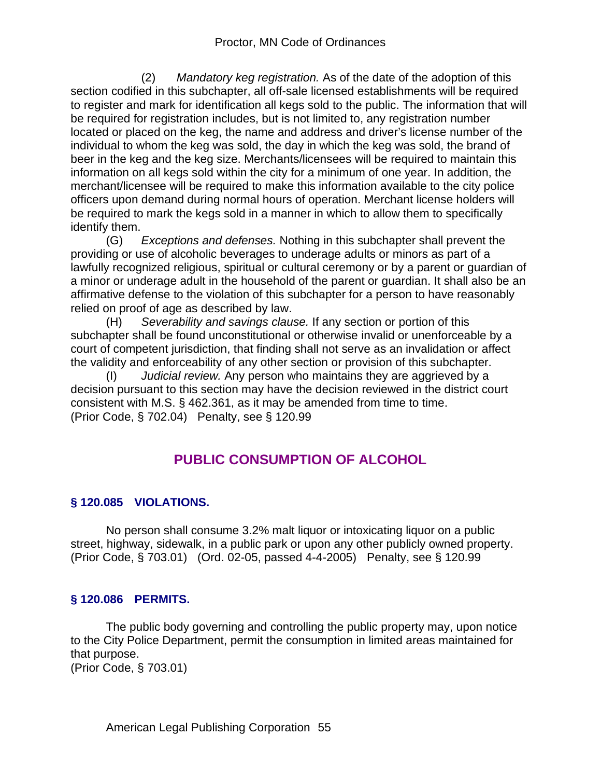(2) *Mandatory keg registration.* As of the date of the adoption of this section codified in this subchapter, all off-sale licensed establishments will be required to register and mark for identification all kegs sold to the public. The information that will be required for registration includes, but is not limited to, any registration number located or placed on the keg, the name and address and driver's license number of the individual to whom the keg was sold, the day in which the keg was sold, the brand of beer in the keg and the keg size. Merchants/licensees will be required to maintain this information on all kegs sold within the city for a minimum of one year. In addition, the merchant/licensee will be required to make this information available to the city police officers upon demand during normal hours of operation. Merchant license holders will be required to mark the kegs sold in a manner in which to allow them to specifically identify them.

(G) *Exceptions and defenses.* Nothing in this subchapter shall prevent the providing or use of alcoholic beverages to underage adults or minors as part of a lawfully recognized religious, spiritual or cultural ceremony or by a parent or guardian of a minor or underage adult in the household of the parent or guardian. It shall also be an affirmative defense to the violation of this subchapter for a person to have reasonably relied on proof of age as described by law.

(H) *Severability and savings clause.* If any section or portion of this subchapter shall be found unconstitutional or otherwise invalid or unenforceable by a court of competent jurisdiction, that finding shall not serve as an invalidation or affect the validity and enforceability of any other section or provision of this subchapter.

(I) *Judicial review.* Any person who maintains they are aggrieved by a decision pursuant to this section may have the decision reviewed in the district court consistent with M.S. § 462.361, as it may be amended from time to time. (Prior Code, § 702.04) Penalty, see § 120.99

# **PUBLIC CONSUMPTION OF ALCOHOL**

# **§ 120.085 VIOLATIONS.**

No person shall consume 3.2% malt liquor or intoxicating liquor on a public street, highway, sidewalk, in a public park or upon any other publicly owned property. (Prior Code, § 703.01) (Ord. 02-05, passed 4-4-2005) Penalty, see § 120.99

## **§ 120.086 PERMITS.**

The public body governing and controlling the public property may, upon notice to the City Police Department, permit the consumption in limited areas maintained for that purpose. (Prior Code, § 703.01)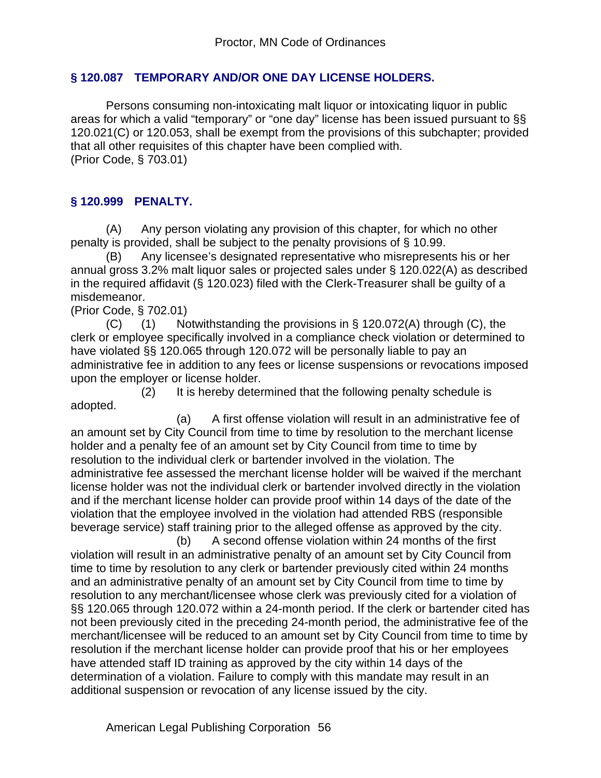## **§ 120.087 TEMPORARY AND/OR ONE DAY LICENSE HOLDERS.**

Persons consuming non-intoxicating malt liquor or intoxicating liquor in public areas for which a valid "temporary" or "one day" license has been issued pursuant to §§ 120.021(C) or 120.053, shall be exempt from the provisions of this subchapter; provided that all other requisites of this chapter have been complied with. (Prior Code, § 703.01)

## **§ 120.999 PENALTY.**

(A) Any person violating any provision of this chapter, for which no other penalty is provided, shall be subject to the penalty provisions of § 10.99.

(B) Any licensee's designated representative who misrepresents his or her annual gross 3.2% malt liquor sales or projected sales under § 120.022(A) as described in the required affidavit (§ 120.023) filed with the Clerk-Treasurer shall be guilty of a misdemeanor.

(Prior Code, § 702.01)

 $(C)$  (1) Notwithstanding the provisions in § 120.072(A) through  $(C)$ , the clerk or employee specifically involved in a compliance check violation or determined to have violated §§ 120.065 through 120.072 will be personally liable to pay an administrative fee in addition to any fees or license suspensions or revocations imposed upon the employer or license holder.

 (2) It is hereby determined that the following penalty schedule is adopted.

 (a) A first offense violation will result in an administrative fee of an amount set by City Council from time to time by resolution to the merchant license holder and a penalty fee of an amount set by City Council from time to time by resolution to the individual clerk or bartender involved in the violation. The administrative fee assessed the merchant license holder will be waived if the merchant license holder was not the individual clerk or bartender involved directly in the violation and if the merchant license holder can provide proof within 14 days of the date of the violation that the employee involved in the violation had attended RBS (responsible beverage service) staff training prior to the alleged offense as approved by the city.

 (b) A second offense violation within 24 months of the first violation will result in an administrative penalty of an amount set by City Council from time to time by resolution to any clerk or bartender previously cited within 24 months and an administrative penalty of an amount set by City Council from time to time by resolution to any merchant/licensee whose clerk was previously cited for a violation of §§ 120.065 through 120.072 within a 24-month period. If the clerk or bartender cited has not been previously cited in the preceding 24-month period, the administrative fee of the merchant/licensee will be reduced to an amount set by City Council from time to time by resolution if the merchant license holder can provide proof that his or her employees have attended staff ID training as approved by the city within 14 days of the determination of a violation. Failure to comply with this mandate may result in an additional suspension or revocation of any license issued by the city.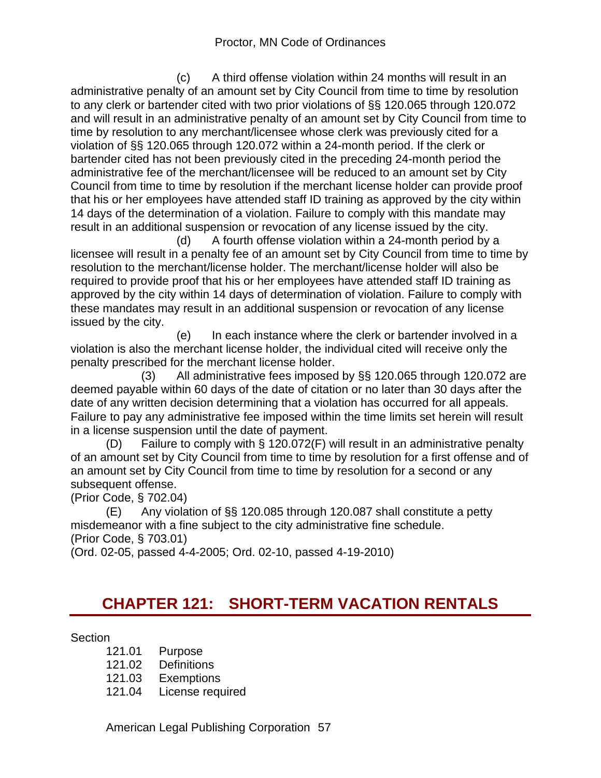(c) A third offense violation within 24 months will result in an administrative penalty of an amount set by City Council from time to time by resolution to any clerk or bartender cited with two prior violations of §§ 120.065 through 120.072 and will result in an administrative penalty of an amount set by City Council from time to time by resolution to any merchant/licensee whose clerk was previously cited for a violation of §§ 120.065 through 120.072 within a 24-month period. If the clerk or bartender cited has not been previously cited in the preceding 24-month period the administrative fee of the merchant/licensee will be reduced to an amount set by City Council from time to time by resolution if the merchant license holder can provide proof that his or her employees have attended staff ID training as approved by the city within 14 days of the determination of a violation. Failure to comply with this mandate may result in an additional suspension or revocation of any license issued by the city.

 (d) A fourth offense violation within a 24-month period by a licensee will result in a penalty fee of an amount set by City Council from time to time by resolution to the merchant/license holder. The merchant/license holder will also be required to provide proof that his or her employees have attended staff ID training as approved by the city within 14 days of determination of violation. Failure to comply with these mandates may result in an additional suspension or revocation of any license issued by the city.

 (e) In each instance where the clerk or bartender involved in a violation is also the merchant license holder, the individual cited will receive only the penalty prescribed for the merchant license holder.

 (3) All administrative fees imposed by §§ 120.065 through 120.072 are deemed payable within 60 days of the date of citation or no later than 30 days after the date of any written decision determining that a violation has occurred for all appeals. Failure to pay any administrative fee imposed within the time limits set herein will result in a license suspension until the date of payment.

(D) Failure to comply with § 120.072(F) will result in an administrative penalty of an amount set by City Council from time to time by resolution for a first offense and of an amount set by City Council from time to time by resolution for a second or any subsequent offense.

(Prior Code, § 702.04)

(E) Any violation of §§ 120.085 through 120.087 shall constitute a petty misdemeanor with a fine subject to the city administrative fine schedule. (Prior Code, § 703.01)

(Ord. 02-05, passed 4-4-2005; Ord. 02-10, passed 4-19-2010)

# **CHAPTER 121: SHORT-TERM VACATION RENTALS**

#### Section

- 121.01 Purpose
- 121.02 Definitions
- 121.03 Exemptions
- 121.04 License required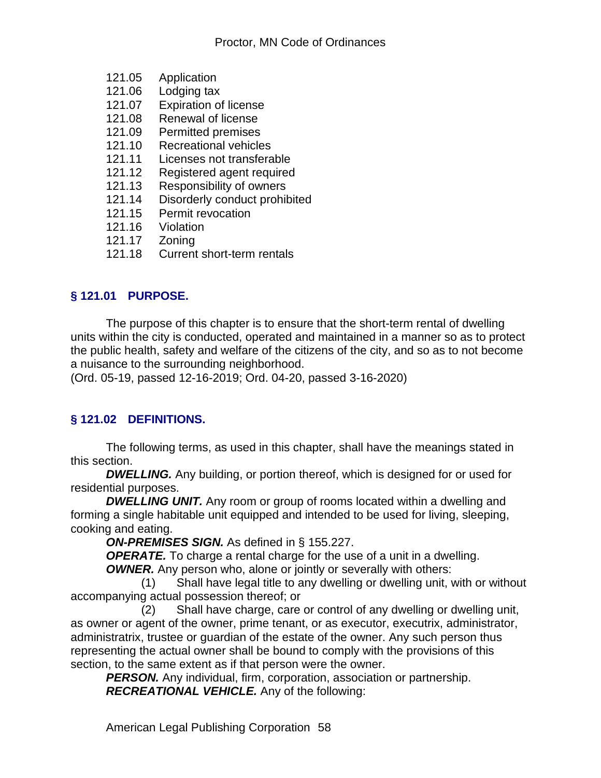- 121.05 Application
- 121.06 Lodging tax
- 121.07 Expiration of license
- 121.08 Renewal of license
- 121.09 Permitted premises<br>121.10 Recreational vehicle
- Recreational vehicles
- 121.11 Licenses not transferable
- 121.12 Registered agent required
- 121.13 Responsibility of owners<br>121.14 Disorderly conduct prohit
- Disorderly conduct prohibited
- 121.15 Permit revocation
- 121.16 Violation
- 
- 121.17 Zoning Current short-term rentals

## **§ 121.01 PURPOSE.**

The purpose of this chapter is to ensure that the short-term rental of dwelling units within the city is conducted, operated and maintained in a manner so as to protect the public health, safety and welfare of the citizens of the city, and so as to not become a nuisance to the surrounding neighborhood.

(Ord. 05-19, passed 12-16-2019; Ord. 04-20, passed 3-16-2020)

# **§ 121.02 DEFINITIONS.**

The following terms, as used in this chapter, shall have the meanings stated in this section.

**DWELLING.** Any building, or portion thereof, which is designed for or used for residential purposes.

**DWELLING UNIT.** Any room or group of rooms located within a dwelling and forming a single habitable unit equipped and intended to be used for living, sleeping, cooking and eating.

*ON-PREMISES SIGN.* As defined in § 155.227.

**OPERATE.** To charge a rental charge for the use of a unit in a dwelling.

*OWNER.* Any person who, alone or jointly or severally with others:

 (1) Shall have legal title to any dwelling or dwelling unit, with or without accompanying actual possession thereof; or

 (2) Shall have charge, care or control of any dwelling or dwelling unit, as owner or agent of the owner, prime tenant, or as executor, executrix, administrator, administratrix, trustee or guardian of the estate of the owner. Any such person thus representing the actual owner shall be bound to comply with the provisions of this section, to the same extent as if that person were the owner.

*PERSON.* Any individual, firm, corporation, association or partnership. *RECREATIONAL VEHICLE.* Any of the following: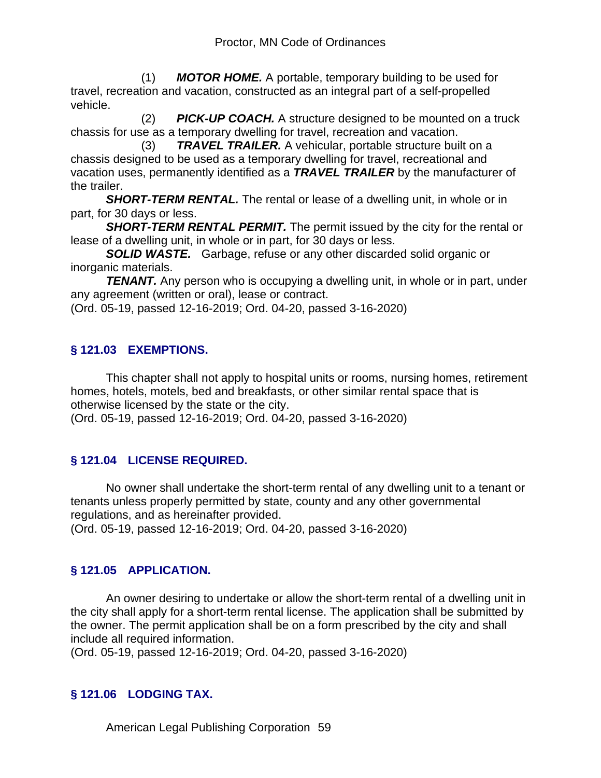(1) *MOTOR HOME.* A portable, temporary building to be used for travel, recreation and vacation, constructed as an integral part of a self-propelled vehicle.

 (2) *PICK-UP COACH.* A structure designed to be mounted on a truck chassis for use as a temporary dwelling for travel, recreation and vacation.

 (3) *TRAVEL TRAILER.* A vehicular, portable structure built on a chassis designed to be used as a temporary dwelling for travel, recreational and vacation uses, permanently identified as a *TRAVEL TRAILER* by the manufacturer of the trailer.

**SHORT-TERM RENTAL.** The rental or lease of a dwelling unit, in whole or in part, for 30 days or less.

**SHORT-TERM RENTAL PERMIT.** The permit issued by the city for the rental or lease of a dwelling unit, in whole or in part, for 30 days or less.

*SOLID WASTE.* Garbage, refuse or any other discarded solid organic or inorganic materials.

**TENANT.** Any person who is occupying a dwelling unit, in whole or in part, under any agreement (written or oral), lease or contract.

(Ord. 05-19, passed 12-16-2019; Ord. 04-20, passed 3-16-2020)

# **§ 121.03 EXEMPTIONS.**

This chapter shall not apply to hospital units or rooms, nursing homes, retirement homes, hotels, motels, bed and breakfasts, or other similar rental space that is otherwise licensed by the state or the city.

(Ord. 05-19, passed 12-16-2019; Ord. 04-20, passed 3-16-2020)

# **§ 121.04 LICENSE REQUIRED.**

No owner shall undertake the short-term rental of any dwelling unit to a tenant or tenants unless properly permitted by state, county and any other governmental regulations, and as hereinafter provided. (Ord. 05-19, passed 12-16-2019; Ord. 04-20, passed 3-16-2020)

# **§ 121.05 APPLICATION.**

An owner desiring to undertake or allow the short-term rental of a dwelling unit in the city shall apply for a short-term rental license. The application shall be submitted by the owner. The permit application shall be on a form prescribed by the city and shall include all required information.

(Ord. 05-19, passed 12-16-2019; Ord. 04-20, passed 3-16-2020)

# **§ 121.06 LODGING TAX.**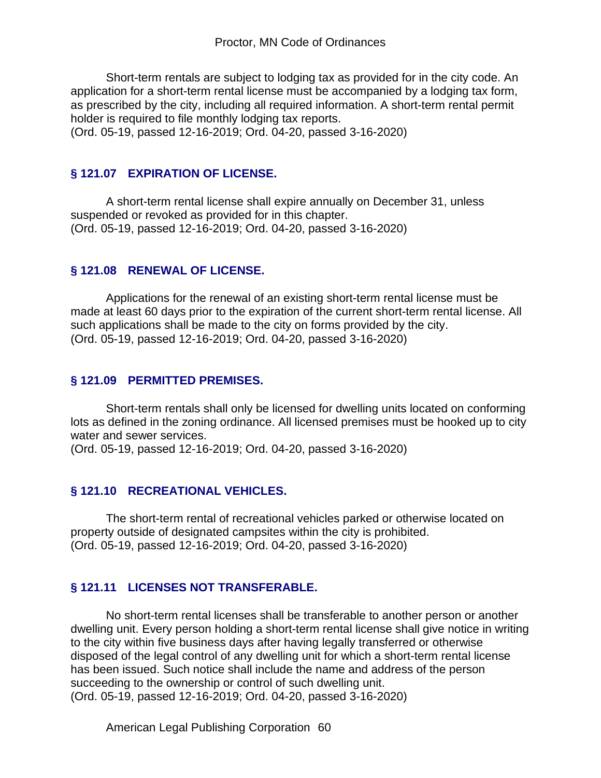Short-term rentals are subject to lodging tax as provided for in the city code. An application for a short-term rental license must be accompanied by a lodging tax form, as prescribed by the city, including all required information. A short-term rental permit holder is required to file monthly lodging tax reports.

(Ord. 05-19, passed 12-16-2019; Ord. 04-20, passed 3-16-2020)

### **§ 121.07 EXPIRATION OF LICENSE.**

A short-term rental license shall expire annually on December 31, unless suspended or revoked as provided for in this chapter. (Ord. 05-19, passed 12-16-2019; Ord. 04-20, passed 3-16-2020)

### **§ 121.08 RENEWAL OF LICENSE.**

Applications for the renewal of an existing short-term rental license must be made at least 60 days prior to the expiration of the current short-term rental license. All such applications shall be made to the city on forms provided by the city. (Ord. 05-19, passed 12-16-2019; Ord. 04-20, passed 3-16-2020)

#### **§ 121.09 PERMITTED PREMISES.**

Short-term rentals shall only be licensed for dwelling units located on conforming lots as defined in the zoning ordinance. All licensed premises must be hooked up to city water and sewer services.

(Ord. 05-19, passed 12-16-2019; Ord. 04-20, passed 3-16-2020)

#### **§ 121.10 RECREATIONAL VEHICLES.**

The short-term rental of recreational vehicles parked or otherwise located on property outside of designated campsites within the city is prohibited. (Ord. 05-19, passed 12-16-2019; Ord. 04-20, passed 3-16-2020)

## **§ 121.11 LICENSES NOT TRANSFERABLE.**

No short-term rental licenses shall be transferable to another person or another dwelling unit. Every person holding a short-term rental license shall give notice in writing to the city within five business days after having legally transferred or otherwise disposed of the legal control of any dwelling unit for which a short-term rental license has been issued. Such notice shall include the name and address of the person succeeding to the ownership or control of such dwelling unit. (Ord. 05-19, passed 12-16-2019; Ord. 04-20, passed 3-16-2020)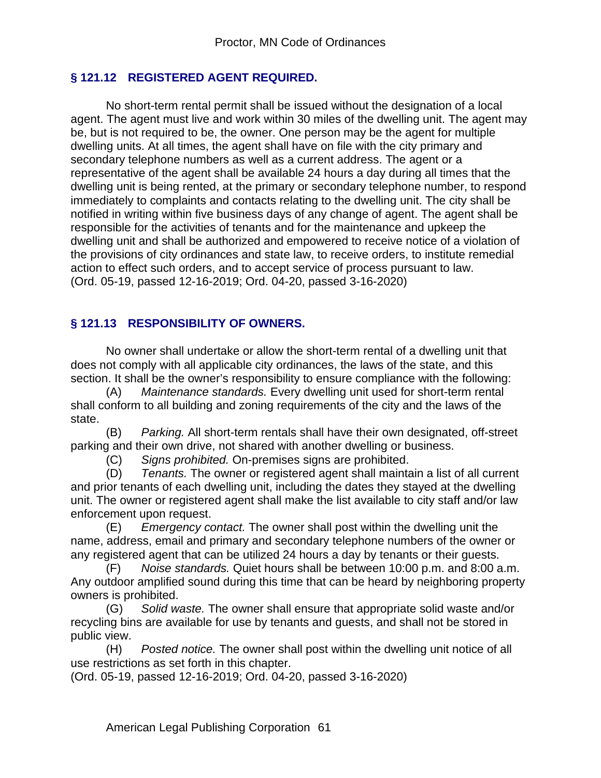# **§ 121.12 REGISTERED AGENT REQUIRED.**

No short-term rental permit shall be issued without the designation of a local agent. The agent must live and work within 30 miles of the dwelling unit. The agent may be, but is not required to be, the owner. One person may be the agent for multiple dwelling units. At all times, the agent shall have on file with the city primary and secondary telephone numbers as well as a current address. The agent or a representative of the agent shall be available 24 hours a day during all times that the dwelling unit is being rented, at the primary or secondary telephone number, to respond immediately to complaints and contacts relating to the dwelling unit. The city shall be notified in writing within five business days of any change of agent. The agent shall be responsible for the activities of tenants and for the maintenance and upkeep the dwelling unit and shall be authorized and empowered to receive notice of a violation of the provisions of city ordinances and state law, to receive orders, to institute remedial action to effect such orders, and to accept service of process pursuant to law. (Ord. 05-19, passed 12-16-2019; Ord. 04-20, passed 3-16-2020)

# **§ 121.13 RESPONSIBILITY OF OWNERS.**

No owner shall undertake or allow the short-term rental of a dwelling unit that does not comply with all applicable city ordinances, the laws of the state, and this section. It shall be the owner's responsibility to ensure compliance with the following:

(A) *Maintenance standards.* Every dwelling unit used for short-term rental shall conform to all building and zoning requirements of the city and the laws of the state.

(B) *Parking.* All short-term rentals shall have their own designated, off-street parking and their own drive, not shared with another dwelling or business.

(C) *Signs prohibited.* On-premises signs are prohibited.

(D) *Tenants.* The owner or registered agent shall maintain a list of all current and prior tenants of each dwelling unit, including the dates they stayed at the dwelling unit. The owner or registered agent shall make the list available to city staff and/or law enforcement upon request.

(E) *Emergency contact.* The owner shall post within the dwelling unit the name, address, email and primary and secondary telephone numbers of the owner or any registered agent that can be utilized 24 hours a day by tenants or their guests.

(F) *Noise standards.* Quiet hours shall be between 10:00 p.m. and 8:00 a.m. Any outdoor amplified sound during this time that can be heard by neighboring property owners is prohibited.

(G) *Solid waste.* The owner shall ensure that appropriate solid waste and/or recycling bins are available for use by tenants and guests, and shall not be stored in public view.

(H) *Posted notice.* The owner shall post within the dwelling unit notice of all use restrictions as set forth in this chapter.

(Ord. 05-19, passed 12-16-2019; Ord. 04-20, passed 3-16-2020)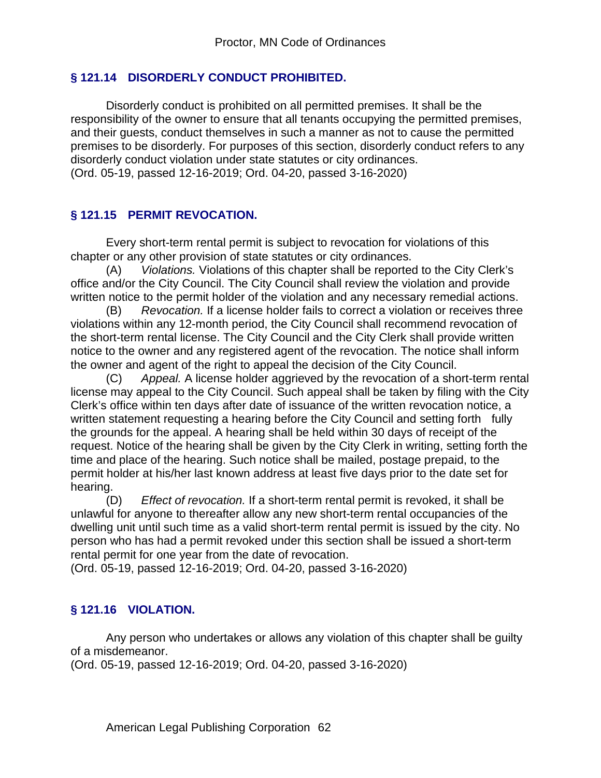### **§ 121.14 DISORDERLY CONDUCT PROHIBITED.**

Disorderly conduct is prohibited on all permitted premises. It shall be the responsibility of the owner to ensure that all tenants occupying the permitted premises, and their guests, conduct themselves in such a manner as not to cause the permitted premises to be disorderly. For purposes of this section, disorderly conduct refers to any disorderly conduct violation under state statutes or city ordinances. (Ord. 05-19, passed 12-16-2019; Ord. 04-20, passed 3-16-2020)

#### **§ 121.15 PERMIT REVOCATION.**

Every short-term rental permit is subject to revocation for violations of this chapter or any other provision of state statutes or city ordinances.

(A) *Violations.* Violations of this chapter shall be reported to the City Clerk's office and/or the City Council. The City Council shall review the violation and provide written notice to the permit holder of the violation and any necessary remedial actions.

(B) *Revocation.* If a license holder fails to correct a violation or receives three violations within any 12-month period, the City Council shall recommend revocation of the short-term rental license. The City Council and the City Clerk shall provide written notice to the owner and any registered agent of the revocation. The notice shall inform the owner and agent of the right to appeal the decision of the City Council.

(C) *Appeal.* A license holder aggrieved by the revocation of a short-term rental license may appeal to the City Council. Such appeal shall be taken by filing with the City Clerk's office within ten days after date of issuance of the written revocation notice, a written statement requesting a hearing before the City Council and setting forth fully the grounds for the appeal. A hearing shall be held within 30 days of receipt of the request. Notice of the hearing shall be given by the City Clerk in writing, setting forth the time and place of the hearing. Such notice shall be mailed, postage prepaid, to the permit holder at his/her last known address at least five days prior to the date set for hearing.

(D) *Effect of revocation.* If a short-term rental permit is revoked, it shall be unlawful for anyone to thereafter allow any new short-term rental occupancies of the dwelling unit until such time as a valid short-term rental permit is issued by the city. No person who has had a permit revoked under this section shall be issued a short-term rental permit for one year from the date of revocation.

(Ord. 05-19, passed 12-16-2019; Ord. 04-20, passed 3-16-2020)

## **§ 121.16 VIOLATION.**

Any person who undertakes or allows any violation of this chapter shall be guilty of a misdemeanor.

(Ord. 05-19, passed 12-16-2019; Ord. 04-20, passed 3-16-2020)